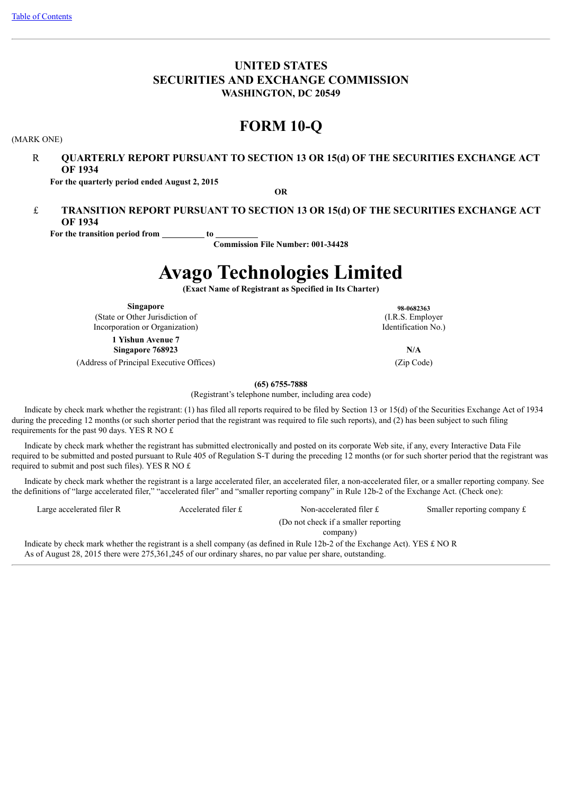## **UNITED STATES SECURITIES AND EXCHANGE COMMISSION WASHINGTON, DC 20549**

## **FORM 10-Q**

(MARK ONE)

## R **QUARTERLY REPORT PURSUANT TO SECTION 13 OR 15(d) OF THE SECURITIES EXCHANGE ACT OF 1934**

**For the quarterly period ended August 2, 2015**

**OR**

## £ **TRANSITION REPORT PURSUANT TO SECTION 13 OR 15(d) OF THE SECURITIES EXCHANGE ACT OF 1934**

**For the transition period from to**

**Commission File Number: 001-34428**

# **Avago Technologies Limited**

**(Exact Name of Registrant as Specified in Its Charter)**

**Singapore**

(State or Other Jurisdiction of Incorporation or Organization)

**1 Yishun Avenue 7 Singapore 768923 N/A**

(Address of Principal Executive Offices) (Zip Code)

**98-0682363** (I.R.S. Employer Identification No.)

**(65) 6755-7888**

(Registrant's telephone number, including area code)

Indicate by check mark whether the registrant: (1) has filed all reports required to be filed by Section 13 or 15(d) of the Securities Exchange Act of 1934 during the preceding 12 months (or such shorter period that the registrant was required to file such reports), and (2) has been subject to such filing requirements for the past 90 days. YES R NO £

Indicate by check mark whether the registrant has submitted electronically and posted on its corporate Web site, if any, every Interactive Data File required to be submitted and posted pursuant to Rule 405 of Regulation S-T during the preceding 12 months (or for such shorter period that the registrant was required to submit and post such files). YES R NO £

Indicate by check mark whether the registrant is a large accelerated filer, an accelerated filer, a non-accelerated filer, or a smaller reporting company. See the definitions of "large accelerated filer," "accelerated filer" and "smaller reporting company" in Rule 12b-2 of the Exchange Act. (Check one):

<span id="page-0-0"></span>Large accelerated filer R Accelerated filer £ Non-accelerated filer £ Smaller reporting company £ (Do not check if a smaller reporting company) Indicate by check mark whether the registrant is a shell company (as defined in Rule 12b-2 of the Exchange Act). YES  $\pounds$  NO R As of August 28, 2015 there were 275,361,245 of our ordinary shares, no par value per share, outstanding.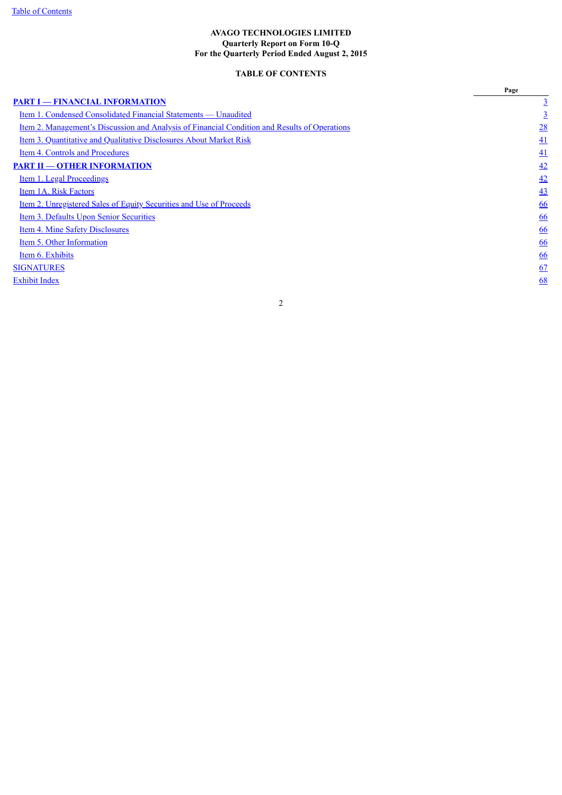## **AVAGO TECHNOLOGIES LIMITED Quarterly Report on Form 10-Q For the Quarterly Period Ended August 2, 2015**

## **TABLE OF CONTENTS**

<span id="page-1-0"></span>

|                                                                                                      | Page           |
|------------------------------------------------------------------------------------------------------|----------------|
| <b>PART I - FINANCIAL INFORMATION</b>                                                                | $\overline{3}$ |
| Item 1. Condensed Consolidated Financial Statements — Unaudited                                      | $\overline{3}$ |
| <u>Item 2. Management's Discussion and Analysis of Financial Condition and Results of Operations</u> | 28             |
| Item 3. Quantitative and Qualitative Disclosures About Market Risk                                   | 41             |
| Item 4. Controls and Procedures                                                                      | 41             |
| <b>PART II - OTHER INFORMATION</b>                                                                   | 42             |
| Item 1. Legal Proceedings                                                                            | 42             |
| Item 1A. Risk Factors                                                                                | 43             |
| <u>Item 2. Unregistered Sales of Equity Securities and Use of Proceeds</u>                           | <u>66</u>      |
| <b>Item 3. Defaults Upon Senior Securities</b>                                                       | <u>66</u>      |
| Item 4. Mine Safety Disclosures                                                                      | <u>66</u>      |
| Item 5. Other Information                                                                            | 66             |
| Item 6. Exhibits                                                                                     | 66             |
| <b>SIGNATURES</b>                                                                                    | 67             |
| <b>Exhibit Index</b>                                                                                 | 68             |
|                                                                                                      |                |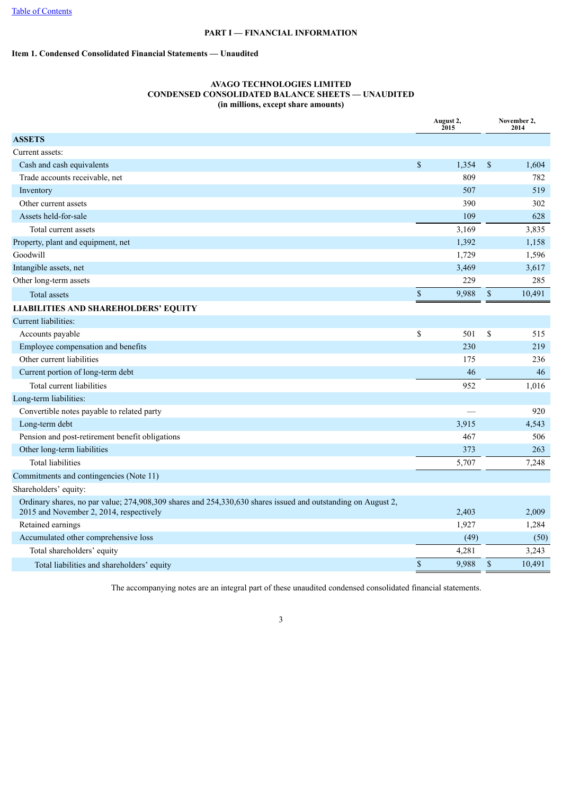## **PART I — FINANCIAL INFORMATION**

<span id="page-2-0"></span>**Item 1. Condensed Consolidated Financial Statements — Unaudited**

## **AVAGO TECHNOLOGIES LIMITED CONDENSED CONSOLIDATED BALANCE SHEETS — UNAUDITED (in millions, except share amounts)**

|                                                                                                                                                         | August 2,<br>2015 |       |      | November 2,<br>2014 |
|---------------------------------------------------------------------------------------------------------------------------------------------------------|-------------------|-------|------|---------------------|
| <b>ASSETS</b>                                                                                                                                           |                   |       |      |                     |
| Current assets:                                                                                                                                         |                   |       |      |                     |
| Cash and cash equivalents                                                                                                                               | $\$$              | 1,354 | \$   | 1,604               |
| Trade accounts receivable, net                                                                                                                          |                   | 809   |      | 782                 |
| Inventory                                                                                                                                               |                   | 507   |      | 519                 |
| Other current assets                                                                                                                                    |                   | 390   |      | 302                 |
| Assets held-for-sale                                                                                                                                    |                   | 109   |      | 628                 |
| Total current assets                                                                                                                                    |                   | 3,169 |      | 3,835               |
| Property, plant and equipment, net                                                                                                                      |                   | 1,392 |      | 1,158               |
| Goodwill                                                                                                                                                |                   | 1,729 |      | 1,596               |
| Intangible assets, net                                                                                                                                  |                   | 3,469 |      | 3,617               |
| Other long-term assets                                                                                                                                  |                   | 229   |      | 285                 |
| Total assets                                                                                                                                            | $\mathbb{S}$      | 9,988 | $\$$ | 10,491              |
| <b>LIABILITIES AND SHAREHOLDERS' EQUITY</b>                                                                                                             |                   |       |      |                     |
| Current liabilities:                                                                                                                                    |                   |       |      |                     |
| Accounts payable                                                                                                                                        | \$                | 501   | \$   | 515                 |
| Employee compensation and benefits                                                                                                                      |                   | 230   |      | 219                 |
| Other current liabilities                                                                                                                               |                   | 175   |      | 236                 |
| Current portion of long-term debt                                                                                                                       |                   | 46    |      | 46                  |
| Total current liabilities                                                                                                                               |                   | 952   |      | 1,016               |
| Long-term liabilities:                                                                                                                                  |                   |       |      |                     |
| Convertible notes payable to related party                                                                                                              |                   |       |      | 920                 |
| Long-term debt                                                                                                                                          |                   | 3,915 |      | 4,543               |
| Pension and post-retirement benefit obligations                                                                                                         |                   | 467   |      | 506                 |
| Other long-term liabilities                                                                                                                             |                   | 373   |      | 263                 |
| <b>Total liabilities</b>                                                                                                                                |                   | 5,707 |      | 7,248               |
| Commitments and contingencies (Note 11)                                                                                                                 |                   |       |      |                     |
| Shareholders' equity:                                                                                                                                   |                   |       |      |                     |
| Ordinary shares, no par value; 274,908,309 shares and 254,330,630 shares issued and outstanding on August 2,<br>2015 and November 2, 2014, respectively |                   | 2,403 |      | 2,009               |
| Retained earnings                                                                                                                                       |                   | 1,927 |      | 1,284               |
| Accumulated other comprehensive loss                                                                                                                    |                   | (49)  |      | (50)                |
| Total shareholders' equity                                                                                                                              |                   | 4,281 |      | 3,243               |
| Total liabilities and shareholders' equity                                                                                                              | \$                | 9,988 | \$   | 10,491              |

The accompanying notes are an integral part of these unaudited condensed consolidated financial statements.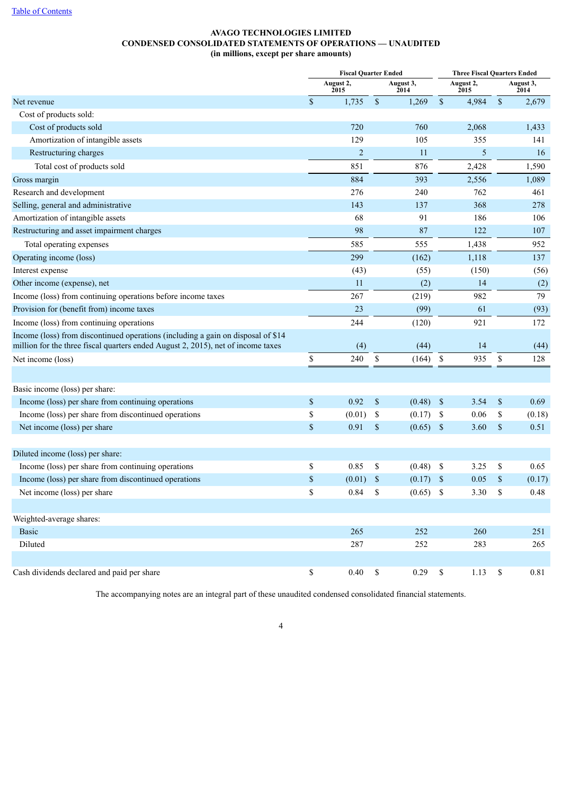## **AVAGO TECHNOLOGIES LIMITED CONDENSED CONSOLIDATED STATEMENTS OF OPERATIONS — UNAUDITED (in millions, except per share amounts)**

|                                                                                                                                                                      | <b>Fiscal Quarter Ended</b> |                   |               |                   |                    | <b>Three Fiscal Quarters Ended</b> |              |                   |
|----------------------------------------------------------------------------------------------------------------------------------------------------------------------|-----------------------------|-------------------|---------------|-------------------|--------------------|------------------------------------|--------------|-------------------|
|                                                                                                                                                                      |                             | August 2,<br>2015 |               | August 3,<br>2014 |                    | August 2,<br>2015                  |              | August 3,<br>2014 |
| Net revenue                                                                                                                                                          | $\mathbb{S}$                | 1,735             | $\mathbb{S}$  | 1,269             | $\mathbb{S}$       | 4,984                              | \$           | 2,679             |
| Cost of products sold:                                                                                                                                               |                             |                   |               |                   |                    |                                    |              |                   |
| Cost of products sold                                                                                                                                                |                             | 720               |               | 760               |                    | 2,068                              |              | 1,433             |
| Amortization of intangible assets                                                                                                                                    |                             | 129               |               | 105               |                    | 355                                |              | 141               |
| Restructuring charges                                                                                                                                                |                             | $\overline{2}$    |               | 11                |                    | 5                                  |              | 16                |
| Total cost of products sold                                                                                                                                          |                             | 851               |               | 876               |                    | 2,428                              |              | 1,590             |
| Gross margin                                                                                                                                                         |                             | 884               |               | 393               |                    | 2,556                              |              | 1,089             |
| Research and development                                                                                                                                             |                             | 276               |               | 240               |                    | 762                                |              | 461               |
| Selling, general and administrative                                                                                                                                  |                             | 143               |               | 137               |                    | 368                                |              | 278               |
| Amortization of intangible assets                                                                                                                                    |                             | 68                |               | 91                |                    | 186                                |              | 106               |
| Restructuring and asset impairment charges                                                                                                                           |                             | 98                |               | 87                |                    | 122                                |              | 107               |
| Total operating expenses                                                                                                                                             |                             | 585               |               | 555               |                    | 1,438                              |              | 952               |
| Operating income (loss)                                                                                                                                              |                             | 299               |               | (162)             |                    | 1,118                              |              | 137               |
| Interest expense                                                                                                                                                     |                             | (43)              |               | (55)              |                    | (150)                              |              | (56)              |
| Other income (expense), net                                                                                                                                          |                             | 11                |               | (2)               |                    | 14                                 |              | (2)               |
| Income (loss) from continuing operations before income taxes                                                                                                         |                             | 267               |               | (219)             |                    | 982                                |              | 79                |
| Provision for (benefit from) income taxes                                                                                                                            |                             | 23                |               | (99)              |                    | 61                                 |              | (93)              |
| Income (loss) from continuing operations                                                                                                                             |                             | 244               |               | (120)             |                    | 921                                |              | 172               |
| Income (loss) from discontinued operations (including a gain on disposal of \$14<br>million for the three fiscal quarters ended August 2, 2015), net of income taxes |                             | (4)               |               | (44)              |                    | 14                                 |              | (44)              |
| Net income (loss)                                                                                                                                                    | $\mathbb{S}$                | 240               | $\mathbb{S}$  | (164)             | $\mathbb{S}$       | 935                                | $\mathbb{S}$ | 128               |
|                                                                                                                                                                      |                             |                   |               |                   |                    |                                    |              |                   |
| Basic income (loss) per share:                                                                                                                                       |                             |                   |               |                   |                    |                                    |              |                   |
| Income (loss) per share from continuing operations                                                                                                                   | \$                          | 0.92              | $\mathcal{S}$ | (0.48)            | $\mathbf{\hat{S}}$ | 3.54                               | \$           | 0.69              |
| Income (loss) per share from discontinued operations                                                                                                                 | \$                          | (0.01)            | $\mathbb{S}$  | (0.17)            | $\mathbf{\hat{s}}$ | 0.06                               | \$           | (0.18)            |
| Net income (loss) per share                                                                                                                                          | $\$$                        | 0.91              | \$            | $(0.65)$ \$       |                    | 3.60                               | $\$$         | 0.51              |
|                                                                                                                                                                      |                             |                   |               |                   |                    |                                    |              |                   |
| Diluted income (loss) per share:                                                                                                                                     |                             |                   |               |                   |                    |                                    |              |                   |
| Income (loss) per share from continuing operations                                                                                                                   | \$                          | 0.85              | \$            | (0.48)            | -\$                | 3.25                               | \$           | 0.65              |
| Income (loss) per share from discontinued operations                                                                                                                 | $\$$                        | $(0.01)$ \$       |               | $(0.17)$ \$       |                    | 0.05                               | $\mathbb{S}$ | (0.17)            |
| Net income (loss) per share                                                                                                                                          | \$                          | $0.84$ \$         |               | $(0.65)$ \$       |                    | 3.30 S                             |              | $0.48\,$          |
|                                                                                                                                                                      |                             |                   |               |                   |                    |                                    |              |                   |
| Weighted-average shares:                                                                                                                                             |                             |                   |               |                   |                    |                                    |              |                   |
| Basic                                                                                                                                                                |                             | 265               |               | 252               |                    | 260                                |              | 251               |
| Diluted                                                                                                                                                              |                             | 287               |               | 252               |                    | 283                                |              | 265               |
|                                                                                                                                                                      |                             |                   |               |                   |                    |                                    |              |                   |
| Cash dividends declared and paid per share                                                                                                                           | $\mathbb S$                 | $0.40\,$          | $\mathbb{S}$  | 0.29              | $\mathbb S$        | 1.13                               | $\mathbb{S}$ | 0.81              |

The accompanying notes are an integral part of these unaudited condensed consolidated financial statements.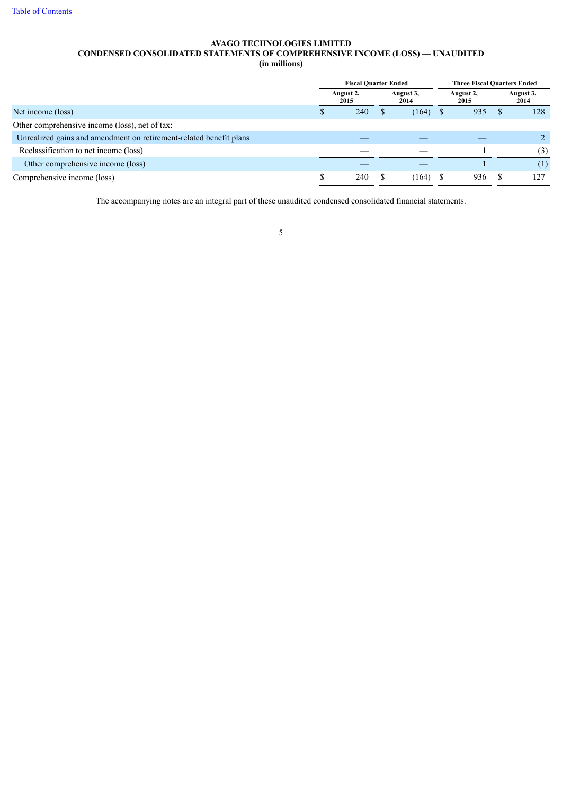## **AVAGO TECHNOLOGIES LIMITED CONDENSED CONSOLIDATED STATEMENTS OF COMPREHENSIVE INCOME (LOSS) — UNAUDITED (in millions)**

|                                                                    | <b>Fiscal Quarter Ended</b> |  |                   | <b>Three Fiscal Quarters Ended</b> |                   |  |                   |
|--------------------------------------------------------------------|-----------------------------|--|-------------------|------------------------------------|-------------------|--|-------------------|
|                                                                    | August 2,<br>2015           |  | August 3,<br>2014 |                                    | August 2,<br>2015 |  | August 3,<br>2014 |
| Net income (loss)                                                  | 240                         |  | (164)             |                                    | 935               |  | 128               |
| Other comprehensive income (loss), net of tax:                     |                             |  |                   |                                    |                   |  |                   |
| Unrealized gains and amendment on retirement-related benefit plans |                             |  |                   |                                    |                   |  |                   |
| Reclassification to net income (loss)                              |                             |  |                   |                                    |                   |  | (3)               |
| Other comprehensive income (loss)                                  |                             |  |                   |                                    |                   |  | (1)               |
| Comprehensive income (loss)                                        | 240                         |  | (164)             |                                    | 936               |  |                   |

The accompanying notes are an integral part of these unaudited condensed consolidated financial statements.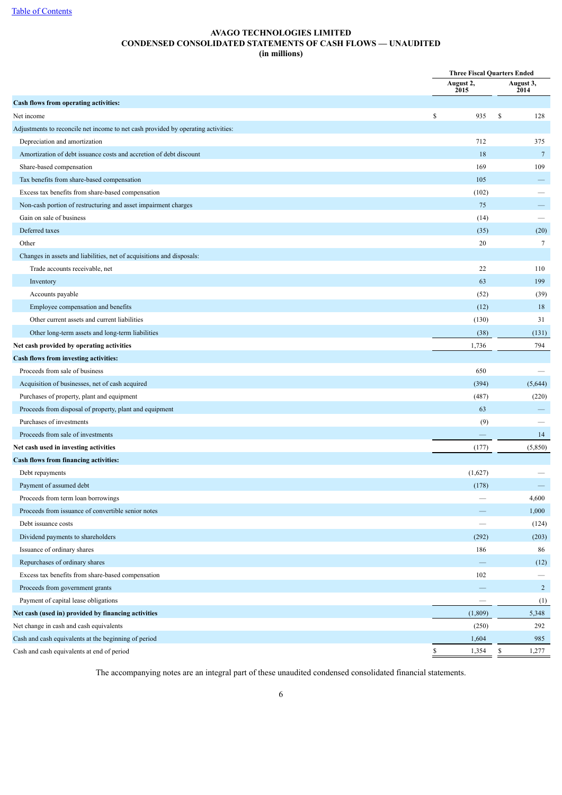## **AVAGO TECHNOLOGIES LIMITED CONDENSED CONSOLIDATED STATEMENTS OF CASH FLOWS — UNAUDITED (in millions)**

|                                                                                                                                                                                                                                                                                                                                                                                                                                                                                                |                   | <b>Three Fiscal Quarters Ended</b> |  |
|------------------------------------------------------------------------------------------------------------------------------------------------------------------------------------------------------------------------------------------------------------------------------------------------------------------------------------------------------------------------------------------------------------------------------------------------------------------------------------------------|-------------------|------------------------------------|--|
| Cash flows from operating activities:<br>Net income<br>Adjustments to reconcile net income to net cash provided by operating activities:<br>Depreciation and amortization<br>Amortization of debt issuance costs and accretion of debt discount<br>Share-based compensation<br>Tax benefits from share-based compensation<br>Excess tax benefits from share-based compensation<br>Non-cash portion of restructuring and asset impairment charges<br>Gain on sale of business<br>Deferred taxes | August 2,<br>2015 | August 3,<br>2014                  |  |
|                                                                                                                                                                                                                                                                                                                                                                                                                                                                                                |                   |                                    |  |
|                                                                                                                                                                                                                                                                                                                                                                                                                                                                                                | 935<br>\$         | $\mathbf{\$}$<br>128               |  |
|                                                                                                                                                                                                                                                                                                                                                                                                                                                                                                |                   |                                    |  |
|                                                                                                                                                                                                                                                                                                                                                                                                                                                                                                | 712               | 375                                |  |
|                                                                                                                                                                                                                                                                                                                                                                                                                                                                                                | 18                | $7\phantom{.0}$                    |  |
|                                                                                                                                                                                                                                                                                                                                                                                                                                                                                                | 169               | 109                                |  |
|                                                                                                                                                                                                                                                                                                                                                                                                                                                                                                | 105               |                                    |  |
|                                                                                                                                                                                                                                                                                                                                                                                                                                                                                                | (102)             |                                    |  |
|                                                                                                                                                                                                                                                                                                                                                                                                                                                                                                | 75                |                                    |  |
|                                                                                                                                                                                                                                                                                                                                                                                                                                                                                                | (14)              |                                    |  |
|                                                                                                                                                                                                                                                                                                                                                                                                                                                                                                | (35)              | (20)                               |  |
| Other                                                                                                                                                                                                                                                                                                                                                                                                                                                                                          | 20                | $\overline{7}$                     |  |
| Changes in assets and liabilities, net of acquisitions and disposals:                                                                                                                                                                                                                                                                                                                                                                                                                          |                   |                                    |  |
| Trade accounts receivable, net                                                                                                                                                                                                                                                                                                                                                                                                                                                                 | 22                | 110                                |  |
| Inventory                                                                                                                                                                                                                                                                                                                                                                                                                                                                                      | 63                | 199                                |  |
| Accounts payable                                                                                                                                                                                                                                                                                                                                                                                                                                                                               | (52)              | (39)                               |  |
| Employee compensation and benefits                                                                                                                                                                                                                                                                                                                                                                                                                                                             | (12)              | 18                                 |  |
| Other current assets and current liabilities                                                                                                                                                                                                                                                                                                                                                                                                                                                   | (130)             | 31                                 |  |
| Other long-term assets and long-term liabilities                                                                                                                                                                                                                                                                                                                                                                                                                                               | (38)              | (131)                              |  |
| Net cash provided by operating activities                                                                                                                                                                                                                                                                                                                                                                                                                                                      | 1,736             | 794                                |  |
| Cash flows from investing activities:                                                                                                                                                                                                                                                                                                                                                                                                                                                          |                   |                                    |  |
| Proceeds from sale of business                                                                                                                                                                                                                                                                                                                                                                                                                                                                 | 650               |                                    |  |
| Acquisition of businesses, net of cash acquired                                                                                                                                                                                                                                                                                                                                                                                                                                                | (394)             | (5,644)                            |  |
| Purchases of property, plant and equipment                                                                                                                                                                                                                                                                                                                                                                                                                                                     | (487)             | (220)                              |  |
| Proceeds from disposal of property, plant and equipment                                                                                                                                                                                                                                                                                                                                                                                                                                        | 63                |                                    |  |
| Purchases of investments                                                                                                                                                                                                                                                                                                                                                                                                                                                                       | (9)               |                                    |  |
| Proceeds from sale of investments                                                                                                                                                                                                                                                                                                                                                                                                                                                              |                   | 14                                 |  |
| Net cash used in investing activities                                                                                                                                                                                                                                                                                                                                                                                                                                                          | (177)             | (5,850)                            |  |
| Cash flows from financing activities:                                                                                                                                                                                                                                                                                                                                                                                                                                                          |                   |                                    |  |
| Debt repayments                                                                                                                                                                                                                                                                                                                                                                                                                                                                                | (1,627)           |                                    |  |
| Payment of assumed debt                                                                                                                                                                                                                                                                                                                                                                                                                                                                        | (178)             |                                    |  |
| Proceeds from term loan borrowings                                                                                                                                                                                                                                                                                                                                                                                                                                                             |                   | 4,600                              |  |
| Proceeds from issuance of convertible senior notes                                                                                                                                                                                                                                                                                                                                                                                                                                             |                   | 1,000                              |  |
| Debt issuance costs                                                                                                                                                                                                                                                                                                                                                                                                                                                                            |                   | (124)                              |  |
| Dividend payments to shareholders                                                                                                                                                                                                                                                                                                                                                                                                                                                              | (292)             | (203)                              |  |
| Issuance of ordinary shares                                                                                                                                                                                                                                                                                                                                                                                                                                                                    | 186               | 86                                 |  |
| Repurchases of ordinary shares                                                                                                                                                                                                                                                                                                                                                                                                                                                                 |                   | (12)                               |  |
| Excess tax benefits from share-based compensation                                                                                                                                                                                                                                                                                                                                                                                                                                              | 102               |                                    |  |
| Proceeds from government grants                                                                                                                                                                                                                                                                                                                                                                                                                                                                |                   | $\overline{c}$                     |  |
| Payment of capital lease obligations                                                                                                                                                                                                                                                                                                                                                                                                                                                           |                   | (1)                                |  |
| Net cash (used in) provided by financing activities                                                                                                                                                                                                                                                                                                                                                                                                                                            | (1, 809)          | 5,348                              |  |
| Net change in cash and cash equivalents                                                                                                                                                                                                                                                                                                                                                                                                                                                        | (250)             | 292                                |  |
| Cash and cash equivalents at the beginning of period                                                                                                                                                                                                                                                                                                                                                                                                                                           | 1,604             | 985                                |  |
| Cash and cash equivalents at end of period                                                                                                                                                                                                                                                                                                                                                                                                                                                     | \$<br>1,354       | \$<br>1,277                        |  |

The accompanying notes are an integral part of these unaudited condensed consolidated financial statements.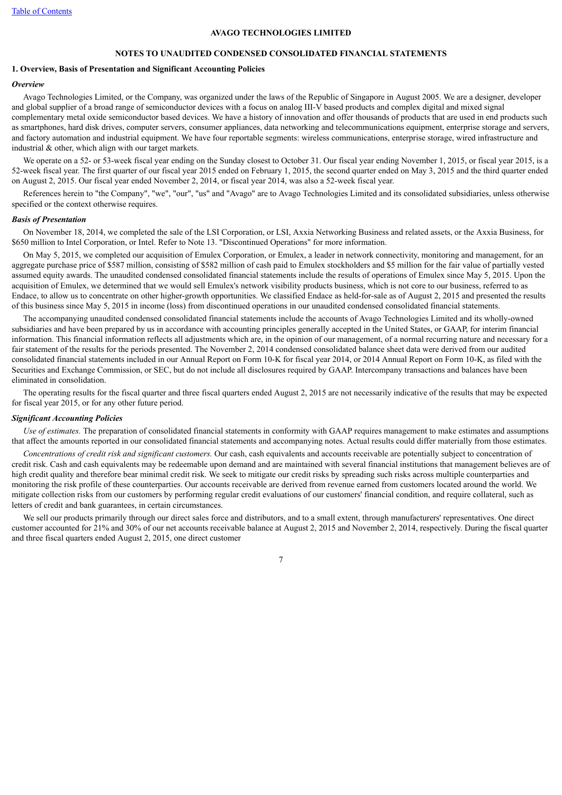## **AVAGO TECHNOLOGIES LIMITED**

## **NOTES TO UNAUDITED CONDENSED CONSOLIDATED FINANCIAL STATEMENTS**

## **1. Overview, Basis of Presentation and Significant Accounting Policies**

#### *Overview*

Avago Technologies Limited, or the Company, was organized under the laws of the Republic of Singapore in August 2005. We are a designer, developer and global supplier of a broad range of semiconductor devices with a focus on analog III-V based products and complex digital and mixed signal complementary metal oxide semiconductor based devices. We have a history of innovation and offer thousands of products that are used in end products such as smartphones, hard disk drives, computer servers, consumer appliances, data networking and telecommunications equipment, enterprise storage and servers, and factory automation and industrial equipment. We have four reportable segments: wireless communications, enterprise storage, wired infrastructure and industrial & other, which align with our target markets.

We operate on a 52- or 53-week fiscal year ending on the Sunday closest to October 31. Our fiscal year ending November 1, 2015, or fiscal year 2015, is a 52-week fiscal year. The first quarter of our fiscal year 2015 ended on February 1, 2015, the second quarter ended on May 3, 2015 and the third quarter ended on August 2, 2015. Our fiscal year ended November 2, 2014, or fiscal year 2014, was also a 52-week fiscal year.

References herein to "the Company", "we", "our", "us" and "Avago" are to Avago Technologies Limited and its consolidated subsidiaries, unless otherwise specified or the context otherwise requires.

#### *Basis of Presentation*

On November 18, 2014, we completed the sale of the LSI Corporation, or LSI, Axxia Networking Business and related assets, or the Axxia Business, for \$650 million to Intel Corporation, or Intel. Refer to Note 13. "Discontinued Operations" for more information.

On May 5, 2015, we completed our acquisition of Emulex Corporation, or Emulex, a leader in network connectivity, monitoring and management, for an aggregate purchase price of \$587 million, consisting of \$582 million of cash paid to Emulex stockholders and \$5 million for the fair value of partially vested assumed equity awards. The unaudited condensed consolidated financial statements include the results of operations of Emulex since May 5, 2015. Upon the acquisition of Emulex, we determined that we would sell Emulex's network visibility products business, which is not core to our business, referred to as Endace, to allow us to concentrate on other higher-growth opportunities. We classified Endace as held-for-sale as of August 2, 2015 and presented the results of this business since May 5, 2015 in income (loss) from discontinued operations in our unaudited condensed consolidated financial statements.

The accompanying unaudited condensed consolidated financial statements include the accounts of Avago Technologies Limited and its wholly-owned subsidiaries and have been prepared by us in accordance with accounting principles generally accepted in the United States, or GAAP, for interim financial information. This financial information reflects all adjustments which are, in the opinion of our management, of a normal recurring nature and necessary for a fair statement of the results for the periods presented. The November 2, 2014 condensed consolidated balance sheet data were derived from our audited consolidated financial statements included in our Annual Report on Form 10-K for fiscal year 2014, or 2014 Annual Report on Form 10-K, as filed with the Securities and Exchange Commission, or SEC, but do not include all disclosures required by GAAP. Intercompany transactions and balances have been eliminated in consolidation.

The operating results for the fiscal quarter and three fiscal quarters ended August 2, 2015 are not necessarily indicative of the results that may be expected for fiscal year 2015, or for any other future period.

## *Significant Accounting Policies*

*Use of estimates.* The preparation of consolidated financial statements in conformity with GAAP requires management to make estimates and assumptions that affect the amounts reported in our consolidated financial statements and accompanying notes. Actual results could differ materially from those estimates.

*Concentrations of credit risk and significant customers.* Our cash, cash equivalents and accounts receivable are potentially subject to concentration of credit risk. Cash and cash equivalents may be redeemable upon demand and are maintained with several financial institutions that management believes are of high credit quality and therefore bear minimal credit risk. We seek to mitigate our credit risks by spreading such risks across multiple counterparties and monitoring the risk profile of these counterparties. Our accounts receivable are derived from revenue earned from customers located around the world. We mitigate collection risks from our customers by performing regular credit evaluations of our customers' financial condition, and require collateral, such as letters of credit and bank guarantees, in certain circumstances.

We sell our products primarily through our direct sales force and distributors, and to a small extent, through manufacturers' representatives. One direct customer accounted for 21% and 30% of our net accounts receivable balance at August 2, 2015 and November 2, 2014, respectively. During the fiscal quarter and three fiscal quarters ended August 2, 2015, one direct customer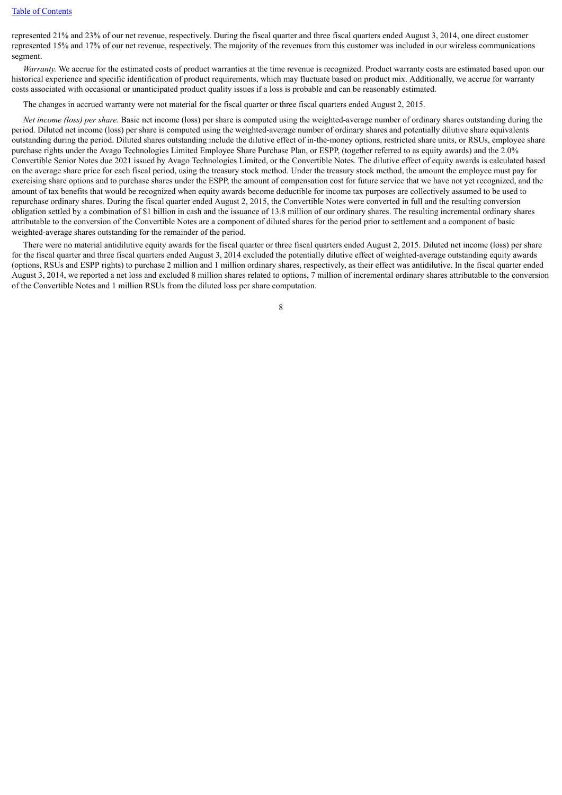represented 21% and 23% of our net revenue, respectively. During the fiscal quarter and three fiscal quarters ended August 3, 2014, one direct customer represented 15% and 17% of our net revenue, respectively. The majority of the revenues from this customer was included in our wireless communications segment.

*Warranty.* We accrue for the estimated costs of product warranties at the time revenue is recognized. Product warranty costs are estimated based upon our historical experience and specific identification of product requirements, which may fluctuate based on product mix. Additionally, we accrue for warranty costs associated with occasional or unanticipated product quality issues if a loss is probable and can be reasonably estimated.

The changes in accrued warranty were not material for the fiscal quarter or three fiscal quarters ended August 2, 2015.

*Net income (loss) per share*. Basic net income (loss) per share is computed using the weighted-average number of ordinary shares outstanding during the period. Diluted net income (loss) per share is computed using the weighted-average number of ordinary shares and potentially dilutive share equivalents outstanding during the period. Diluted shares outstanding include the dilutive effect of in-the-money options, restricted share units, or RSUs, employee share purchase rights under the Avago Technologies Limited Employee Share Purchase Plan, or ESPP, (together referred to as equity awards) and the 2.0% Convertible Senior Notes due 2021 issued by Avago Technologies Limited, or the Convertible Notes. The dilutive effect of equity awards is calculated based on the average share price for each fiscal period, using the treasury stock method. Under the treasury stock method, the amount the employee must pay for exercising share options and to purchase shares under the ESPP, the amount of compensation cost for future service that we have not yet recognized, and the amount of tax benefits that would be recognized when equity awards become deductible for income tax purposes are collectively assumed to be used to repurchase ordinary shares. During the fiscal quarter ended August 2, 2015, the Convertible Notes were converted in full and the resulting conversion obligation settled by a combination of \$1 billion in cash and the issuance of 13.8 million of our ordinary shares. The resulting incremental ordinary shares attributable to the conversion of the Convertible Notes are a component of diluted shares for the period prior to settlement and a component of basic weighted-average shares outstanding for the remainder of the period.

There were no material antidilutive equity awards for the fiscal quarter or three fiscal quarters ended August 2, 2015. Diluted net income (loss) per share for the fiscal quarter and three fiscal quarters ended August 3, 2014 excluded the potentially dilutive effect of weighted-average outstanding equity awards (options, RSUs and ESPP rights) to purchase 2 million and 1 million ordinary shares, respectively, as their effect was antidilutive. In the fiscal quarter ended August 3, 2014, we reported a net loss and excluded 8 million shares related to options, 7 million of incremental ordinary shares attributable to the conversion of the Convertible Notes and 1 million RSUs from the diluted loss per share computation.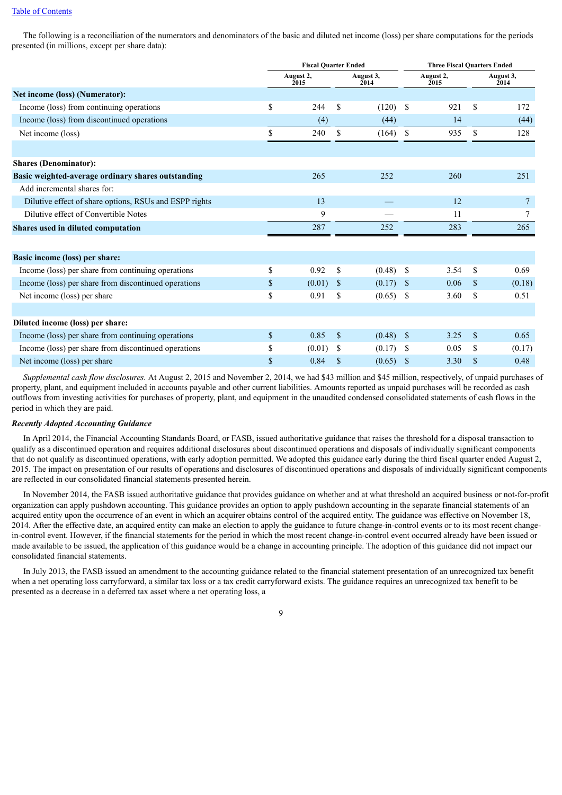The following is a reconciliation of the numerators and denominators of the basic and diluted net income (loss) per share computations for the periods presented (in millions, except per share data):

|                                                        | <b>Fiscal Ouarter Ended</b> |               |                   | <b>Three Fiscal Quarters Ended</b> |      |               |        |  |  |  |  |  |  |  |  |  |  |  |                   |  |                   |
|--------------------------------------------------------|-----------------------------|---------------|-------------------|------------------------------------|------|---------------|--------|--|--|--|--|--|--|--|--|--|--|--|-------------------|--|-------------------|
|                                                        | August 2,<br>2015           |               | August 3,<br>2014 |                                    |      |               |        |  |  |  |  |  |  |  |  |  |  |  | August 2,<br>2015 |  | August 3,<br>2014 |
| Net income (loss) (Numerator):                         |                             |               |                   |                                    |      |               |        |  |  |  |  |  |  |  |  |  |  |  |                   |  |                   |
| Income (loss) from continuing operations               | \$<br>244                   | \$            | (120)             | <sup>\$</sup>                      | 921  | <sup>\$</sup> | 172    |  |  |  |  |  |  |  |  |  |  |  |                   |  |                   |
| Income (loss) from discontinued operations             | (4)                         |               | (44)              |                                    | 14   |               | (44)   |  |  |  |  |  |  |  |  |  |  |  |                   |  |                   |
| Net income (loss)                                      | \$<br>240                   | \$            | (164)             | \$                                 | 935  | \$            | 128    |  |  |  |  |  |  |  |  |  |  |  |                   |  |                   |
| <b>Shares (Denominator):</b>                           |                             |               |                   |                                    |      |               |        |  |  |  |  |  |  |  |  |  |  |  |                   |  |                   |
| Basic weighted-average ordinary shares outstanding     | 265                         |               | 252               |                                    | 260  |               | 251    |  |  |  |  |  |  |  |  |  |  |  |                   |  |                   |
| Add incremental shares for:                            |                             |               |                   |                                    |      |               |        |  |  |  |  |  |  |  |  |  |  |  |                   |  |                   |
| Dilutive effect of share options, RSUs and ESPP rights | 13                          |               |                   |                                    | 12   |               | 7      |  |  |  |  |  |  |  |  |  |  |  |                   |  |                   |
| Dilutive effect of Convertible Notes                   | 9                           |               |                   |                                    | 11   |               | $\tau$ |  |  |  |  |  |  |  |  |  |  |  |                   |  |                   |
| Shares used in diluted computation                     | 287                         |               | 252               |                                    | 283  |               | 265    |  |  |  |  |  |  |  |  |  |  |  |                   |  |                   |
| Basic income (loss) per share:                         |                             |               |                   |                                    |      |               |        |  |  |  |  |  |  |  |  |  |  |  |                   |  |                   |
| Income (loss) per share from continuing operations     | \$<br>0.92                  | \$            | (0.48)            | \$                                 | 3.54 | \$            | 0.69   |  |  |  |  |  |  |  |  |  |  |  |                   |  |                   |
| Income (loss) per share from discontinued operations   | \$<br>(0.01)                | $\mathbb{S}$  | (0.17)            | <sup>\$</sup>                      | 0.06 | \$            | (0.18) |  |  |  |  |  |  |  |  |  |  |  |                   |  |                   |
| Net income (loss) per share                            | \$<br>0.91                  | \$            | (0.65)            | S                                  | 3.60 | <sup>\$</sup> | 0.51   |  |  |  |  |  |  |  |  |  |  |  |                   |  |                   |
|                                                        |                             |               |                   |                                    |      |               |        |  |  |  |  |  |  |  |  |  |  |  |                   |  |                   |
| Diluted income (loss) per share:                       |                             |               |                   |                                    |      |               |        |  |  |  |  |  |  |  |  |  |  |  |                   |  |                   |
| Income (loss) per share from continuing operations     | \$<br>0.85                  | $\mathcal{S}$ | (0.48)            | $\mathcal{S}$                      | 3.25 | $\mathbf S$   | 0.65   |  |  |  |  |  |  |  |  |  |  |  |                   |  |                   |
| Income (loss) per share from discontinued operations   | \$<br>(0.01)                | <sup>\$</sup> | (0.17)            | -S                                 | 0.05 | \$            | (0.17) |  |  |  |  |  |  |  |  |  |  |  |                   |  |                   |
| Net income (loss) per share                            | \$<br>0.84                  | $\mathbb{S}$  | (0.65)            | $\mathcal{S}$                      | 3.30 | \$            | 0.48   |  |  |  |  |  |  |  |  |  |  |  |                   |  |                   |

*Supplemental cash flow disclosures.* At August 2, 2015 and November 2, 2014, we had \$43 million and \$45 million, respectively, of unpaid purchases of property, plant, and equipment included in accounts payable and other current liabilities. Amounts reported as unpaid purchases will be recorded as cash outflows from investing activities for purchases of property, plant, and equipment in the unaudited condensed consolidated statements of cash flows in the period in which they are paid.

#### *Recently Adopted Accounting Guidance*

In April 2014, the Financial Accounting Standards Board, or FASB, issued authoritative guidance that raises the threshold for a disposal transaction to qualify as a discontinued operation and requires additional disclosures about discontinued operations and disposals of individually significant components that do not qualify as discontinued operations, with early adoption permitted. We adopted this guidance early during the third fiscal quarter ended August 2, 2015. The impact on presentation of our results of operations and disclosures of discontinued operations and disposals of individually significant components are reflected in our consolidated financial statements presented herein.

In November 2014, the FASB issued authoritative guidance that provides guidance on whether and at what threshold an acquired business or not-for-profit organization can apply pushdown accounting. This guidance provides an option to apply pushdown accounting in the separate financial statements of an acquired entity upon the occurrence of an event in which an acquirer obtains control of the acquired entity. The guidance was effective on November 18, 2014. After the effective date, an acquired entity can make an election to apply the guidance to future change-in-control events or to its most recent changein-control event. However, if the financial statements for the period in which the most recent change-in-control event occurred already have been issued or made available to be issued, the application of this guidance would be a change in accounting principle. The adoption of this guidance did not impact our consolidated financial statements.

In July 2013, the FASB issued an amendment to the accounting guidance related to the financial statement presentation of an unrecognized tax benefit when a net operating loss carryforward, a similar tax loss or a tax credit carryforward exists. The guidance requires an unrecognized tax benefit to be presented as a decrease in a deferred tax asset where a net operating loss, a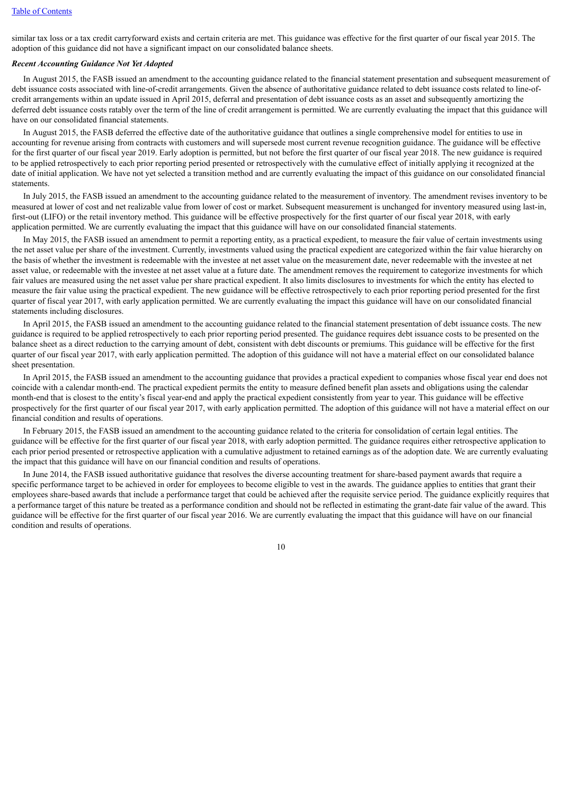similar tax loss or a tax credit carryforward exists and certain criteria are met. This guidance was effective for the first quarter of our fiscal year 2015. The adoption of this guidance did not have a significant impact on our consolidated balance sheets.

#### *Recent Accounting Guidance Not Yet Adopted*

In August 2015, the FASB issued an amendment to the accounting guidance related to the financial statement presentation and subsequent measurement of debt issuance costs associated with line-of-credit arrangements. Given the absence of authoritative guidance related to debt issuance costs related to line-ofcredit arrangements within an update issued in April 2015, deferral and presentation of debt issuance costs as an asset and subsequently amortizing the deferred debt issuance costs ratably over the term of the line of credit arrangement is permitted. We are currently evaluating the impact that this guidance will have on our consolidated financial statements.

In August 2015, the FASB deferred the effective date of the authoritative guidance that outlines a single comprehensive model for entities to use in accounting for revenue arising from contracts with customers and will supersede most current revenue recognition guidance. The guidance will be effective for the first quarter of our fiscal year 2019. Early adoption is permitted, but not before the first quarter of our fiscal year 2018. The new guidance is required to be applied retrospectively to each prior reporting period presented or retrospectively with the cumulative effect of initially applying it recognized at the date of initial application. We have not yet selected a transition method and are currently evaluating the impact of this guidance on our consolidated financial statements.

In July 2015, the FASB issued an amendment to the accounting guidance related to the measurement of inventory. The amendment revises inventory to be measured at lower of cost and net realizable value from lower of cost or market. Subsequent measurement is unchanged for inventory measured using last-in, first-out (LIFO) or the retail inventory method. This guidance will be effective prospectively for the first quarter of our fiscal year 2018, with early application permitted. We are currently evaluating the impact that this guidance will have on our consolidated financial statements.

In May 2015, the FASB issued an amendment to permit a reporting entity, as a practical expedient, to measure the fair value of certain investments using the net asset value per share of the investment. Currently, investments valued using the practical expedient are categorized within the fair value hierarchy on the basis of whether the investment is redeemable with the investee at net asset value on the measurement date, never redeemable with the investee at net asset value, or redeemable with the investee at net asset value at a future date. The amendment removes the requirement to categorize investments for which fair values are measured using the net asset value per share practical expedient. It also limits disclosures to investments for which the entity has elected to measure the fair value using the practical expedient. The new guidance will be effective retrospectively to each prior reporting period presented for the first quarter of fiscal year 2017, with early application permitted. We are currently evaluating the impact this guidance will have on our consolidated financial statements including disclosures.

In April 2015, the FASB issued an amendment to the accounting guidance related to the financial statement presentation of debt issuance costs. The new guidance is required to be applied retrospectively to each prior reporting period presented. The guidance requires debt issuance costs to be presented on the balance sheet as a direct reduction to the carrying amount of debt, consistent with debt discounts or premiums. This guidance will be effective for the first quarter of our fiscal year 2017, with early application permitted. The adoption of this guidance will not have a material effect on our consolidated balance sheet presentation.

In April 2015, the FASB issued an amendment to the accounting guidance that provides a practical expedient to companies whose fiscal year end does not coincide with a calendar month-end. The practical expedient permits the entity to measure defined benefit plan assets and obligations using the calendar month-end that is closest to the entity's fiscal year-end and apply the practical expedient consistently from year to year. This guidance will be effective prospectively for the first quarter of our fiscal year 2017, with early application permitted. The adoption of this guidance will not have a material effect on our financial condition and results of operations.

In February 2015, the FASB issued an amendment to the accounting guidance related to the criteria for consolidation of certain legal entities. The guidance will be effective for the first quarter of our fiscal year 2018, with early adoption permitted. The guidance requires either retrospective application to each prior period presented or retrospective application with a cumulative adjustment to retained earnings as of the adoption date. We are currently evaluating the impact that this guidance will have on our financial condition and results of operations.

In June 2014, the FASB issued authoritative guidance that resolves the diverse accounting treatment for share-based payment awards that require a specific performance target to be achieved in order for employees to become eligible to vest in the awards. The guidance applies to entities that grant their employees share-based awards that include a performance target that could be achieved after the requisite service period. The guidance explicitly requires that a performance target of this nature be treated as a performance condition and should not be reflected in estimating the grant-date fair value of the award. This guidance will be effective for the first quarter of our fiscal year 2016. We are currently evaluating the impact that this guidance will have on our financial condition and results of operations.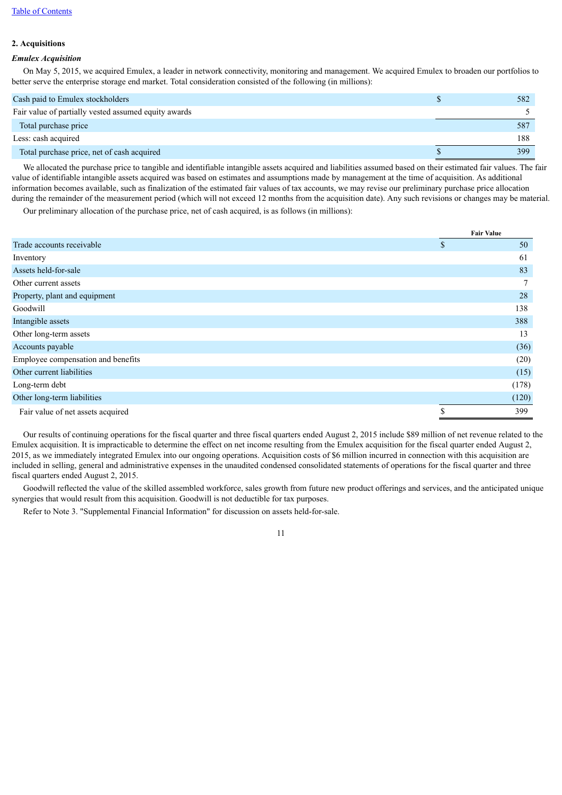## **2. Acquisitions**

## *Emulex Acquisition*

On May 5, 2015, we acquired Emulex, a leader in network connectivity, monitoring and management. We acquired Emulex to broaden our portfolios to better serve the enterprise storage end market. Total consideration consisted of the following (in millions):

| Cash paid to Emulex stockholders                     | 582 |
|------------------------------------------------------|-----|
| Fair value of partially vested assumed equity awards |     |
| Total purchase price                                 | 587 |
| Less: cash acquired                                  | 188 |
| Total purchase price, net of cash acquired           | 399 |

We allocated the purchase price to tangible and identifiable intangible assets acquired and liabilities assumed based on their estimated fair values. The fair value of identifiable intangible assets acquired was based on estimates and assumptions made by management at the time of acquisition. As additional information becomes available, such as finalization of the estimated fair values of tax accounts, we may revise our preliminary purchase price allocation during the remainder of the measurement period (which will not exceed 12 months from the acquisition date). Any such revisions or changes may be material.

Our preliminary allocation of the purchase price, net of cash acquired, is as follows (in millions):

|                                    |               | <b>Fair Value</b> |
|------------------------------------|---------------|-------------------|
| Trade accounts receivable          | $\mathbf{\$}$ | 50                |
| Inventory                          |               | 61                |
| Assets held-for-sale               |               | 83                |
| Other current assets               |               | $\overline{7}$    |
| Property, plant and equipment      |               | 28                |
| Goodwill                           |               | 138               |
| Intangible assets                  |               | 388               |
| Other long-term assets             |               | 13                |
| Accounts payable                   |               | (36)              |
| Employee compensation and benefits |               | (20)              |
| Other current liabilities          |               | (15)              |
| Long-term debt                     |               | (178)             |
| Other long-term liabilities        |               | (120)             |
| Fair value of net assets acquired  | \$            | 399               |
|                                    |               |                   |

Our results of continuing operations for the fiscal quarter and three fiscal quarters ended August 2, 2015 include \$89 million of net revenue related to the Emulex acquisition. It is impracticable to determine the effect on net income resulting from the Emulex acquisition for the fiscal quarter ended August 2, 2015, as we immediately integrated Emulex into our ongoing operations. Acquisition costs of \$6 million incurred in connection with this acquisition are included in selling, general and administrative expenses in the unaudited condensed consolidated statements of operations for the fiscal quarter and three fiscal quarters ended August 2, 2015.

Goodwill reflected the value of the skilled assembled workforce, sales growth from future new product offerings and services, and the anticipated unique synergies that would result from this acquisition. Goodwill is not deductible for tax purposes.

Refer to Note 3. "Supplemental Financial Information" for discussion on assets held-for-sale.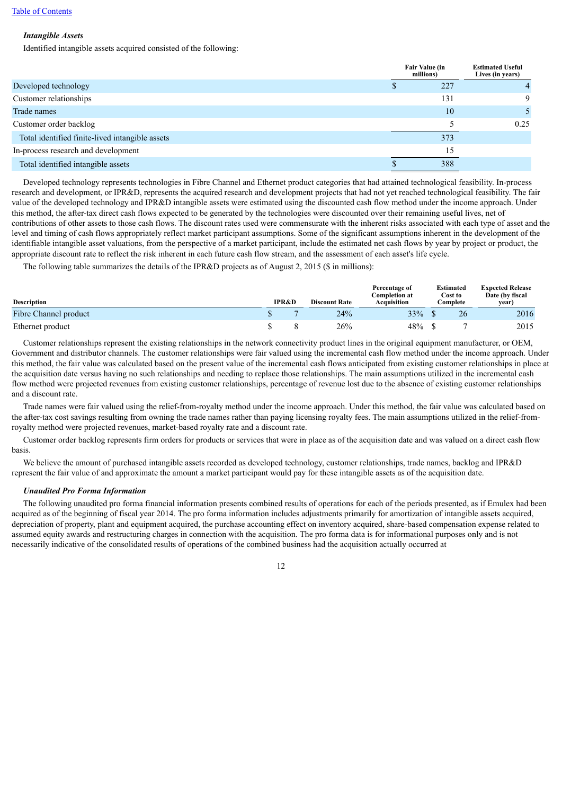## *Intangible Assets*

Identified intangible assets acquired consisted of the following:

|                                                 | <b>Fair Value (in</b><br>millions) |     | <b>Estimated Useful</b><br>Lives (in years) |
|-------------------------------------------------|------------------------------------|-----|---------------------------------------------|
| Developed technology                            |                                    | 227 |                                             |
| Customer relationships                          |                                    | 131 | 9                                           |
| Trade names                                     |                                    | 10  |                                             |
| Customer order backlog                          |                                    |     | 0.25                                        |
| Total identified finite-lived intangible assets |                                    | 373 |                                             |
| In-process research and development             |                                    | .5  |                                             |
| Total identified intangible assets              |                                    | 388 |                                             |

Developed technology represents technologies in Fibre Channel and Ethernet product categories that had attained technological feasibility. In-process research and development, or IPR&D, represents the acquired research and development projects that had not yet reached technological feasibility. The fair value of the developed technology and IPR&D intangible assets were estimated using the discounted cash flow method under the income approach. Under this method, the after-tax direct cash flows expected to be generated by the technologies were discounted over their remaining useful lives, net of contributions of other assets to those cash flows. The discount rates used were commensurate with the inherent risks associated with each type of asset and the level and timing of cash flows appropriately reflect market participant assumptions. Some of the significant assumptions inherent in the development of the identifiable intangible asset valuations, from the perspective of a market participant, include the estimated net cash flows by year by project or product, the appropriate discount rate to reflect the risk inherent in each future cash flow stream, and the assessment of each asset's life cycle.

The following table summarizes the details of the IPR&D projects as of August 2, 2015 (\$ in millions):

| <b>Description</b>    | <b>IPR&amp;D</b> |  | <b>Discount Rate</b> |     |  | Percentage of<br>C <b>ompletion at</b><br><b>Acquisition</b> |      | Estimated<br>Cost to<br>Complete | <b>Expected Release</b><br>Date (by fiscal<br>year) |  |
|-----------------------|------------------|--|----------------------|-----|--|--------------------------------------------------------------|------|----------------------------------|-----------------------------------------------------|--|
| Fibre Channel product |                  |  | 24%                  | 33% |  | 26                                                           | 2016 |                                  |                                                     |  |
| Ethernet product      |                  |  | 26%                  | 48% |  |                                                              | 2015 |                                  |                                                     |  |

Customer relationships represent the existing relationships in the network connectivity product lines in the original equipment manufacturer, or OEM, Government and distributor channels. The customer relationships were fair valued using the incremental cash flow method under the income approach. Under this method, the fair value was calculated based on the present value of the incremental cash flows anticipated from existing customer relationships in place at the acquisition date versus having no such relationships and needing to replace those relationships. The main assumptions utilized in the incremental cash flow method were projected revenues from existing customer relationships, percentage of revenue lost due to the absence of existing customer relationships and a discount rate.

Trade names were fair valued using the relief-from-royalty method under the income approach. Under this method, the fair value was calculated based on the after-tax cost savings resulting from owning the trade names rather than paying licensing royalty fees. The main assumptions utilized in the relief-fromroyalty method were projected revenues, market-based royalty rate and a discount rate.

Customer order backlog represents firm orders for products or services that were in place as of the acquisition date and was valued on a direct cash flow basis.

We believe the amount of purchased intangible assets recorded as developed technology, customer relationships, trade names, backlog and IPR&D represent the fair value of and approximate the amount a market participant would pay for these intangible assets as of the acquisition date.

## *Unaudited Pro Forma Information*

The following unaudited pro forma financial information presents combined results of operations for each of the periods presented, as if Emulex had been acquired as of the beginning of fiscal year 2014. The pro forma information includes adjustments primarily for amortization of intangible assets acquired, depreciation of property, plant and equipment acquired, the purchase accounting effect on inventory acquired, share-based compensation expense related to assumed equity awards and restructuring charges in connection with the acquisition. The pro forma data is for informational purposes only and is not necessarily indicative of the consolidated results of operations of the combined business had the acquisition actually occurred at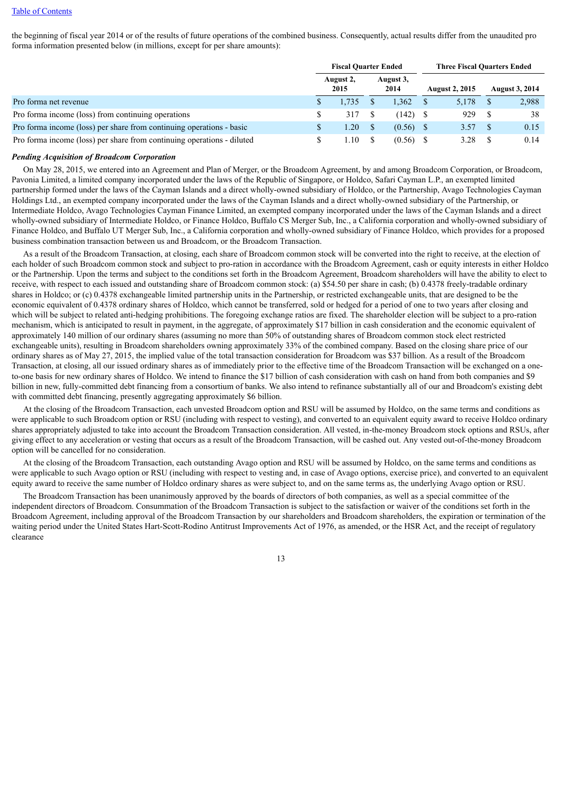the beginning of fiscal year 2014 or of the results of future operations of the combined business. Consequently, actual results differ from the unaudited pro forma information presented below (in millions, except for per share amounts):

|                                                                        | <b>Fiscal Quarter Ended</b> |                   |  |                   | <b>Three Fiscal Quarters Ended</b> |                       |  |                       |
|------------------------------------------------------------------------|-----------------------------|-------------------|--|-------------------|------------------------------------|-----------------------|--|-----------------------|
|                                                                        |                             | August 2,<br>2015 |  | August 3,<br>2014 |                                    | <b>August 2, 2015</b> |  | <b>August 3, 2014</b> |
| Pro forma net revenue                                                  |                             | .735              |  | 1.362             |                                    | 5,178                 |  | 2,988                 |
| Pro forma income (loss) from continuing operations                     |                             | 317               |  | $(142)$ \$        |                                    | 929                   |  | 38                    |
| Pro forma income (loss) per share from continuing operations - basic   |                             | 1.20              |  | $(0.56)$ \$       |                                    | 3.57                  |  | 0.15                  |
| Pro forma income (loss) per share from continuing operations - diluted |                             | .10               |  | $(0.56)$ \$       |                                    | 3.28                  |  | 0.14                  |

## *Pending Acquisition of Broadcom Corporation*

On May 28, 2015, we entered into an Agreement and Plan of Merger, or the Broadcom Agreement, by and among Broadcom Corporation, or Broadcom, Pavonia Limited, a limited company incorporated under the laws of the Republic of Singapore, or Holdco, Safari Cayman L.P., an exempted limited partnership formed under the laws of the Cayman Islands and a direct wholly-owned subsidiary of Holdco, or the Partnership, Avago Technologies Cayman Holdings Ltd., an exempted company incorporated under the laws of the Cayman Islands and a direct wholly-owned subsidiary of the Partnership, or Intermediate Holdco, Avago Technologies Cayman Finance Limited, an exempted company incorporated under the laws of the Cayman Islands and a direct wholly-owned subsidiary of Intermediate Holdco, or Finance Holdco, Buffalo CS Merger Sub, Inc., a California corporation and wholly-owned subsidiary of Finance Holdco, and Buffalo UT Merger Sub, Inc., a California corporation and wholly-owned subsidiary of Finance Holdco, which provides for a proposed business combination transaction between us and Broadcom, or the Broadcom Transaction.

As a result of the Broadcom Transaction, at closing, each share of Broadcom common stock will be converted into the right to receive, at the election of each holder of such Broadcom common stock and subject to pro-ration in accordance with the Broadcom Agreement, cash or equity interests in either Holdco or the Partnership. Upon the terms and subject to the conditions set forth in the Broadcom Agreement, Broadcom shareholders will have the ability to elect to receive, with respect to each issued and outstanding share of Broadcom common stock: (a) \$54.50 per share in cash; (b) 0.4378 freely-tradable ordinary shares in Holdco; or (c) 0.4378 exchangeable limited partnership units in the Partnership, or restricted exchangeable units, that are designed to be the economic equivalent of 0.4378 ordinary shares of Holdco, which cannot be transferred, sold or hedged for a period of one to two years after closing and which will be subject to related anti-hedging prohibitions. The foregoing exchange ratios are fixed. The shareholder election will be subject to a pro-ration mechanism, which is anticipated to result in payment, in the aggregate, of approximately \$17 billion in cash consideration and the economic equivalent of approximately 140 million of our ordinary shares (assuming no more than 50% of outstanding shares of Broadcom common stock elect restricted exchangeable units), resulting in Broadcom shareholders owning approximately 33% of the combined company. Based on the closing share price of our ordinary shares as of May 27, 2015, the implied value of the total transaction consideration for Broadcom was \$37 billion. As a result of the Broadcom Transaction, at closing, all our issued ordinary shares as of immediately prior to the effective time of the Broadcom Transaction will be exchanged on a oneto-one basis for new ordinary shares of Holdco. We intend to finance the \$17 billion of cash consideration with cash on hand from both companies and \$9 billion in new, fully-committed debt financing from a consortium of banks. We also intend to refinance substantially all of our and Broadcom's existing debt with committed debt financing, presently aggregating approximately \$6 billion.

At the closing of the Broadcom Transaction, each unvested Broadcom option and RSU will be assumed by Holdco, on the same terms and conditions as were applicable to such Broadcom option or RSU (including with respect to vesting), and converted to an equivalent equity award to receive Holdco ordinary shares appropriately adjusted to take into account the Broadcom Transaction consideration. All vested, in-the-money Broadcom stock options and RSUs, after giving effect to any acceleration or vesting that occurs as a result of the Broadcom Transaction, will be cashed out. Any vested out-of-the-money Broadcom option will be cancelled for no consideration.

At the closing of the Broadcom Transaction, each outstanding Avago option and RSU will be assumed by Holdco, on the same terms and conditions as were applicable to such Avago option or RSU (including with respect to vesting and, in case of Avago options, exercise price), and converted to an equivalent equity award to receive the same number of Holdco ordinary shares as were subject to, and on the same terms as, the underlying Avago option or RSU.

The Broadcom Transaction has been unanimously approved by the boards of directors of both companies, as well as a special committee of the independent directors of Broadcom. Consummation of the Broadcom Transaction is subject to the satisfaction or waiver of the conditions set forth in the Broadcom Agreement, including approval of the Broadcom Transaction by our shareholders and Broadcom shareholders, the expiration or termination of the waiting period under the United States Hart-Scott-Rodino Antitrust Improvements Act of 1976, as amended, or the HSR Act, and the receipt of regulatory clearance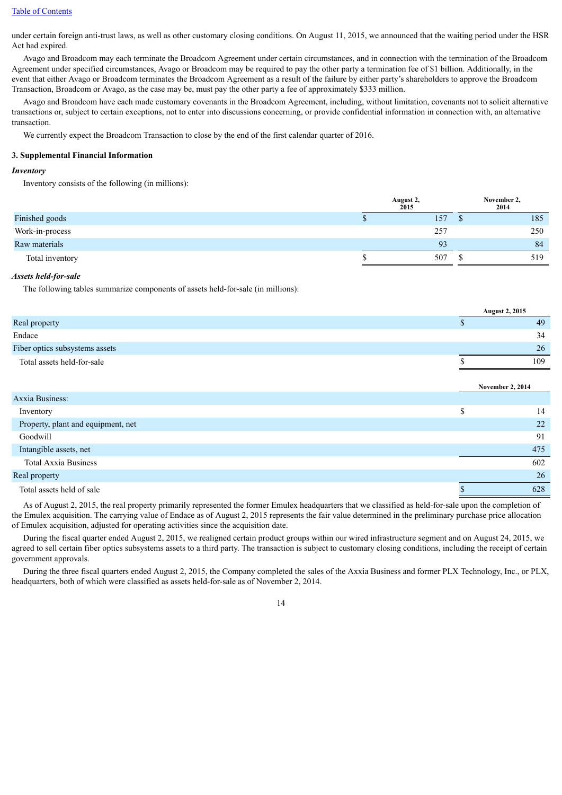under certain foreign anti-trust laws, as well as other customary closing conditions. On August 11, 2015, we announced that the waiting period under the HSR Act had expired.

Avago and Broadcom may each terminate the Broadcom Agreement under certain circumstances, and in connection with the termination of the Broadcom Agreement under specified circumstances, Avago or Broadcom may be required to pay the other party a termination fee of \$1 billion. Additionally, in the event that either Avago or Broadcom terminates the Broadcom Agreement as a result of the failure by either party's shareholders to approve the Broadcom Transaction, Broadcom or Avago, as the case may be, must pay the other party a fee of approximately \$333 million.

Avago and Broadcom have each made customary covenants in the Broadcom Agreement, including, without limitation, covenants not to solicit alternative transactions or, subject to certain exceptions, not to enter into discussions concerning, or provide confidential information in connection with, an alternative transaction.

We currently expect the Broadcom Transaction to close by the end of the first calendar quarter of 2016.

#### **3. Supplemental Financial Information**

## *Inventory*

Inventory consists of the following (in millions):

|                 | August 2,<br>2015 | November 2,<br>2014 |
|-----------------|-------------------|---------------------|
| Finished goods  | 157               | 185                 |
| Work-in-process | 257               | 250                 |
| Raw materials   | 93                | 84                  |
| Total inventory | 507               | 519                 |

## *Assets held-for-sale*

The following tables summarize components of assets held-for-sale (in millions):

|                                | <b>August 2, 2015</b> |
|--------------------------------|-----------------------|
| Real property                  | 49                    |
| Endace                         | 34                    |
| Fiber optics subsystems assets | 26                    |
| Total assets held-for-sale     | 109                   |
|                                |                       |

**November 2, 2014**

|                                    | <b>NOVEMBER 2, 2014</b> |
|------------------------------------|-------------------------|
| Axxia Business:                    |                         |
| Inventory                          | 14                      |
| Property, plant and equipment, net | 22                      |
| Goodwill                           | 91                      |
| Intangible assets, net             | 475                     |
| <b>Total Axxia Business</b>        | 602                     |
| Real property                      | 26                      |
| Total assets held of sale          | 628                     |

As of August 2, 2015, the real property primarily represented the former Emulex headquarters that we classified as held-for-sale upon the completion of the Emulex acquisition. The carrying value of Endace as of August 2, 2015 represents the fair value determined in the preliminary purchase price allocation of Emulex acquisition, adjusted for operating activities since the acquisition date.

During the fiscal quarter ended August 2, 2015, we realigned certain product groups within our wired infrastructure segment and on August 24, 2015, we agreed to sell certain fiber optics subsystems assets to a third party. The transaction is subject to customary closing conditions, including the receipt of certain government approvals.

During the three fiscal quarters ended August 2, 2015, the Company completed the sales of the Axxia Business and former PLX Technology, Inc., or PLX, headquarters, both of which were classified as assets held-for-sale as of November 2, 2014.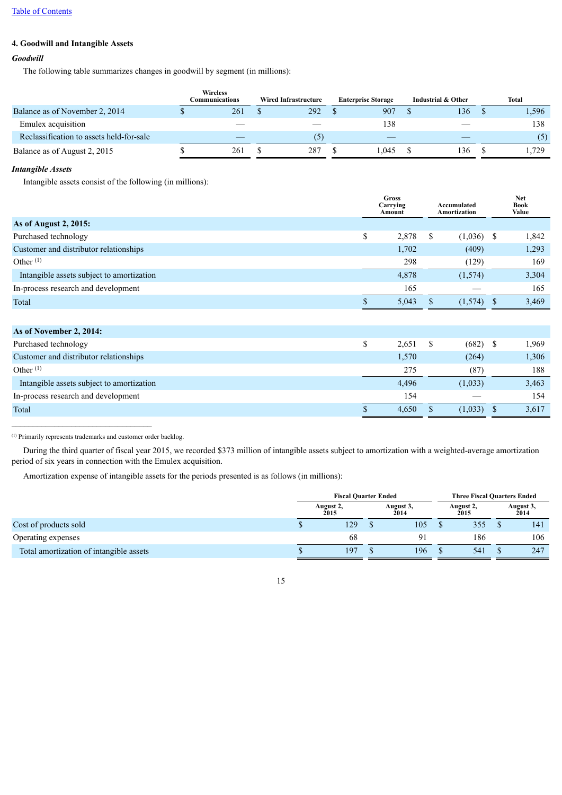## **4. Goodwill and Intangible Assets**

## *Goodwill*

The following table summarizes changes in goodwill by segment (in millions):

|                                          | <b>Wireless</b><br>Communications | <b>Wired Infrastructure</b> | <b>Enterprise Storage</b> | Industrial & Other | <b>Total</b> |
|------------------------------------------|-----------------------------------|-----------------------------|---------------------------|--------------------|--------------|
| Balance as of November 2, 2014           | 261                               | 292                         | 907                       | 136                | 1.596        |
| Emulex acquisition                       |                                   |                             | 138                       |                    | 138          |
| Reclassification to assets held-for-sale |                                   | (5)                         |                           |                    | (5)          |
| Balance as of August 2, 2015             | 261                               | 287                         | .045                      | 136                | 1.729        |

## *Intangible Assets*

Intangible assets consist of the following (in millions):

|                                           | <b>Gross</b><br>Carrying<br>Amount |               | Accumulated<br><b>Amortization</b> |               | <b>Net</b><br><b>Book</b><br>Value |
|-------------------------------------------|------------------------------------|---------------|------------------------------------|---------------|------------------------------------|
| As of August 2, 2015:                     |                                    |               |                                    |               |                                    |
| Purchased technology                      | \$<br>2,878                        | \$            | $(1,036)$ \$                       |               | 1,842                              |
| Customer and distributor relationships    | 1,702                              |               | (409)                              |               | 1,293                              |
| Other $(1)$                               | 298                                |               | (129)                              |               | 169                                |
| Intangible assets subject to amortization | 4,878                              |               | (1,574)                            |               | 3,304                              |
| In-process research and development       | 165                                |               |                                    |               | 165                                |
| Total                                     | 5,043                              | <sup>\$</sup> | (1,574)                            | <sup>\$</sup> | 3,469                              |
|                                           |                                    |               |                                    |               |                                    |
| As of November 2, 2014:                   |                                    |               |                                    |               |                                    |
| Purchased technology                      | \$<br>2,651                        | <sup>\$</sup> | (682)                              | \$            | 1,969                              |
| Customer and distributor relationships    | 1,570                              |               | (264)                              |               | 1,306                              |
| Other $(1)$                               | 275                                |               | (87)                               |               | 188                                |
| Intangible assets subject to amortization | 4,496                              |               | (1,033)                            |               | 3,463                              |
| In-process research and development       | 154                                |               |                                    |               | 154                                |
| Total                                     | \$<br>4,650                        | \$            | (1,033)                            | <sup>\$</sup> | 3,617                              |

(1) Primarily represents trademarks and customer order backlog.

During the third quarter of fiscal year 2015, we recorded \$373 million of intangible assets subject to amortization with a weighted-average amortization period of six years in connection with the Emulex acquisition.

Amortization expense of intangible assets for the periods presented is as follows (in millions):

|                                         | <b>Fiscal Quarter Ended</b> |                   |  |                   |                   |     | <b>Three Fiscal Quarters Ended</b> |                   |  |
|-----------------------------------------|-----------------------------|-------------------|--|-------------------|-------------------|-----|------------------------------------|-------------------|--|
|                                         |                             | August 2,<br>2015 |  | August 3,<br>2014 | August 2,<br>2015 |     |                                    | August 3,<br>2014 |  |
| Cost of products sold                   |                             | 129               |  | 105               |                   | 355 |                                    | 141               |  |
| Operating expenses                      |                             | 68                |  | 91                |                   | 186 |                                    | 106               |  |
| Total amortization of intangible assets |                             | 197               |  | 196               |                   | 541 |                                    | 247               |  |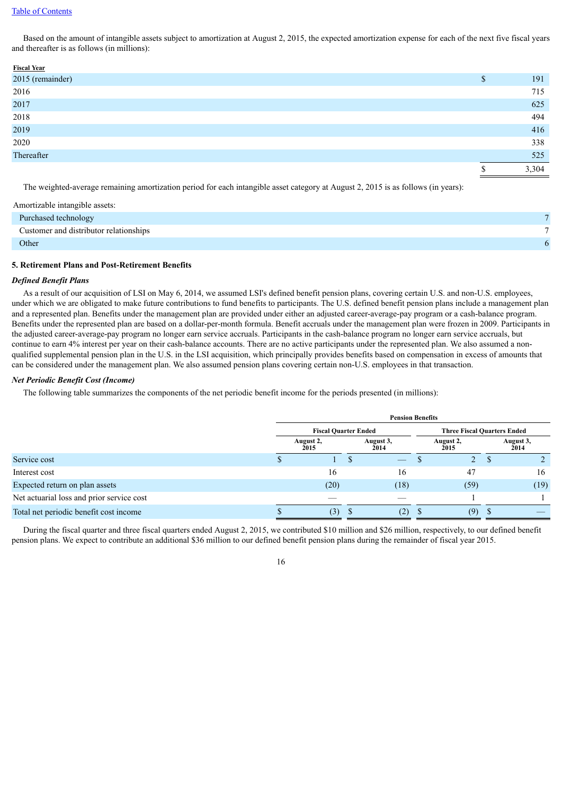Based on the amount of intangible assets subject to amortization at August 2, 2015, the expected amortization expense for each of the next five fiscal years and thereafter is as follows (in millions):

| <b>Fiscal Year</b> |             |       |
|--------------------|-------------|-------|
| 2015 (remainder)   | $\Phi$<br>Ф | 191   |
| 2016               |             | 715   |
| 2017               |             | 625   |
| 2018               |             | 494   |
| 2019               |             | 416   |
| 2020               |             | 338   |
| Thereafter         |             | 525   |
|                    | Φ           | 3,304 |

The weighted-average remaining amortization period for each intangible asset category at August 2, 2015 is as follows (in years):

| Amortizable intangible assets:         |  |
|----------------------------------------|--|
| Purchased technology                   |  |
| Customer and distributor relationships |  |
| Other                                  |  |

## **5. Retirement Plans and Post-Retirement Benefits**

## *Defined Benefit Plans*

As a result of our acquisition of LSI on May 6, 2014, we assumed LSI's defined benefit pension plans, covering certain U.S. and non-U.S. employees, under which we are obligated to make future contributions to fund benefits to participants. The U.S. defined benefit pension plans include a management plan and a represented plan. Benefits under the management plan are provided under either an adjusted career-average-pay program or a cash-balance program. Benefits under the represented plan are based on a dollar-per-month formula. Benefit accruals under the management plan were frozen in 2009. Participants in the adjusted career-average-pay program no longer earn service accruals. Participants in the cash-balance program no longer earn service accruals, but continue to earn 4% interest per year on their cash-balance accounts. There are no active participants under the represented plan. We also assumed a nonqualified supplemental pension plan in the U.S. in the LSI acquisition, which principally provides benefits based on compensation in excess of amounts that can be considered under the management plan. We also assumed pension plans covering certain non-U.S. employees in that transaction.

## *Net Periodic Benefit Cost (Income)*

The following table summarizes the components of the net periodic benefit income for the periods presented (in millions):

|                                           | <b>Pension Benefits</b> |                             |  |                   |                                    |                   |  |                   |  |  |  |  |
|-------------------------------------------|-------------------------|-----------------------------|--|-------------------|------------------------------------|-------------------|--|-------------------|--|--|--|--|
|                                           |                         | <b>Fiscal Quarter Ended</b> |  |                   | <b>Three Fiscal Quarters Ended</b> |                   |  |                   |  |  |  |  |
|                                           |                         | August 2,<br>2015           |  | August 3,<br>2014 |                                    | August 2,<br>2015 |  | August 3,<br>2014 |  |  |  |  |
| Service cost                              |                         |                             |  |                   |                                    | $\overline{2}$    |  |                   |  |  |  |  |
| Interest cost                             |                         | 16                          |  | 16                |                                    | 47                |  | 16                |  |  |  |  |
| Expected return on plan assets            |                         | (20)                        |  | (18)              |                                    | (59)              |  | (19)              |  |  |  |  |
| Net actuarial loss and prior service cost |                         |                             |  |                   |                                    |                   |  |                   |  |  |  |  |
| Total net periodic benefit cost income    |                         | (3)                         |  | (2)               |                                    | (9)               |  |                   |  |  |  |  |

During the fiscal quarter and three fiscal quarters ended August 2, 2015, we contributed \$10 million and \$26 million, respectively, to our defined benefit pension plans. We expect to contribute an additional \$36 million to our defined benefit pension plans during the remainder of fiscal year 2015.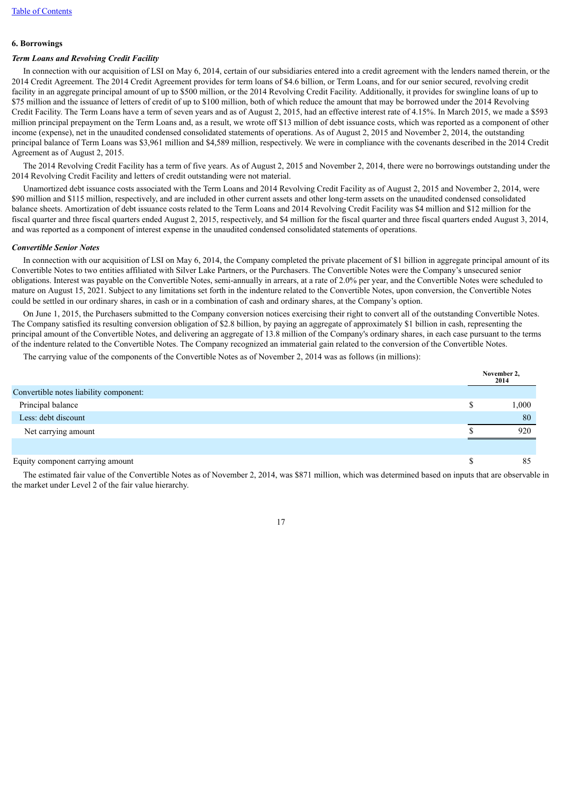## **6. Borrowings**

## *Term Loans and Revolving Credit Facility*

In connection with our acquisition of LSI on May 6, 2014, certain of our subsidiaries entered into a credit agreement with the lenders named therein, or the 2014 Credit Agreement. The 2014 Credit Agreement provides for term loans of \$4.6 billion, or Term Loans, and for our senior secured, revolving credit facility in an aggregate principal amount of up to \$500 million, or the 2014 Revolving Credit Facility. Additionally, it provides for swingline loans of up to \$75 million and the issuance of letters of credit of up to \$100 million, both of which reduce the amount that may be borrowed under the 2014 Revolving Credit Facility. The Term Loans have a term of seven years and as of August 2, 2015, had an effective interest rate of 4.15%. In March 2015, we made a \$593 million principal prepayment on the Term Loans and, as a result, we wrote off \$13 million of debt issuance costs, which was reported as a component of other income (expense), net in the unaudited condensed consolidated statements of operations. As of August 2, 2015 and November 2, 2014, the outstanding principal balance of Term Loans was \$3,961 million and \$4,589 million, respectively. We were in compliance with the covenants described in the 2014 Credit Agreement as of August 2, 2015.

The 2014 Revolving Credit Facility has a term of five years. As of August 2, 2015 and November 2, 2014, there were no borrowings outstanding under the 2014 Revolving Credit Facility and letters of credit outstanding were not material.

Unamortized debt issuance costs associated with the Term Loans and 2014 Revolving Credit Facility as of August 2, 2015 and November 2, 2014, were \$90 million and \$115 million, respectively, and are included in other current assets and other long-term assets on the unaudited condensed consolidated balance sheets. Amortization of debt issuance costs related to the Term Loans and 2014 Revolving Credit Facility was \$4 million and \$12 million for the fiscal quarter and three fiscal quarters ended August 2, 2015, respectively, and \$4 million for the fiscal quarter and three fiscal quarters ended August 3, 2014, and was reported as a component of interest expense in the unaudited condensed consolidated statements of operations.

#### *Convertible Senior Notes*

In connection with our acquisition of LSI on May 6, 2014, the Company completed the private placement of \$1 billion in aggregate principal amount of its Convertible Notes to two entities affiliated with Silver Lake Partners, or the Purchasers. The Convertible Notes were the Company's unsecured senior obligations. Interest was payable on the Convertible Notes, semi-annually in arrears, at a rate of 2.0% per year, and the Convertible Notes were scheduled to mature on August 15, 2021. Subject to any limitations set forth in the indenture related to the Convertible Notes, upon conversion, the Convertible Notes could be settled in our ordinary shares, in cash or in a combination of cash and ordinary shares, at the Company's option.

On June 1, 2015, the Purchasers submitted to the Company conversion notices exercising their right to convert all of the outstanding Convertible Notes. The Company satisfied its resulting conversion obligation of \$2.8 billion, by paying an aggregate of approximately \$1 billion in cash, representing the principal amount of the Convertible Notes, and delivering an aggregate of 13.8 million of the Company's ordinary shares, in each case pursuant to the terms of the indenture related to the Convertible Notes. The Company recognized an immaterial gain related to the conversion of the Convertible Notes.

The carrying value of the components of the Convertible Notes as of November 2, 2014 was as follows (in millions):

|                                        | November 2,<br>2014 |       |
|----------------------------------------|---------------------|-------|
| Convertible notes liability component: |                     |       |
| Principal balance                      |                     | 1,000 |
| Less: debt discount                    |                     | 80    |
| Net carrying amount                    |                     | 920   |
|                                        |                     |       |
| Fauity component carrying amount       |                     |       |

component carrying amount  $\frac{1}{8}$ 

The estimated fair value of the Convertible Notes as of November 2, 2014, was \$871 million, which was determined based on inputs that are observable in the market under Level 2 of the fair value hierarchy.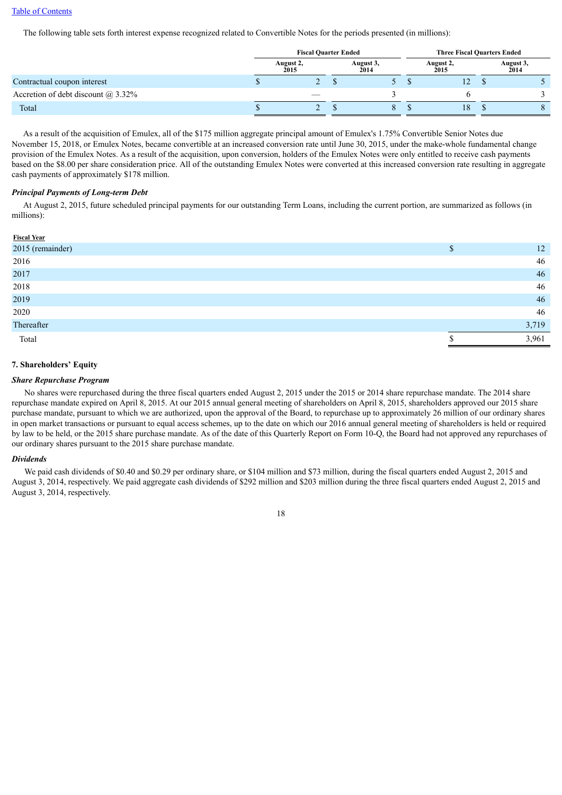The following table sets forth interest expense recognized related to Convertible Notes for the periods presented (in millions):

|                                        | <b>Fiscal Quarter Ended</b> |  |                   |  | <b>Three Fiscal Quarters Ended</b> |                   |  |
|----------------------------------------|-----------------------------|--|-------------------|--|------------------------------------|-------------------|--|
|                                        | August 2,<br>2015           |  | August 3,<br>2014 |  | August 2,<br>2015                  | August 3,<br>2014 |  |
| Contractual coupon interest            |                             |  |                   |  | $\overline{1}$                     |                   |  |
| Accretion of debt discount $(a)$ 3.32% |                             |  |                   |  |                                    |                   |  |
| Total                                  |                             |  |                   |  | 18                                 |                   |  |

As a result of the acquisition of Emulex, all of the \$175 million aggregate principal amount of Emulex's 1.75% Convertible Senior Notes due November 15, 2018, or Emulex Notes, became convertible at an increased conversion rate until June 30, 2015, under the make-whole fundamental change provision of the Emulex Notes. As a result of the acquisition, upon conversion, holders of the Emulex Notes were only entitled to receive cash payments based on the \$8.00 per share consideration price. All of the outstanding Emulex Notes were converted at this increased conversion rate resulting in aggregate cash payments of approximately \$178 million.

## *Principal Payments of Long-term Debt*

At August 2, 2015, future scheduled principal payments for our outstanding Term Loans, including the current portion, are summarized as follows (in millions):

| <b>Fiscal Year</b> |        |       |
|--------------------|--------|-------|
| 2015 (remainder)   | Φ<br>Ъ | 12    |
| 2016               |        | 46    |
| 2017               |        | 46    |
| 2018               |        | 46    |
| 2019               |        | 46    |
| 2020               |        | 46    |
| Thereafter         |        | 3,719 |
| Total              |        | 3,961 |

## **7. Shareholders' Equity**

## *Share Repurchase Program*

No shares were repurchased during the three fiscal quarters ended August 2, 2015 under the 2015 or 2014 share repurchase mandate. The 2014 share repurchase mandate expired on April 8, 2015. At our 2015 annual general meeting of shareholders on April 8, 2015, shareholders approved our 2015 share purchase mandate, pursuant to which we are authorized, upon the approval of the Board, to repurchase up to approximately 26 million of our ordinary shares in open market transactions or pursuant to equal access schemes, up to the date on which our 2016 annual general meeting of shareholders is held or required by law to be held, or the 2015 share purchase mandate. As of the date of this Quarterly Report on Form 10-Q, the Board had not approved any repurchases of our ordinary shares pursuant to the 2015 share purchase mandate.

## *Dividends*

We paid cash dividends of \$0.40 and \$0.29 per ordinary share, or \$104 million and \$73 million, during the fiscal quarters ended August 2, 2015 and August 3, 2014, respectively. We paid aggregate cash dividends of \$292 million and \$203 million during the three fiscal quarters ended August 2, 2015 and August 3, 2014, respectively.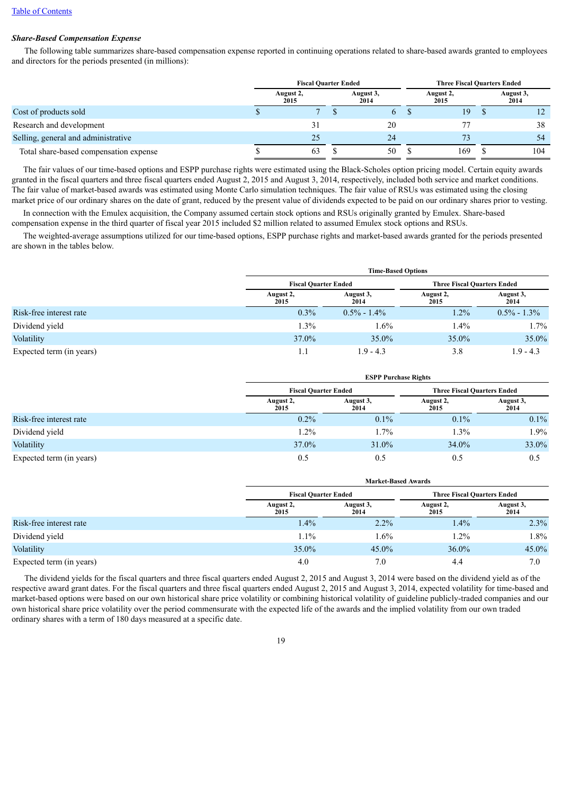## *Share-Based Compensation Expense*

The following table summarizes share-based compensation expense reported in continuing operations related to share-based awards granted to employees and directors for the periods presented (in millions):

|                                        | <b>Fiscal Quarter Ended</b> |  |                   |  | <b>Three Fiscal Quarters Ended</b> |                   |
|----------------------------------------|-----------------------------|--|-------------------|--|------------------------------------|-------------------|
|                                        | August 2,<br>2015           |  | August 3,<br>2014 |  | August 2,<br>2015                  | August 3,<br>2014 |
| Cost of products sold                  |                             |  | 6.                |  | 19                                 | 12                |
| Research and development               | 31                          |  | 20                |  |                                    | 38                |
| Selling, general and administrative    | 25                          |  | 24                |  |                                    | 54                |
| Total share-based compensation expense | 63                          |  | 50                |  | 169                                | 104               |

The fair values of our time-based options and ESPP purchase rights were estimated using the Black-Scholes option pricing model. Certain equity awards granted in the fiscal quarters and three fiscal quarters ended August 2, 2015 and August 3, 2014, respectively, included both service and market conditions. The fair value of market-based awards was estimated using Monte Carlo simulation techniques. The fair value of RSUs was estimated using the closing market price of our ordinary shares on the date of grant, reduced by the present value of dividends expected to be paid on our ordinary shares prior to vesting.

In connection with the Emulex acquisition, the Company assumed certain stock options and RSUs originally granted by Emulex. Share-based compensation expense in the third quarter of fiscal year 2015 included \$2 million related to assumed Emulex stock options and RSUs.

The weighted-average assumptions utilized for our time-based options, ESPP purchase rights and market-based awards granted for the periods presented are shown in the tables below.

|                          | <b>Time-Based Options</b>   |                   |                                    |                   |  |  |  |  |  |
|--------------------------|-----------------------------|-------------------|------------------------------------|-------------------|--|--|--|--|--|
|                          | <b>Fiscal Quarter Ended</b> |                   | <b>Three Fiscal Quarters Ended</b> |                   |  |  |  |  |  |
|                          | August 2,<br>2015           | August 3,<br>2014 | August 2,<br>2015                  | August 3,<br>2014 |  |  |  |  |  |
| Risk-free interest rate  | $0.3\%$                     | $0.5\% - 1.4\%$   | $1.2\%$                            | $0.5\% - 1.3\%$   |  |  |  |  |  |
| Dividend yield           | 1.3%                        | $1.6\%$           | 1.4%                               | $1.7\%$           |  |  |  |  |  |
| Volatility               | 37.0%                       | 35.0%             | $35.0\%$                           | $35.0\%$          |  |  |  |  |  |
| Expected term (in years) | 1.1                         | $1.9 - 4.3$       | 3.8                                | $1.9 - 4.3$       |  |  |  |  |  |

|                          |                             | <b>ESPP Purchase Rights</b> |                                    |                   |  |  |  |  |  |  |
|--------------------------|-----------------------------|-----------------------------|------------------------------------|-------------------|--|--|--|--|--|--|
|                          | <b>Fiscal Quarter Ended</b> |                             | <b>Three Fiscal Quarters Ended</b> |                   |  |  |  |  |  |  |
|                          | August 2,<br>2015           | August 3,<br>2014           | August 2,<br>2015                  | August 3,<br>2014 |  |  |  |  |  |  |
| Risk-free interest rate  | $0.2\%$                     | $0.1\%$                     | $0.1\%$                            | $0.1\%$           |  |  |  |  |  |  |
| Dividend yield           | $1.2\%$                     | $1.7\%$                     | 1.3%                               | l.9%              |  |  |  |  |  |  |
| Volatility               | 37.0%                       | 31.0%                       | 34.0%                              | 33.0%             |  |  |  |  |  |  |
| Expected term (in years) | 0.5                         | 0.5                         | 0.5                                | 0.5               |  |  |  |  |  |  |

|                          |                             | <b>Market-Based Awards</b> |                                    |                   |  |  |  |  |  |  |
|--------------------------|-----------------------------|----------------------------|------------------------------------|-------------------|--|--|--|--|--|--|
|                          | <b>Fiscal Quarter Ended</b> |                            | <b>Three Fiscal Quarters Ended</b> |                   |  |  |  |  |  |  |
|                          | August 2,<br>2015           | August 3,<br>2014          | August 2,<br>2015                  | August 3,<br>2014 |  |  |  |  |  |  |
| Risk-free interest rate  | 1.4%                        | $2.2\%$                    | $1.4\%$                            | 2.3%              |  |  |  |  |  |  |
| Dividend yield           | 1.1%                        | 1.6%                       | 1.2%                               | $1.8\%$           |  |  |  |  |  |  |
| Volatility               | 35.0%                       | $45.0\%$                   | $36.0\%$                           | $45.0\%$          |  |  |  |  |  |  |
| Expected term (in years) | 4.0                         | 7.0                        | 4.4                                | 7.0               |  |  |  |  |  |  |

The dividend yields for the fiscal quarters and three fiscal quarters ended August 2, 2015 and August 3, 2014 were based on the dividend yield as of the respective award grant dates. For the fiscal quarters and three fiscal quarters ended August 2, 2015 and August 3, 2014, expected volatility for time-based and market-based options were based on our own historical share price volatility or combining historical volatility of guideline publicly-traded companies and our own historical share price volatility over the period commensurate with the expected life of the awards and the implied volatility from our own traded ordinary shares with a term of 180 days measured at a specific date.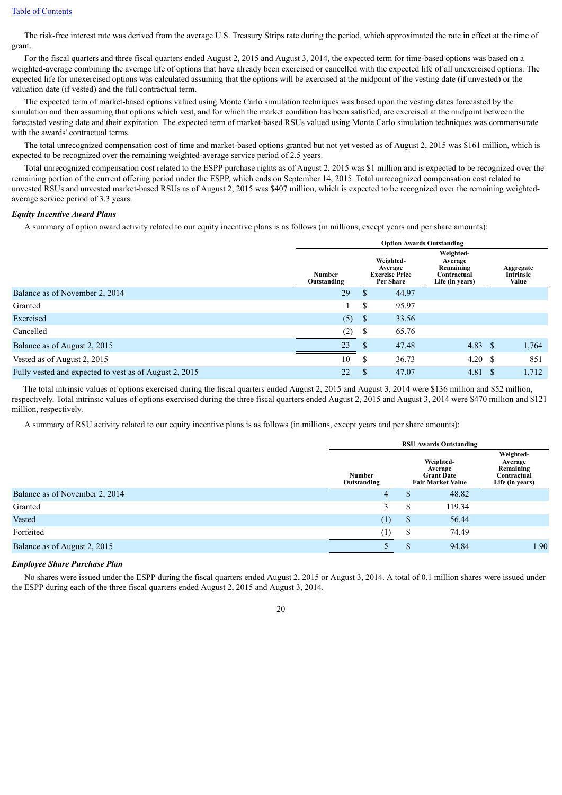The risk-free interest rate was derived from the average U.S. Treasury Strips rate during the period, which approximated the rate in effect at the time of grant.

For the fiscal quarters and three fiscal quarters ended August 2, 2015 and August 3, 2014, the expected term for time-based options was based on a weighted-average combining the average life of options that have already been exercised or cancelled with the expected life of all unexercised options. The expected life for unexercised options was calculated assuming that the options will be exercised at the midpoint of the vesting date (if unvested) or the valuation date (if vested) and the full contractual term.

The expected term of market-based options valued using Monte Carlo simulation techniques was based upon the vesting dates forecasted by the simulation and then assuming that options which vest, and for which the market condition has been satisfied, are exercised at the midpoint between the forecasted vesting date and their expiration. The expected term of market-based RSUs valued using Monte Carlo simulation techniques was commensurate with the awards' contractual terms.

The total unrecognized compensation cost of time and market-based options granted but not yet vested as of August 2, 2015 was \$161 million, which is expected to be recognized over the remaining weighted-average service period of 2.5 years.

Total unrecognized compensation cost related to the ESPP purchase rights as of August 2, 2015 was \$1 million and is expected to be recognized over the remaining portion of the current offering period under the ESPP, which ends on September 14, 2015. Total unrecognized compensation cost related to unvested RSUs and unvested market-based RSUs as of August 2, 2015 was \$407 million, which is expected to be recognized over the remaining weightedaverage service period of 3.3 years.

## *Equity Incentive Award Plans*

A summary of option award activity related to our equity incentive plans is as follows (in millions, except years and per share amounts):

|                                                        | <b>Option Awards Outstanding</b> |               |                                                            |                                                                     |      |                                 |  |  |  |  |  |
|--------------------------------------------------------|----------------------------------|---------------|------------------------------------------------------------|---------------------------------------------------------------------|------|---------------------------------|--|--|--|--|--|
|                                                        | <b>Number</b><br>Outstanding     |               | Weighted-<br>Average<br><b>Exercise Price</b><br>Per Share | Weighted-<br>Average<br>Remaining<br>Contractual<br>Life (in years) |      | Aggregate<br>Intrinsic<br>Value |  |  |  |  |  |
| Balance as of November 2, 2014                         | 29                               | \$.           | 44.97                                                      |                                                                     |      |                                 |  |  |  |  |  |
| Granted                                                |                                  | \$            | 95.97                                                      |                                                                     |      |                                 |  |  |  |  |  |
| Exercised                                              | (5)                              | <sup>\$</sup> | 33.56                                                      |                                                                     |      |                                 |  |  |  |  |  |
| Cancelled                                              | (2)                              | S             | 65.76                                                      |                                                                     |      |                                 |  |  |  |  |  |
| Balance as of August 2, 2015                           | 23                               | <sup>\$</sup> | 47.48                                                      | 4.83 \$                                                             |      | 1,764                           |  |  |  |  |  |
| Vested as of August 2, 2015                            | 10                               | S             | 36.73                                                      | $4.20\,$ \$                                                         |      | 851                             |  |  |  |  |  |
| Fully vested and expected to vest as of August 2, 2015 | 22                               | \$            | 47.07                                                      | 4.81                                                                | - \$ | 1,712                           |  |  |  |  |  |

The total intrinsic values of options exercised during the fiscal quarters ended August 2, 2015 and August 3, 2014 were \$136 million and \$52 million, respectively. Total intrinsic values of options exercised during the three fiscal quarters ended August 2, 2015 and August 3, 2014 were \$470 million and \$121 million, respectively.

A summary of RSU activity related to our equity incentive plans is as follows (in millions, except years and per share amounts):

| <b>RSU Awards Outstanding</b> |    |                      |                                                                     |  |  |  |  |  |
|-------------------------------|----|----------------------|---------------------------------------------------------------------|--|--|--|--|--|
| <b>Number</b><br>Outstanding  |    | Weighted-<br>Average | Weighted-<br>Average<br>Remaining<br>Contractual<br>Life (in years) |  |  |  |  |  |
| 4                             | ٠D | 48.82                |                                                                     |  |  |  |  |  |
|                               | S  | 119.34               |                                                                     |  |  |  |  |  |
| (1)                           | \$ | 56.44                |                                                                     |  |  |  |  |  |
| $\left(1\right)$              | S  | 74.49                |                                                                     |  |  |  |  |  |
|                               | \$ | 94.84                | 1.90                                                                |  |  |  |  |  |
|                               |    |                      | <b>Grant Date</b><br><b>Fair Market Value</b>                       |  |  |  |  |  |

## *Employee Share Purchase Plan*

No shares were issued under the ESPP during the fiscal quarters ended August 2, 2015 or August 3, 2014. A total of 0.1 million shares were issued under the ESPP during each of the three fiscal quarters ended August 2, 2015 and August 3, 2014.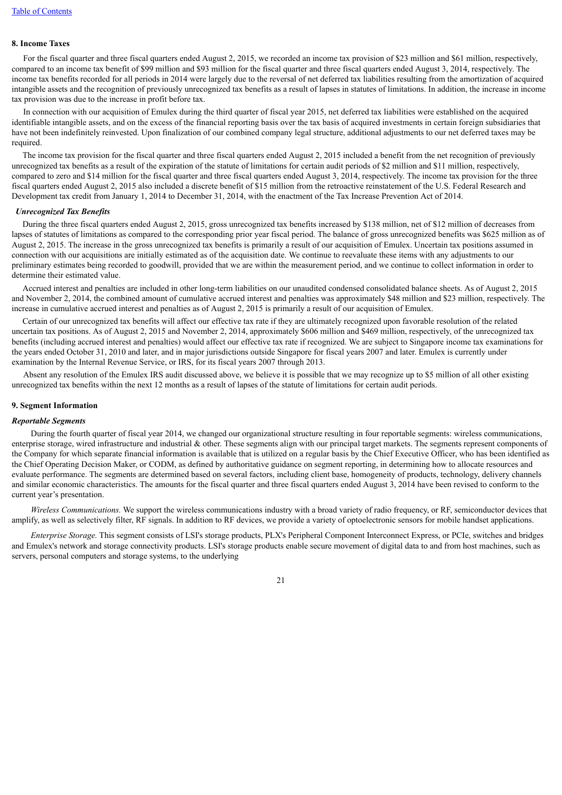## **8. Income Taxes**

For the fiscal quarter and three fiscal quarters ended August 2, 2015, we recorded an income tax provision of \$23 million and \$61 million, respectively, compared to an income tax benefit of \$99 million and \$93 million for the fiscal quarter and three fiscal quarters ended August 3, 2014, respectively. The income tax benefits recorded for all periods in 2014 were largely due to the reversal of net deferred tax liabilities resulting from the amortization of acquired intangible assets and the recognition of previously unrecognized tax benefits as a result of lapses in statutes of limitations. In addition, the increase in income tax provision was due to the increase in profit before tax.

In connection with our acquisition of Emulex during the third quarter of fiscal year 2015, net deferred tax liabilities were established on the acquired identifiable intangible assets, and on the excess of the financial reporting basis over the tax basis of acquired investments in certain foreign subsidiaries that have not been indefinitely reinvested. Upon finalization of our combined company legal structure, additional adjustments to our net deferred taxes may be required.

The income tax provision for the fiscal quarter and three fiscal quarters ended August 2, 2015 included a benefit from the net recognition of previously unrecognized tax benefits as a result of the expiration of the statute of limitations for certain audit periods of \$2 million and \$11 million, respectively, compared to zero and \$14 million for the fiscal quarter and three fiscal quarters ended August 3, 2014, respectively. The income tax provision for the three fiscal quarters ended August 2, 2015 also included a discrete benefit of \$15 million from the retroactive reinstatement of the U.S. Federal Research and Development tax credit from January 1, 2014 to December 31, 2014, with the enactment of the Tax Increase Prevention Act of 2014.

#### *Unrecognized Tax Benefits*

During the three fiscal quarters ended August 2, 2015, gross unrecognized tax benefits increased by \$138 million, net of \$12 million of decreases from lapses of statutes of limitations as compared to the corresponding prior year fiscal period. The balance of gross unrecognized benefits was \$625 million as of August 2, 2015. The increase in the gross unrecognized tax benefits is primarily a result of our acquisition of Emulex. Uncertain tax positions assumed in connection with our acquisitions are initially estimated as of the acquisition date. We continue to reevaluate these items with any adjustments to our preliminary estimates being recorded to goodwill, provided that we are within the measurement period, and we continue to collect information in order to determine their estimated value.

Accrued interest and penalties are included in other long-term liabilities on our unaudited condensed consolidated balance sheets. As of August 2, 2015 and November 2, 2014, the combined amount of cumulative accrued interest and penalties was approximately \$48 million and \$23 million, respectively. The increase in cumulative accrued interest and penalties as of August 2, 2015 is primarily a result of our acquisition of Emulex.

Certain of our unrecognized tax benefits will affect our effective tax rate if they are ultimately recognized upon favorable resolution of the related uncertain tax positions. As of August 2, 2015 and November 2, 2014, approximately \$606 million and \$469 million, respectively, of the unrecognized tax benefits (including accrued interest and penalties) would affect our effective tax rate if recognized. We are subject to Singapore income tax examinations for the years ended October 31, 2010 and later, and in major jurisdictions outside Singapore for fiscal years 2007 and later. Emulex is currently under examination by the Internal Revenue Service, or IRS, for its fiscal years 2007 through 2013.

Absent any resolution of the Emulex IRS audit discussed above, we believe it is possible that we may recognize up to \$5 million of all other existing unrecognized tax benefits within the next 12 months as a result of lapses of the statute of limitations for certain audit periods.

#### **9. Segment Information**

#### *Reportable Segments*

During the fourth quarter of fiscal year 2014, we changed our organizational structure resulting in four reportable segments: wireless communications, enterprise storage, wired infrastructure and industrial & other. These segments align with our principal target markets. The segments represent components of the Company for which separate financial information is available that is utilized on a regular basis by the Chief Executive Officer, who has been identified as the Chief Operating Decision Maker, or CODM, as defined by authoritative guidance on segment reporting, in determining how to allocate resources and evaluate performance. The segments are determined based on several factors, including client base, homogeneity of products, technology, delivery channels and similar economic characteristics. The amounts for the fiscal quarter and three fiscal quarters ended August 3, 2014 have been revised to conform to the current year's presentation.

*Wireless Communications.* We support the wireless communications industry with a broad variety of radio frequency, or RF, semiconductor devices that amplify, as well as selectively filter, RF signals. In addition to RF devices, we provide a variety of optoelectronic sensors for mobile handset applications.

*Enterprise Storage.* This segment consists of LSI's storage products, PLX's Peripheral Component Interconnect Express, or PCIe, switches and bridges and Emulex's network and storage connectivity products. LSI's storage products enable secure movement of digital data to and from host machines, such as servers, personal computers and storage systems, to the underlying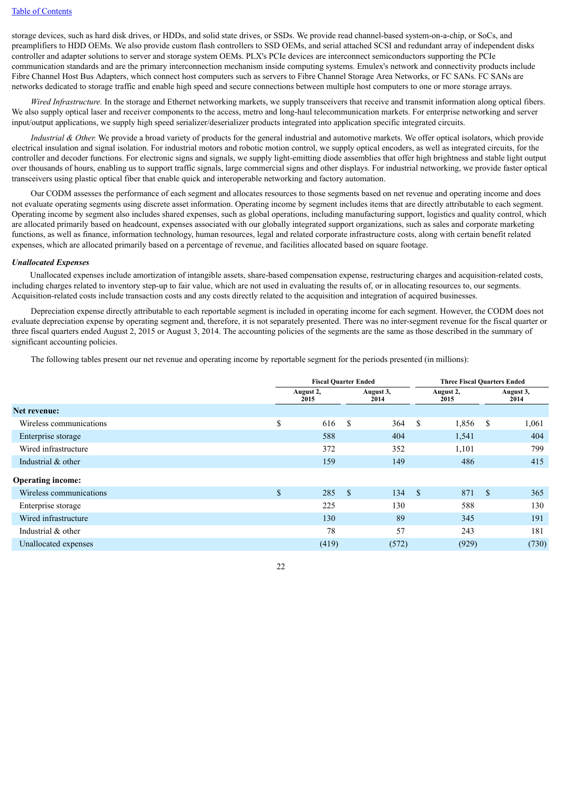storage devices, such as hard disk drives, or HDDs, and solid state drives, or SSDs. We provide read channel-based system-on-a-chip, or SoCs, and preamplifiers to HDD OEMs. We also provide custom flash controllers to SSD OEMs, and serial attached SCSI and redundant array of independent disks controller and adapter solutions to server and storage system OEMs. PLX's PCIe devices are interconnect semiconductors supporting the PCIe communication standards and are the primary interconnection mechanism inside computing systems. Emulex's network and connectivity products include Fibre Channel Host Bus Adapters, which connect host computers such as servers to Fibre Channel Storage Area Networks, or FC SANs. FC SANs are networks dedicated to storage traffic and enable high speed and secure connections between multiple host computers to one or more storage arrays.

*Wired Infrastructure.* In the storage and Ethernet networking markets, we supply transceivers that receive and transmit information along optical fibers. We also supply optical laser and receiver components to the access, metro and long-haul telecommunication markets. For enterprise networking and server input/output applications, we supply high speed serializer/deserializer products integrated into application specific integrated circuits.

*Industrial & Other.* We provide a broad variety of products for the general industrial and automotive markets. We offer optical isolators, which provide electrical insulation and signal isolation. For industrial motors and robotic motion control, we supply optical encoders, as well as integrated circuits, for the controller and decoder functions. For electronic signs and signals, we supply light-emitting diode assemblies that offer high brightness and stable light output over thousands of hours, enabling us to support traffic signals, large commercial signs and other displays. For industrial networking, we provide faster optical transceivers using plastic optical fiber that enable quick and interoperable networking and factory automation.

Our CODM assesses the performance of each segment and allocates resources to those segments based on net revenue and operating income and does not evaluate operating segments using discrete asset information. Operating income by segment includes items that are directly attributable to each segment. Operating income by segment also includes shared expenses, such as global operations, including manufacturing support, logistics and quality control, which are allocated primarily based on headcount, expenses associated with our globally integrated support organizations, such as sales and corporate marketing functions, as well as finance, information technology, human resources, legal and related corporate infrastructure costs, along with certain benefit related expenses, which are allocated primarily based on a percentage of revenue, and facilities allocated based on square footage.

## *Unallocated Expenses*

Unallocated expenses include amortization of intangible assets, share-based compensation expense, restructuring charges and acquisition-related costs, including charges related to inventory step-up to fair value, which are not used in evaluating the results of, or in allocating resources to, our segments. Acquisition-related costs include transaction costs and any costs directly related to the acquisition and integration of acquired businesses.

Depreciation expense directly attributable to each reportable segment is included in operating income for each segment. However, the CODM does not evaluate depreciation expense by operating segment and, therefore, it is not separately presented. There was no inter-segment revenue for the fiscal quarter or three fiscal quarters ended August 2, 2015 or August 3, 2014. The accounting policies of the segments are the same as those described in the summary of significant accounting policies.

The following tables present our net revenue and operating income by reportable segment for the periods presented (in millions):

|                          | <b>Fiscal Quarter Ended</b> |               |                   |               | <b>Three Fiscal Quarters Ended</b> |               |                   |
|--------------------------|-----------------------------|---------------|-------------------|---------------|------------------------------------|---------------|-------------------|
|                          | August 2,<br>2015           |               | August 3,<br>2014 |               | August 2,<br>2015                  |               | August 3,<br>2014 |
| Net revenue:             |                             |               |                   |               |                                    |               |                   |
| Wireless communications  | \$<br>616                   | S             | 364               | <sup>\$</sup> | 1,856                              | S             | 1,061             |
| Enterprise storage       | 588                         |               | 404               |               | 1,541                              |               | 404               |
| Wired infrastructure     | 372                         |               | 352               |               | 1,101                              |               | 799               |
| Industrial & other       | 159                         |               | 149               |               | 486                                |               | 415               |
| <b>Operating income:</b> |                             |               |                   |               |                                    |               |                   |
| Wireless communications  | \$<br>285                   | <sup>\$</sup> | 134               | -S            | 871                                | $\mathbf{\$}$ | 365               |
| Enterprise storage       | 225                         |               | 130               |               | 588                                |               | 130               |
| Wired infrastructure     | 130                         |               | 89                |               | 345                                |               | 191               |
| Industrial & other       | 78                          |               | 57                |               | 243                                |               | 181               |
| Unallocated expenses     | (419)                       |               | (572)             |               | (929)                              |               | (730)             |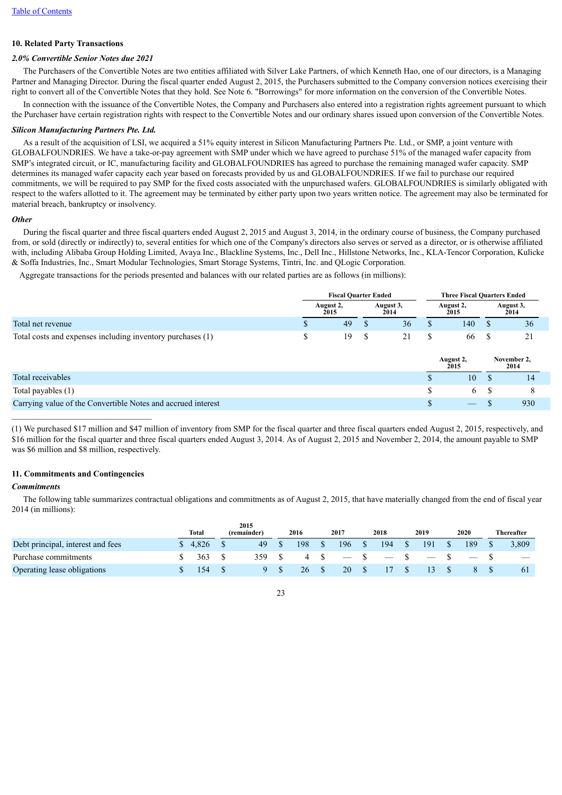## **10. Related Party Transactions**

## *2.0% Convertible Senior Notes due 2021*

The Purchasers of the Convertible Notes are two entities affiliated with Silver Lake Partners, of which Kenneth Hao, one of our directors, is a Managing Partner and Managing Director. During the fiscal quarter ended August 2, 2015, the Purchasers submitted to the Company conversion notices exercising their right to convert all of the Convertible Notes that they hold. See Note 6. "Borrowings" for more information on the conversion of the Convertible Notes.

In connection with the issuance of the Convertible Notes, the Company and Purchasers also entered into a registration rights agreement pursuant to which the Purchaser have certain registration rights with respect to the Convertible Notes and our ordinary shares issued upon conversion of the Convertible Notes.

## *Silicon Manufacturing Partners Pte. Ltd.*

As a result of the acquisition of LSI, we acquired a 51% equity interest in Silicon Manufacturing Partners Pte. Ltd., or SMP, a joint venture with GLOBALFOUNDRIES. We have a take-or-pay agreement with SMP under which we have agreed to purchase 51% of the managed wafer capacity from SMP's integrated circuit, or IC, manufacturing facility and GLOBALFOUNDRIES has agreed to purchase the remaining managed wafer capacity. SMP determines its managed wafer capacity each year based on forecasts provided by us and GLOBALFOUNDRIES. If we fail to purchase our required commitments, we will be required to pay SMP for the fixed costs associated with the unpurchased wafers. GLOBALFOUNDRIES is similarly obligated with respect to the wafers allotted to it. The agreement may be terminated by either party upon two years written notice. The agreement may also be terminated for material breach, bankruptcy or insolvency.

#### *Other*

During the fiscal quarter and three fiscal quarters ended August 2, 2015 and August 3, 2014, in the ordinary course of business, the Company purchased from, or sold (directly or indirectly) to, several entities for which one of the Company's directors also serves or served as a director, or is otherwise affiliated with, including Alibaba Group Holding Limited, Avaya Inc., Blackline Systems, Inc., Dell Inc., Hillstone Networks, Inc., KLA-Tencor Corporation, Kulicke & Soffa Industries, Inc., Smart Modular Technologies, Smart Storage Systems, Tintri, Inc. and QLogic Corporation.

Aggregate transactions for the periods presented and balances with our related parties are as follows (in millions):

|                                                              |   | <b>Fiscal Quarter Ended</b>            |   |    |                   |                   | <b>Three Fiscal Quarters Ended</b> |                     |  |  |  |
|--------------------------------------------------------------|---|----------------------------------------|---|----|-------------------|-------------------|------------------------------------|---------------------|--|--|--|
|                                                              |   | August 2,<br>August 3,<br>2014<br>2015 |   |    | August 2,<br>2015 |                   | August 3,<br>2014                  |                     |  |  |  |
| Total net revenue                                            |   | 49                                     | S | 36 | <sup>\$</sup>     | 140               | <sup>3</sup>                       | 36                  |  |  |  |
| Total costs and expenses including inventory purchases (1)   | ъ | 19                                     | S | 21 | \$                | 66                | S                                  | 21                  |  |  |  |
|                                                              |   |                                        |   |    |                   | August 2,<br>2015 |                                    | November 2,<br>2014 |  |  |  |
| Total receivables                                            |   |                                        |   |    | \$.               | 10                | -S                                 | 14                  |  |  |  |
| Total payables (1)                                           |   |                                        |   |    | S                 | 6                 | S                                  | 8                   |  |  |  |
| Carrying value of the Convertible Notes and accrued interest |   |                                        |   |    | \$                | $\qquad \qquad -$ | <sup>S</sup>                       | 930                 |  |  |  |
|                                                              |   |                                        |   |    |                   |                   |                                    |                     |  |  |  |

(1) We purchased \$17 million and \$47 million of inventory from SMP for the fiscal quarter and three fiscal quarters ended August 2, 2015, respectively, and \$16 million for the fiscal quarter and three fiscal quarters ended August 3, 2014. As of August 2, 2015 and November 2, 2014, the amount payable to SMP was \$6 million and \$8 million, respectively.

## **11. Commitments and Contingencies**

## *Commitments*

The following table summarizes contractual obligations and commitments as of August 2, 2015, that have materially changed from the end of fiscal year 2014 (in millions):

|                                   | <b>Total</b> | 2015<br>(remainder) | 2016 |     | 2017                     | 2018                     | 2019                            | 2020              | <b>Thereafter</b> |
|-----------------------------------|--------------|---------------------|------|-----|--------------------------|--------------------------|---------------------------------|-------------------|-------------------|
| Debt principal, interest and fees | 4.826        | 49                  | 198  |     | 196                      | 194                      | 191                             | 189               | 3.809             |
| Purchase commitments              | 363          | 359                 |      | - S | $\overline{\phantom{a}}$ | $\overline{\phantom{a}}$ | $\hspace{0.1mm}-\hspace{0.1mm}$ | $\hspace{0.05cm}$ |                   |
| Operating lease obligations       | . 54         |                     | 26   |     | 20                       |                          |                                 |                   |                   |

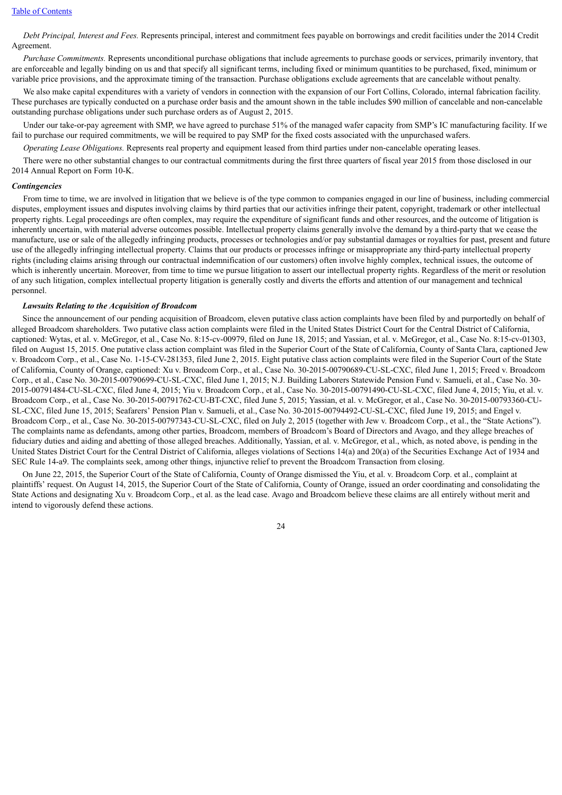*Debt Principal, Interest and Fees.* Represents principal, interest and commitment fees payable on borrowings and credit facilities under the 2014 Credit Agreement.

*Purchase Commitments.* Represents unconditional purchase obligations that include agreements to purchase goods or services, primarily inventory, that are enforceable and legally binding on us and that specify all significant terms, including fixed or minimum quantities to be purchased, fixed, minimum or variable price provisions, and the approximate timing of the transaction. Purchase obligations exclude agreements that are cancelable without penalty.

We also make capital expenditures with a variety of vendors in connection with the expansion of our Fort Collins, Colorado, internal fabrication facility. These purchases are typically conducted on a purchase order basis and the amount shown in the table includes \$90 million of cancelable and non-cancelable outstanding purchase obligations under such purchase orders as of August 2, 2015.

Under our take-or-pay agreement with SMP, we have agreed to purchase 51% of the managed wafer capacity from SMP's IC manufacturing facility. If we fail to purchase our required commitments, we will be required to pay SMP for the fixed costs associated with the unpurchased wafers.

*Operating Lease Obligations.* Represents real property and equipment leased from third parties under non-cancelable operating leases.

There were no other substantial changes to our contractual commitments during the first three quarters of fiscal year 2015 from those disclosed in our 2014 Annual Report on Form 10-K.

#### *Contingencies*

From time to time, we are involved in litigation that we believe is of the type common to companies engaged in our line of business, including commercial disputes, employment issues and disputes involving claims by third parties that our activities infringe their patent, copyright, trademark or other intellectual property rights. Legal proceedings are often complex, may require the expenditure of significant funds and other resources, and the outcome of litigation is inherently uncertain, with material adverse outcomes possible. Intellectual property claims generally involve the demand by a third-party that we cease the manufacture, use or sale of the allegedly infringing products, processes or technologies and/or pay substantial damages or royalties for past, present and future use of the allegedly infringing intellectual property. Claims that our products or processes infringe or misappropriate any third-party intellectual property rights (including claims arising through our contractual indemnification of our customers) often involve highly complex, technical issues, the outcome of which is inherently uncertain. Moreover, from time to time we pursue litigation to assert our intellectual property rights. Regardless of the merit or resolution of any such litigation, complex intellectual property litigation is generally costly and diverts the efforts and attention of our management and technical personnel.

#### *Lawsuits Relating to the Acquisition of Broadcom*

Since the announcement of our pending acquisition of Broadcom, eleven putative class action complaints have been filed by and purportedly on behalf of alleged Broadcom shareholders. Two putative class action complaints were filed in the United States District Court for the Central District of California, captioned: Wytas, et al. v. McGregor, et al., Case No. 8:15-cv-00979, filed on June 18, 2015; and Yassian, et al. v. McGregor, et al., Case No. 8:15-cv-01303, filed on August 15, 2015. One putative class action complaint was filed in the Superior Court of the State of California, County of Santa Clara, captioned Jew v. Broadcom Corp., et al., Case No. 1-15-CV-281353, filed June 2, 2015. Eight putative class action complaints were filed in the Superior Court of the State of California, County of Orange, captioned: Xu v. Broadcom Corp., et al., Case No. 30-2015-00790689-CU-SL-CXC, filed June 1, 2015; Freed v. Broadcom Corp., et al., Case No. 30-2015-00790699-CU-SL-CXC, filed June 1, 2015; N.J. Building Laborers Statewide Pension Fund v. Samueli, et al., Case No. 30- 2015-00791484-CU-SL-CXC, filed June 4, 2015; Yiu v. Broadcom Corp., et al., Case No. 30-2015-00791490-CU-SL-CXC, filed June 4, 2015; Yiu, et al. v. Broadcom Corp., et al., Case No. 30-2015-00791762-CU-BT-CXC, filed June 5, 2015; Yassian, et al. v. McGregor, et al., Case No. 30-2015-00793360-CU-SL-CXC, filed June 15, 2015; Seafarers' Pension Plan v. Samueli, et al., Case No. 30-2015-00794492-CU-SL-CXC, filed June 19, 2015; and Engel v. Broadcom Corp., et al., Case No. 30-2015-00797343-CU-SL-CXC, filed on July 2, 2015 (together with Jew v. Broadcom Corp., et al., the "State Actions"). The complaints name as defendants, among other parties, Broadcom, members of Broadcom's Board of Directors and Avago, and they allege breaches of fiduciary duties and aiding and abetting of those alleged breaches. Additionally, Yassian, et al. v. McGregor, et al., which, as noted above, is pending in the United States District Court for the Central District of California, alleges violations of Sections 14(a) and 20(a) of the Securities Exchange Act of 1934 and SEC Rule 14-a9. The complaints seek, among other things, injunctive relief to prevent the Broadcom Transaction from closing.

On June 22, 2015, the Superior Court of the State of California, County of Orange dismissed the Yiu, et al. v. Broadcom Corp. et al., complaint at plaintiffs' request. On August 14, 2015, the Superior Court of the State of California, County of Orange, issued an order coordinating and consolidating the State Actions and designating Xu v. Broadcom Corp., et al. as the lead case. Avago and Broadcom believe these claims are all entirely without merit and intend to vigorously defend these actions.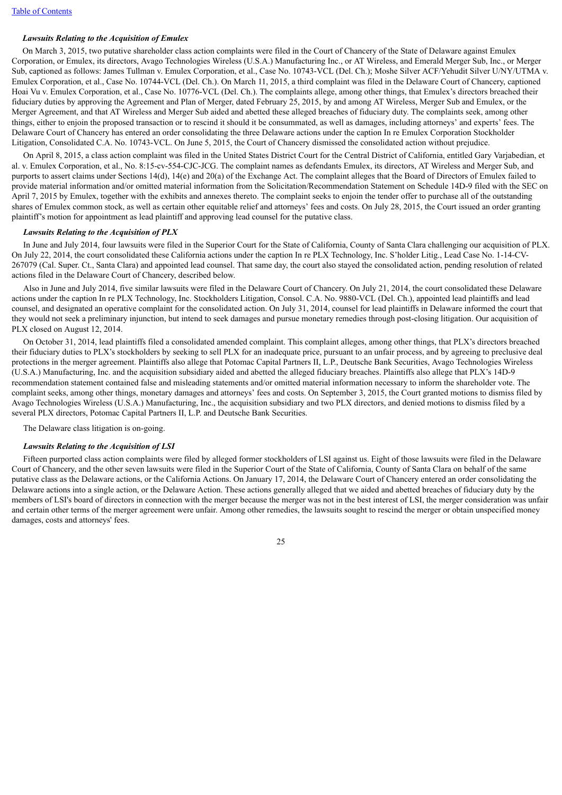## *Lawsuits Relating to the Acquisition of Emulex*

On March 3, 2015, two putative shareholder class action complaints were filed in the Court of Chancery of the State of Delaware against Emulex Corporation, or Emulex, its directors, Avago Technologies Wireless (U.S.A.) Manufacturing Inc., or AT Wireless, and Emerald Merger Sub, Inc., or Merger Sub, captioned as follows: James Tullman v. Emulex Corporation, et al., Case No. 10743-VCL (Del. Ch.); Moshe Silver ACF/Yehudit Silver U/NY/UTMA v. Emulex Corporation, et al., Case No. 10744-VCL (Del. Ch.). On March 11, 2015, a third complaint was filed in the Delaware Court of Chancery, captioned Hoai Vu v. Emulex Corporation, et al., Case No. 10776-VCL (Del. Ch.). The complaints allege, among other things, that Emulex's directors breached their fiduciary duties by approving the Agreement and Plan of Merger, dated February 25, 2015, by and among AT Wireless, Merger Sub and Emulex, or the Merger Agreement, and that AT Wireless and Merger Sub aided and abetted these alleged breaches of fiduciary duty. The complaints seek, among other things, either to enjoin the proposed transaction or to rescind it should it be consummated, as well as damages, including attorneys' and experts' fees. The Delaware Court of Chancery has entered an order consolidating the three Delaware actions under the caption In re Emulex Corporation Stockholder Litigation, Consolidated C.A. No. 10743-VCL. On June 5, 2015, the Court of Chancery dismissed the consolidated action without prejudice.

On April 8, 2015, a class action complaint was filed in the United States District Court for the Central District of California, entitled Gary Varjabedian, et al. v. Emulex Corporation, et al., No. 8:15-cv-554-CJC-JCG. The complaint names as defendants Emulex, its directors, AT Wireless and Merger Sub, and purports to assert claims under Sections 14(d), 14(e) and 20(a) of the Exchange Act. The complaint alleges that the Board of Directors of Emulex failed to provide material information and/or omitted material information from the Solicitation/Recommendation Statement on Schedule 14D-9 filed with the SEC on April 7, 2015 by Emulex, together with the exhibits and annexes thereto. The complaint seeks to enjoin the tender offer to purchase all of the outstanding shares of Emulex common stock, as well as certain other equitable relief and attorneys' fees and costs. On July 28, 2015, the Court issued an order granting plaintiff's motion for appointment as lead plaintiff and approving lead counsel for the putative class.

#### *Lawsuits Relating to the Acquisition of PLX*

In June and July 2014, four lawsuits were filed in the Superior Court for the State of California, County of Santa Clara challenging our acquisition of PLX. On July 22, 2014, the court consolidated these California actions under the caption In re PLX Technology, Inc. S'holder Litig., Lead Case No. 1-14-CV-267079 (Cal. Super. Ct., Santa Clara) and appointed lead counsel. That same day, the court also stayed the consolidated action, pending resolution of related actions filed in the Delaware Court of Chancery, described below.

Also in June and July 2014, five similar lawsuits were filed in the Delaware Court of Chancery. On July 21, 2014, the court consolidated these Delaware actions under the caption In re PLX Technology, Inc. Stockholders Litigation, Consol. C.A. No. 9880-VCL (Del. Ch.), appointed lead plaintiffs and lead counsel, and designated an operative complaint for the consolidated action. On July 31, 2014, counsel for lead plaintiffs in Delaware informed the court that they would not seek a preliminary injunction, but intend to seek damages and pursue monetary remedies through post-closing litigation. Our acquisition of PLX closed on August 12, 2014.

On October 31, 2014, lead plaintiffs filed a consolidated amended complaint. This complaint alleges, among other things, that PLX's directors breached their fiduciary duties to PLX's stockholders by seeking to sell PLX for an inadequate price, pursuant to an unfair process, and by agreeing to preclusive deal protections in the merger agreement. Plaintiffs also allege that Potomac Capital Partners II, L.P., Deutsche Bank Securities, Avago Technologies Wireless (U.S.A.) Manufacturing, Inc. and the acquisition subsidiary aided and abetted the alleged fiduciary breaches. Plaintiffs also allege that PLX's 14D-9 recommendation statement contained false and misleading statements and/or omitted material information necessary to inform the shareholder vote. The complaint seeks, among other things, monetary damages and attorneys' fees and costs. On September 3, 2015, the Court granted motions to dismiss filed by Avago Technologies Wireless (U.S.A.) Manufacturing, Inc., the acquisition subsidiary and two PLX directors, and denied motions to dismiss filed by a several PLX directors, Potomac Capital Partners II, L.P. and Deutsche Bank Securities.

The Delaware class litigation is on-going.

#### *Lawsuits Relating to the Acquisition of LSI*

Fifteen purported class action complaints were filed by alleged former stockholders of LSI against us. Eight of those lawsuits were filed in the Delaware Court of Chancery, and the other seven lawsuits were filed in the Superior Court of the State of California, County of Santa Clara on behalf of the same putative class as the Delaware actions, or the California Actions. On January 17, 2014, the Delaware Court of Chancery entered an order consolidating the Delaware actions into a single action, or the Delaware Action. These actions generally alleged that we aided and abetted breaches of fiduciary duty by the members of LSI's board of directors in connection with the merger because the merger was not in the best interest of LSI, the merger consideration was unfair and certain other terms of the merger agreement were unfair. Among other remedies, the lawsuits sought to rescind the merger or obtain unspecified money damages, costs and attorneys' fees.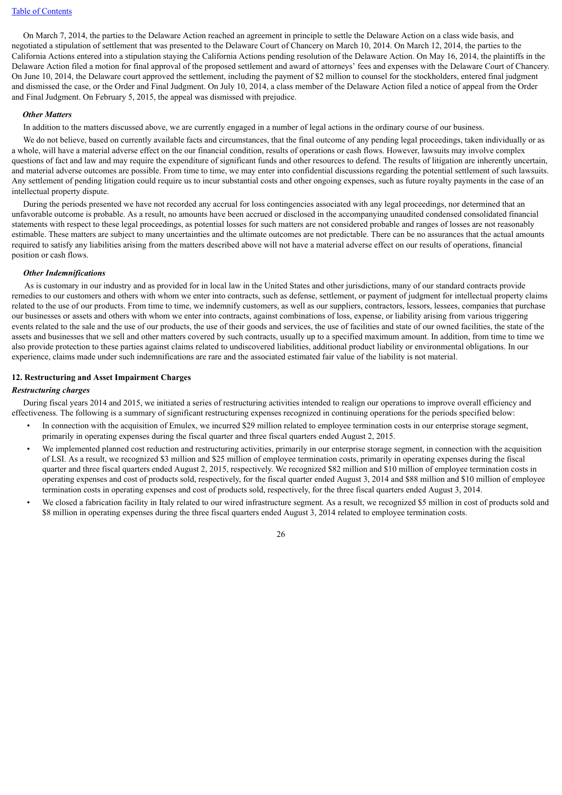On March 7, 2014, the parties to the Delaware Action reached an agreement in principle to settle the Delaware Action on a class wide basis, and negotiated a stipulation of settlement that was presented to the Delaware Court of Chancery on March 10, 2014. On March 12, 2014, the parties to the California Actions entered into a stipulation staying the California Actions pending resolution of the Delaware Action. On May 16, 2014, the plaintiffs in the Delaware Action filed a motion for final approval of the proposed settlement and award of attorneys' fees and expenses with the Delaware Court of Chancery. On June 10, 2014, the Delaware court approved the settlement, including the payment of \$2 million to counsel for the stockholders, entered final judgment and dismissed the case, or the Order and Final Judgment. On July 10, 2014, a class member of the Delaware Action filed a notice of appeal from the Order and Final Judgment. On February 5, 2015, the appeal was dismissed with prejudice.

## *Other Matters*

In addition to the matters discussed above, we are currently engaged in a number of legal actions in the ordinary course of our business.

We do not believe, based on currently available facts and circumstances, that the final outcome of any pending legal proceedings, taken individually or as a whole, will have a material adverse effect on the our financial condition, results of operations or cash flows. However, lawsuits may involve complex questions of fact and law and may require the expenditure of significant funds and other resources to defend. The results of litigation are inherently uncertain, and material adverse outcomes are possible. From time to time, we may enter into confidential discussions regarding the potential settlement of such lawsuits. Any settlement of pending litigation could require us to incur substantial costs and other ongoing expenses, such as future royalty payments in the case of an intellectual property dispute.

During the periods presented we have not recorded any accrual for loss contingencies associated with any legal proceedings, nor determined that an unfavorable outcome is probable. As a result, no amounts have been accrued or disclosed in the accompanying unaudited condensed consolidated financial statements with respect to these legal proceedings, as potential losses for such matters are not considered probable and ranges of losses are not reasonably estimable. These matters are subject to many uncertainties and the ultimate outcomes are not predictable. There can be no assurances that the actual amounts required to satisfy any liabilities arising from the matters described above will not have a material adverse effect on our results of operations, financial position or cash flows.

## *Other Indemnifications*

As is customary in our industry and as provided for in local law in the United States and other jurisdictions, many of our standard contracts provide remedies to our customers and others with whom we enter into contracts, such as defense, settlement, or payment of judgment for intellectual property claims related to the use of our products. From time to time, we indemnify customers, as well as our suppliers, contractors, lessors, lessees, companies that purchase our businesses or assets and others with whom we enter into contracts, against combinations of loss, expense, or liability arising from various triggering events related to the sale and the use of our products, the use of their goods and services, the use of facilities and state of our owned facilities, the state of the assets and businesses that we sell and other matters covered by such contracts, usually up to a specified maximum amount. In addition, from time to time we also provide protection to these parties against claims related to undiscovered liabilities, additional product liability or environmental obligations. In our experience, claims made under such indemnifications are rare and the associated estimated fair value of the liability is not material.

## **12. Restructuring and Asset Impairment Charges**

## *Restructuring charges*

During fiscal years 2014 and 2015, we initiated a series of restructuring activities intended to realign our operations to improve overall efficiency and effectiveness. The following is a summary of significant restructuring expenses recognized in continuing operations for the periods specified below:

- In connection with the acquisition of Emulex, we incurred \$29 million related to employee termination costs in our enterprise storage segment, primarily in operating expenses during the fiscal quarter and three fiscal quarters ended August 2, 2015.
- We implemented planned cost reduction and restructuring activities, primarily in our enterprise storage segment, in connection with the acquisition of LSI. As a result, we recognized \$3 million and \$25 million of employee termination costs, primarily in operating expenses during the fiscal quarter and three fiscal quarters ended August 2, 2015, respectively. We recognized \$82 million and \$10 million of employee termination costs in operating expenses and cost of products sold, respectively, for the fiscal quarter ended August 3, 2014 and \$88 million and \$10 million of employee termination costs in operating expenses and cost of products sold, respectively, for the three fiscal quarters ended August 3, 2014.
- We closed a fabrication facility in Italy related to our wired infrastructure segment. As a result, we recognized \$5 million in cost of products sold and \$8 million in operating expenses during the three fiscal quarters ended August 3, 2014 related to employee termination costs.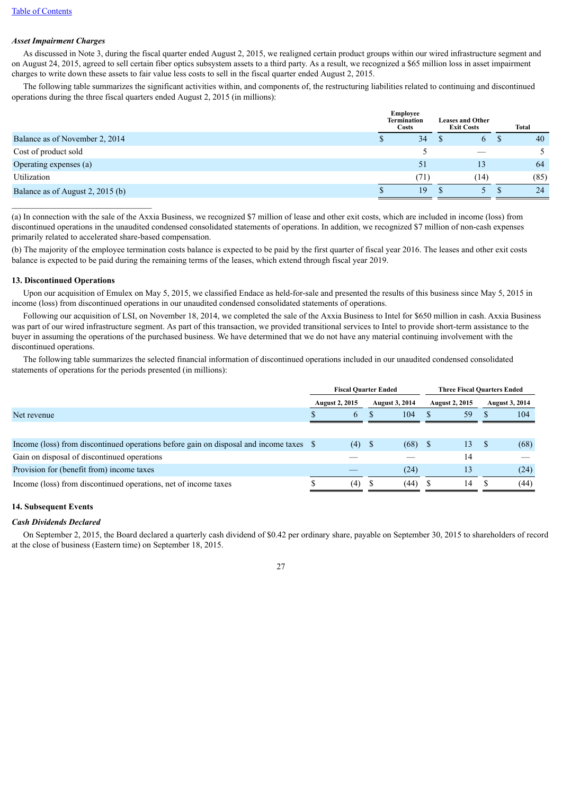## *Asset Impairment Charges*

As discussed in Note 3, during the fiscal quarter ended August 2, 2015, we realigned certain product groups within our wired infrastructure segment and on August 24, 2015, agreed to sell certain fiber optics subsystem assets to a third party. As a result, we recognized a \$65 million loss in asset impairment charges to write down these assets to fair value less costs to sell in the fiscal quarter ended August 2, 2015.

The following table summarizes the significant activities within, and components of, the restructuring liabilities related to continuing and discontinued operations during the three fiscal quarters ended August 2, 2015 (in millions):

|                                  | <b>Employee</b><br><b>Termination</b><br>Costs | <b>Leases and Other</b><br><b>Exit Costs</b> |            | <b>Total</b> |
|----------------------------------|------------------------------------------------|----------------------------------------------|------------|--------------|
| Balance as of November 2, 2014   | 34                                             | 6                                            | <u>ъ</u> . | 40           |
| Cost of product sold             |                                                | __                                           |            |              |
| Operating expenses (a)           | 51                                             | 13                                           |            | 64           |
| Utilization                      | (71)                                           | (14)                                         |            | (85)         |
| Balance as of August 2, 2015 (b) | 19                                             |                                              |            | 24           |

(a) In connection with the sale of the Axxia Business, we recognized \$7 million of lease and other exit costs, which are included in income (loss) from discontinued operations in the unaudited condensed consolidated statements of operations. In addition, we recognized \$7 million of non-cash expenses primarily related to accelerated share-based compensation.

(b) The majority of the employee termination costs balance is expected to be paid by the first quarter of fiscal year 2016. The leases and other exit costs balance is expected to be paid during the remaining terms of the leases, which extend through fiscal year 2019.

## **13. Discontinued Operations**

\_\_\_\_\_\_\_\_\_\_\_\_\_\_\_\_\_\_\_\_\_\_\_\_\_\_\_\_\_\_\_\_\_

Upon our acquisition of Emulex on May 5, 2015, we classified Endace as held-for-sale and presented the results of this business since May 5, 2015 in income (loss) from discontinued operations in our unaudited condensed consolidated statements of operations.

Following our acquisition of LSI, on November 18, 2014, we completed the sale of the Axxia Business to Intel for \$650 million in cash. Axxia Business was part of our wired infrastructure segment. As part of this transaction, we provided transitional services to Intel to provide short-term assistance to the buyer in assuming the operations of the purchased business. We have determined that we do not have any material continuing involvement with the discontinued operations.

The following table summarizes the selected financial information of discontinued operations included in our unaudited condensed consolidated statements of operations for the periods presented (in millions):

|                                                                                        | <b>Fiscal Quarter Ended</b>                    |     |      | <b>Three Fiscal Quarters Ended</b> |                       |    |     |      |
|----------------------------------------------------------------------------------------|------------------------------------------------|-----|------|------------------------------------|-----------------------|----|-----|------|
|                                                                                        | <b>August 2, 2015</b><br><b>August 3, 2014</b> |     |      | <b>August 2, 2015</b>              | <b>August 3, 2014</b> |    |     |      |
| Net revenue                                                                            |                                                | 6   |      | 104                                |                       | 59 |     | 104  |
|                                                                                        |                                                |     |      |                                    |                       |    |     |      |
| Income (loss) from discontinued operations before gain on disposal and income taxes \$ |                                                | (4) | - 5  | (68)                               | - 8                   | 13 | - 8 | (68) |
| Gain on disposal of discontinued operations                                            |                                                |     |      |                                    |                       | 14 |     |      |
| Provision for (benefit from) income taxes                                              |                                                |     |      | (24)                               |                       | 13 |     | (24) |
| Income (loss) from discontinued operations, net of income taxes                        |                                                | (4) | - 25 | (44)                               |                       | 14 |     | (44) |

## **14. Subsequent Events**

## *Cash Dividends Declared*

<span id="page-26-0"></span>On September 2, 2015, the Board declared a quarterly cash dividend of \$0.42 per ordinary share, payable on September 30, 2015 to shareholders of record at the close of business (Eastern time) on September 18, 2015.

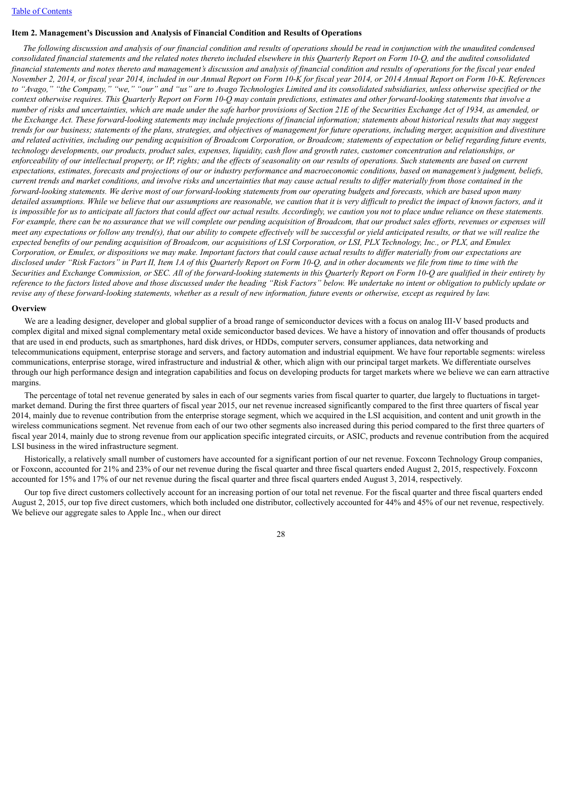#### **Item 2. Management's Discussion and Analysis of Financial Condition and Results of Operations**

The following discussion and analysis of our financial condition and results of operations should be read in conjunction with the unaudited condensed consolidated financial statements and the related notes thereto included elsewhere in this Ouarterly Report on Form 10-O, and the audited consolidated financial statements and notes thereto and management's discussion and analysis of financial condition and results of operations for the fiscal year ended November 2, 2014, or fiscal year 2014, included in our Annual Report on Form 10-K for fiscal year 2014, or 2014 Annual Report on Form 10-K. References to "Avago," "the Company," "we," "our" and "us" are to Avago Technologies Limited and its consolidated subsidiaries, unless otherwise specified or the context otherwise requires. This Quarterly Report on Form 10-Q may contain predictions, estimates and other forward-looking statements that involve a number of risks and uncertainties, which are made under the safe harbor provisions of Section 21E of the Securities Exchange Act of 1934, as amended, or the Exchange Act. These forward-looking statements may include projections of financial information; statements about historical results that may suggest trends for our business; statements of the plans, strategies, and objectives of management for future operations, including merger, acquisition and divestiture and related activities, including our pending acquisition of Broadcom Corporation, or Broadcom; statements of expectation or belief regarding future events, technology developments, our products, product sales, expenses, liquidity, cash flow and growth rates, customer concentration and relationships, or enforceability of our intellectual property, or IP, rights; and the effects of seasonality on our results of operations. Such statements are based on current expectations, estimates, forecasts and projections of our or industry performance and macroeconomic conditions, based on management's judgment, beliefs, current trends and market conditions, and involve risks and uncertainties that may cause actual results to differ materially from those contained in the forward-looking statements. We derive most of our forward-looking statements from our operating budgets and forecasts, which are based upon many detailed assumptions. While we believe that our assumptions are reasonable, we caution that it is very difficult to predict the impact of known factors, and it is impossible for us to anticipate all factors that could affect our actual results. Accordingly, we caution you not to place undue reliance on these statements. For example, there can be no assurance that we will complete our pending acquisition of Broadcom, that our product sales efforts, revenues or expenses will meet any expectations or follow any trend(s), that our ability to compete effectively will be successful or yield anticipated results, or that we will realize the expected benefits of our pending acquisition of Broadcom, our acquisitions of LSI Corporation, or LSI, PLX Technology, Inc., or PLX, and Emulex Corporation, or Emulex, or dispositions we may make. Important factors that could cause actual results to differ materially from our expectations are disclosed under "Risk Factors" in Part II, Item 1A of this Quarterly Report on Form 10-Q, and in other documents we file from time to time with the Securities and Exchange Commission, or SEC. All of the forward-looking statements in this Quarterly Report on Form 10-Q are qualified in their entirety by reference to the factors listed above and those discussed under the heading "Risk Factors" below. We undertake no intent or obligation to publicly update or revise any of these forward-looking statements, whether as a result of new information, future events or otherwise, except as required by law.

#### **Overview**

We are a leading designer, developer and global supplier of a broad range of semiconductor devices with a focus on analog III-V based products and complex digital and mixed signal complementary metal oxide semiconductor based devices. We have a history of innovation and offer thousands of products that are used in end products, such as smartphones, hard disk drives, or HDDs, computer servers, consumer appliances, data networking and telecommunications equipment, enterprise storage and servers, and factory automation and industrial equipment. We have four reportable segments: wireless communications, enterprise storage, wired infrastructure and industrial & other, which align with our principal target markets. We differentiate ourselves through our high performance design and integration capabilities and focus on developing products for target markets where we believe we can earn attractive margins.

The percentage of total net revenue generated by sales in each of our segments varies from fiscal quarter to quarter, due largely to fluctuations in targetmarket demand. During the first three quarters of fiscal year 2015, our net revenue increased significantly compared to the first three quarters of fiscal year 2014, mainly due to revenue contribution from the enterprise storage segment, which we acquired in the LSI acquisition, and content and unit growth in the wireless communications segment. Net revenue from each of our two other segments also increased during this period compared to the first three quarters of fiscal year 2014, mainly due to strong revenue from our application specific integrated circuits, or ASIC, products and revenue contribution from the acquired LSI business in the wired infrastructure segment.

Historically, a relatively small number of customers have accounted for a significant portion of our net revenue. Foxconn Technology Group companies, or Foxconn, accounted for 21% and 23% of our net revenue during the fiscal quarter and three fiscal quarters ended August 2, 2015, respectively. Foxconn accounted for 15% and 17% of our net revenue during the fiscal quarter and three fiscal quarters ended August 3, 2014, respectively.

Our top five direct customers collectively account for an increasing portion of our total net revenue. For the fiscal quarter and three fiscal quarters ended August 2, 2015, our top five direct customers, which both included one distributor, collectively accounted for 44% and 45% of our net revenue, respectively. We believe our aggregate sales to Apple Inc., when our direct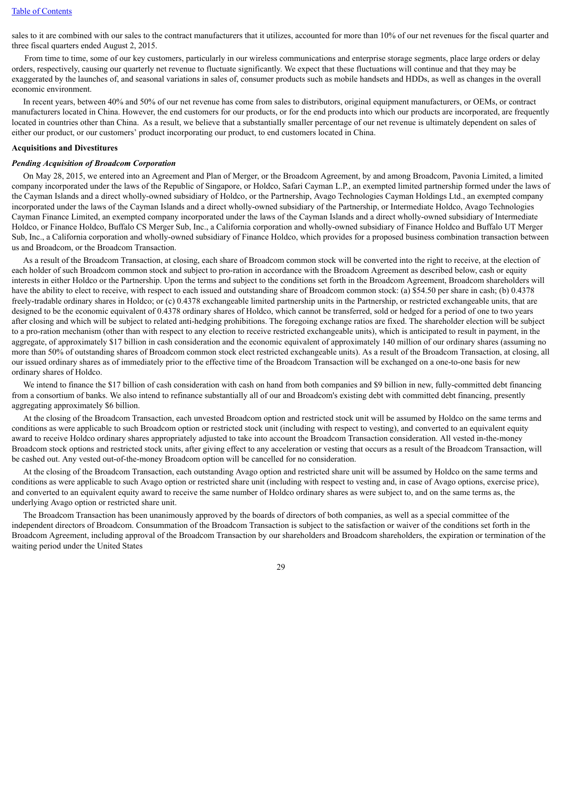sales to it are combined with our sales to the contract manufacturers that it utilizes, accounted for more than 10% of our net revenues for the fiscal quarter and three fiscal quarters ended August 2, 2015.

From time to time, some of our key customers, particularly in our wireless communications and enterprise storage segments, place large orders or delay orders, respectively, causing our quarterly net revenue to fluctuate significantly. We expect that these fluctuations will continue and that they may be exaggerated by the launches of, and seasonal variations in sales of, consumer products such as mobile handsets and HDDs, as well as changes in the overall economic environment.

In recent years, between 40% and 50% of our net revenue has come from sales to distributors, original equipment manufacturers, or OEMs, or contract manufacturers located in China. However, the end customers for our products, or for the end products into which our products are incorporated, are frequently located in countries other than China. As a result, we believe that a substantially smaller percentage of our net revenue is ultimately dependent on sales of either our product, or our customers' product incorporating our product, to end customers located in China.

## **Acquisitions and Divestitures**

## *Pending Acquisition of Broadcom Corporation*

On May 28, 2015, we entered into an Agreement and Plan of Merger, or the Broadcom Agreement, by and among Broadcom, Pavonia Limited, a limited company incorporated under the laws of the Republic of Singapore, or Holdco, Safari Cayman L.P., an exempted limited partnership formed under the laws of the Cayman Islands and a direct wholly-owned subsidiary of Holdco, or the Partnership, Avago Technologies Cayman Holdings Ltd., an exempted company incorporated under the laws of the Cayman Islands and a direct wholly-owned subsidiary of the Partnership, or Intermediate Holdco, Avago Technologies Cayman Finance Limited, an exempted company incorporated under the laws of the Cayman Islands and a direct wholly-owned subsidiary of Intermediate Holdco, or Finance Holdco, Buffalo CS Merger Sub, Inc., a California corporation and wholly-owned subsidiary of Finance Holdco and Buffalo UT Merger Sub, Inc., a California corporation and wholly-owned subsidiary of Finance Holdco, which provides for a proposed business combination transaction between us and Broadcom, or the Broadcom Transaction.

As a result of the Broadcom Transaction, at closing, each share of Broadcom common stock will be converted into the right to receive, at the election of each holder of such Broadcom common stock and subject to pro-ration in accordance with the Broadcom Agreement as described below, cash or equity interests in either Holdco or the Partnership. Upon the terms and subject to the conditions set forth in the Broadcom Agreement, Broadcom shareholders will have the ability to elect to receive, with respect to each issued and outstanding share of Broadcom common stock: (a) \$54.50 per share in cash; (b) 0.4378 freely-tradable ordinary shares in Holdco; or (c) 0.4378 exchangeable limited partnership units in the Partnership, or restricted exchangeable units, that are designed to be the economic equivalent of 0.4378 ordinary shares of Holdco, which cannot be transferred, sold or hedged for a period of one to two years after closing and which will be subject to related anti-hedging prohibitions. The foregoing exchange ratios are fixed. The shareholder election will be subject to a pro-ration mechanism (other than with respect to any election to receive restricted exchangeable units), which is anticipated to result in payment, in the aggregate, of approximately \$17 billion in cash consideration and the economic equivalent of approximately 140 million of our ordinary shares (assuming no more than 50% of outstanding shares of Broadcom common stock elect restricted exchangeable units). As a result of the Broadcom Transaction, at closing, all our issued ordinary shares as of immediately prior to the effective time of the Broadcom Transaction will be exchanged on a one-to-one basis for new ordinary shares of Holdco.

We intend to finance the \$17 billion of cash consideration with cash on hand from both companies and \$9 billion in new, fully-committed debt financing from a consortium of banks. We also intend to refinance substantially all of our and Broadcom's existing debt with committed debt financing, presently aggregating approximately \$6 billion.

At the closing of the Broadcom Transaction, each unvested Broadcom option and restricted stock unit will be assumed by Holdco on the same terms and conditions as were applicable to such Broadcom option or restricted stock unit (including with respect to vesting), and converted to an equivalent equity award to receive Holdco ordinary shares appropriately adjusted to take into account the Broadcom Transaction consideration. All vested in-the-money Broadcom stock options and restricted stock units, after giving effect to any acceleration or vesting that occurs as a result of the Broadcom Transaction, will be cashed out. Any vested out-of-the-money Broadcom option will be cancelled for no consideration.

At the closing of the Broadcom Transaction, each outstanding Avago option and restricted share unit will be assumed by Holdco on the same terms and conditions as were applicable to such Avago option or restricted share unit (including with respect to vesting and, in case of Avago options, exercise price), and converted to an equivalent equity award to receive the same number of Holdco ordinary shares as were subject to, and on the same terms as, the underlying Avago option or restricted share unit.

The Broadcom Transaction has been unanimously approved by the boards of directors of both companies, as well as a special committee of the independent directors of Broadcom. Consummation of the Broadcom Transaction is subject to the satisfaction or waiver of the conditions set forth in the Broadcom Agreement, including approval of the Broadcom Transaction by our shareholders and Broadcom shareholders, the expiration or termination of the waiting period under the United States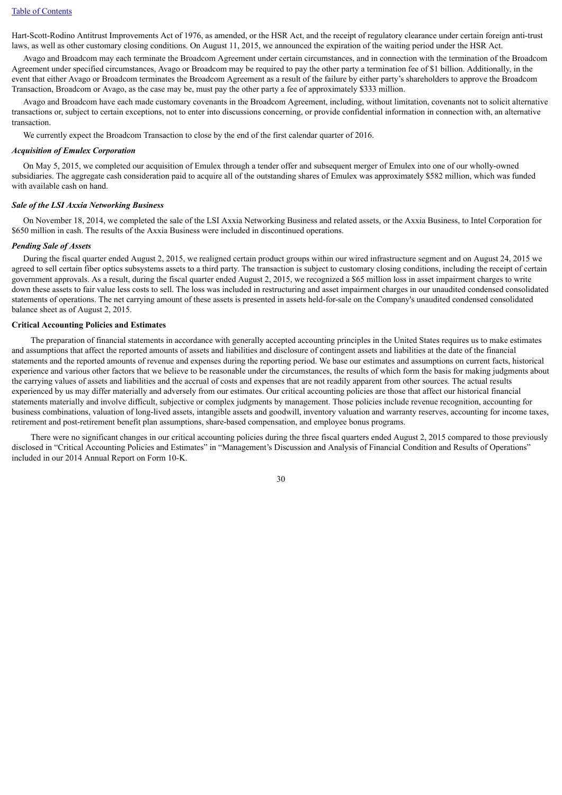Hart-Scott-Rodino Antitrust Improvements Act of 1976, as amended, or the HSR Act, and the receipt of regulatory clearance under certain foreign anti-trust laws, as well as other customary closing conditions. On August 11, 2015, we announced the expiration of the waiting period under the HSR Act.

Avago and Broadcom may each terminate the Broadcom Agreement under certain circumstances, and in connection with the termination of the Broadcom Agreement under specified circumstances, Avago or Broadcom may be required to pay the other party a termination fee of \$1 billion. Additionally, in the event that either Avago or Broadcom terminates the Broadcom Agreement as a result of the failure by either party's shareholders to approve the Broadcom Transaction, Broadcom or Avago, as the case may be, must pay the other party a fee of approximately \$333 million.

Avago and Broadcom have each made customary covenants in the Broadcom Agreement, including, without limitation, covenants not to solicit alternative transactions or, subject to certain exceptions, not to enter into discussions concerning, or provide confidential information in connection with, an alternative transaction.

We currently expect the Broadcom Transaction to close by the end of the first calendar quarter of 2016.

#### *Acquisition of Emulex Corporation*

On May 5, 2015, we completed our acquisition of Emulex through a tender offer and subsequent merger of Emulex into one of our wholly-owned subsidiaries. The aggregate cash consideration paid to acquire all of the outstanding shares of Emulex was approximately \$582 million, which was funded with available cash on hand.

#### *Sale of the LSI Axxia Networking Business*

On November 18, 2014, we completed the sale of the LSI Axxia Networking Business and related assets, or the Axxia Business, to Intel Corporation for \$650 million in cash. The results of the Axxia Business were included in discontinued operations.

#### *Pending Sale of Assets*

During the fiscal quarter ended August 2, 2015, we realigned certain product groups within our wired infrastructure segment and on August 24, 2015 we agreed to sell certain fiber optics subsystems assets to a third party. The transaction is subject to customary closing conditions, including the receipt of certain government approvals. As a result, during the fiscal quarter ended August 2, 2015, we recognized a \$65 million loss in asset impairment charges to write down these assets to fair value less costs to sell. The loss was included in restructuring and asset impairment charges in our unaudited condensed consolidated statements of operations. The net carrying amount of these assets is presented in assets held-for-sale on the Company's unaudited condensed consolidated balance sheet as of August 2, 2015.

## **Critical Accounting Policies and Estimates**

The preparation of financial statements in accordance with generally accepted accounting principles in the United States requires us to make estimates and assumptions that affect the reported amounts of assets and liabilities and disclosure of contingent assets and liabilities at the date of the financial statements and the reported amounts of revenue and expenses during the reporting period. We base our estimates and assumptions on current facts, historical experience and various other factors that we believe to be reasonable under the circumstances, the results of which form the basis for making judgments about the carrying values of assets and liabilities and the accrual of costs and expenses that are not readily apparent from other sources. The actual results experienced by us may differ materially and adversely from our estimates. Our critical accounting policies are those that affect our historical financial statements materially and involve difficult, subjective or complex judgments by management. Those policies include revenue recognition, accounting for business combinations, valuation of long-lived assets, intangible assets and goodwill, inventory valuation and warranty reserves, accounting for income taxes, retirement and post-retirement benefit plan assumptions, share-based compensation, and employee bonus programs.

There were no significant changes in our critical accounting policies during the three fiscal quarters ended August 2, 2015 compared to those previously disclosed in "Critical Accounting Policies and Estimates" in "Management's Discussion and Analysis of Financial Condition and Results of Operations" included in our 2014 Annual Report on Form 10-K.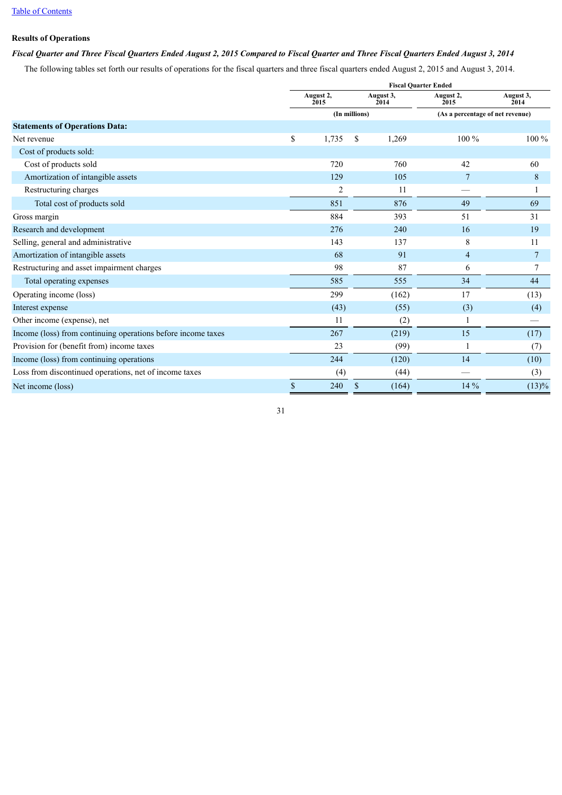## **Results of Operations**

## Fiscal Quarter and Three Fiscal Quarters Ended August 2, 2015 Compared to Fiscal Quarter and Three Fiscal Quarters Ended August 3, 2014

The following tables set forth our results of operations for the fiscal quarters and three fiscal quarters ended August 2, 2015 and August 3, 2014.

|                                                              |                   |                        | <b>Fiscal Quarter Ended</b>      |                   |
|--------------------------------------------------------------|-------------------|------------------------|----------------------------------|-------------------|
|                                                              | August 2,<br>2015 | August 3,<br>2014      | August 2,<br>2015                | August 3,<br>2014 |
|                                                              |                   | (In millions)          | (As a percentage of net revenue) |                   |
| <b>Statements of Operations Data:</b>                        |                   |                        |                                  |                   |
| Net revenue                                                  | \$<br>1,735       | <sup>\$</sup><br>1,269 | 100 %                            | $100\%$           |
| Cost of products sold:                                       |                   |                        |                                  |                   |
| Cost of products sold                                        | 720               | 760                    | 42                               | 60                |
| Amortization of intangible assets                            | 129               | 105                    | $\overline{7}$                   | 8                 |
| Restructuring charges                                        | $\overline{2}$    | 11                     |                                  | 1                 |
| Total cost of products sold                                  | 851               | 876                    | 49                               | 69                |
| Gross margin                                                 | 884               | 393                    | 51                               | 31                |
| Research and development                                     | 276               | 240                    | 16                               | 19                |
| Selling, general and administrative                          | 143               | 137                    | 8                                | 11                |
| Amortization of intangible assets                            | 68                | 91                     | 4                                | $\overline{7}$    |
| Restructuring and asset impairment charges                   | 98                | 87                     | 6                                | 7                 |
| Total operating expenses                                     | 585               | 555                    | 34                               | 44                |
| Operating income (loss)                                      | 299               | (162)                  | 17                               | (13)              |
| Interest expense                                             | (43)              | (55)                   | (3)                              | (4)               |
| Other income (expense), net                                  | 11                | (2)                    |                                  |                   |
| Income (loss) from continuing operations before income taxes | 267               | (219)                  | 15                               | (17)              |
| Provision for (benefit from) income taxes                    | 23                | (99)                   |                                  | (7)               |
| Income (loss) from continuing operations                     | 244               | (120)                  | 14                               | (10)              |
| Loss from discontinued operations, net of income taxes       | (4)               | (44)                   |                                  | (3)               |
| Net income (loss)                                            | \$<br>240         | \$<br>(164)            | 14 %                             | (13)%             |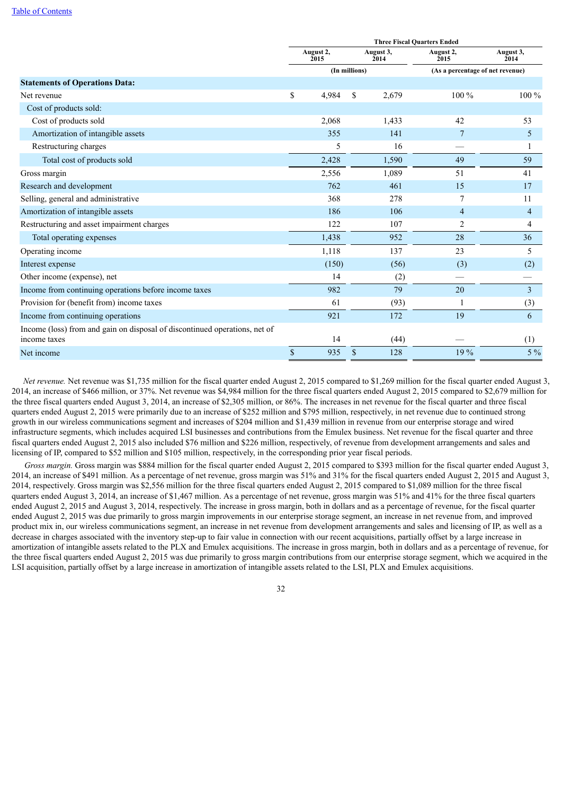|                                                                                            |             |                   |                    |       | <b>Three Fiscal Quarters Ended</b> |                   |
|--------------------------------------------------------------------------------------------|-------------|-------------------|--------------------|-------|------------------------------------|-------------------|
|                                                                                            |             | August 2,<br>2015 | August 3,          | 2014  | August 2,<br>2015                  | August 3,<br>2014 |
|                                                                                            |             |                   | (In millions)      |       | (As a percentage of net revenue)   |                   |
| <b>Statements of Operations Data:</b>                                                      |             |                   |                    |       |                                    |                   |
| Net revenue                                                                                | \$          | 4,984             | \$                 | 2,679 | 100 %                              | $100\%$           |
| Cost of products sold:                                                                     |             |                   |                    |       |                                    |                   |
| Cost of products sold                                                                      |             | 2,068             |                    | 1,433 | 42                                 | 53                |
| Amortization of intangible assets                                                          |             | 355               |                    | 141   | $\overline{7}$                     | 5                 |
| Restructuring charges                                                                      |             | 5                 |                    | 16    |                                    |                   |
| Total cost of products sold                                                                |             | 2,428             |                    | 1,590 | 49                                 | 59                |
| Gross margin                                                                               |             | 2,556             |                    | 1,089 | 51                                 | 41                |
| Research and development                                                                   |             | 762               |                    | 461   | 15                                 | 17                |
| Selling, general and administrative                                                        |             | 368               |                    | 278   | 7                                  | 11                |
| Amortization of intangible assets                                                          |             | 186               |                    | 106   | $\overline{4}$                     | $\overline{4}$    |
| Restructuring and asset impairment charges                                                 |             | 122               |                    | 107   | $\overline{2}$                     | 4                 |
| Total operating expenses                                                                   |             | 1,438             |                    | 952   | 28                                 | 36                |
| Operating income                                                                           |             | 1,118             |                    | 137   | 23                                 | 5                 |
| Interest expense                                                                           |             | (150)             |                    | (56)  | (3)                                | (2)               |
| Other income (expense), net                                                                |             | 14                |                    | (2)   |                                    |                   |
| Income from continuing operations before income taxes                                      |             | 982               |                    | 79    | 20                                 | 3                 |
| Provision for (benefit from) income taxes                                                  |             | 61                |                    | (93)  |                                    | (3)               |
| Income from continuing operations                                                          |             | 921               |                    | 172   | 19                                 | 6                 |
| Income (loss) from and gain on disposal of discontinued operations, net of<br>income taxes |             | 14                |                    | (44)  |                                    | (1)               |
| Net income                                                                                 | $\mathbf S$ | 935               | $\mathbf{\hat{S}}$ | 128   | 19 %                               | $5\%$             |

*Net revenue.* Net revenue was \$1,735 million for the fiscal quarter ended August 2, 2015 compared to \$1,269 million for the fiscal quarter ended August 3, 2014, an increase of \$466 million, or 37%. Net revenue was \$4,984 million for the three fiscal quarters ended August 2, 2015 compared to \$2,679 million for the three fiscal quarters ended August 3, 2014, an increase of \$2,305 million, or 86%. The increases in net revenue for the fiscal quarter and three fiscal quarters ended August 2, 2015 were primarily due to an increase of \$252 million and \$795 million, respectively, in net revenue due to continued strong growth in our wireless communications segment and increases of \$204 million and \$1,439 million in revenue from our enterprise storage and wired infrastructure segments, which includes acquired LSI businesses and contributions from the Emulex business. Net revenue for the fiscal quarter and three fiscal quarters ended August 2, 2015 also included \$76 million and \$226 million, respectively, of revenue from development arrangements and sales and licensing of IP, compared to \$52 million and \$105 million, respectively, in the corresponding prior year fiscal periods.

*Gross margin.* Gross margin was \$884 million for the fiscal quarter ended August 2, 2015 compared to \$393 million for the fiscal quarter ended August 3, 2014, an increase of \$491 million. As a percentage of net revenue, gross margin was 51% and 31% for the fiscal quarters ended August 2, 2015 and August 3, 2014, respectively. Gross margin was \$2,556 million for the three fiscal quarters ended August 2, 2015 compared to \$1,089 million for the three fiscal quarters ended August 3, 2014, an increase of \$1,467 million. As a percentage of net revenue, gross margin was 51% and 41% for the three fiscal quarters ended August 2, 2015 and August 3, 2014, respectively. The increase in gross margin, both in dollars and as a percentage of revenue, for the fiscal quarter ended August 2, 2015 was due primarily to gross margin improvements in our enterprise storage segment, an increase in net revenue from, and improved product mix in, our wireless communications segment, an increase in net revenue from development arrangements and sales and licensing of IP, as well as a decrease in charges associated with the inventory step-up to fair value in connection with our recent acquisitions, partially offset by a large increase in amortization of intangible assets related to the PLX and Emulex acquisitions. The increase in gross margin, both in dollars and as a percentage of revenue, for the three fiscal quarters ended August 2, 2015 was due primarily to gross margin contributions from our enterprise storage segment, which we acquired in the LSI acquisition, partially offset by a large increase in amortization of intangible assets related to the LSI, PLX and Emulex acquisitions.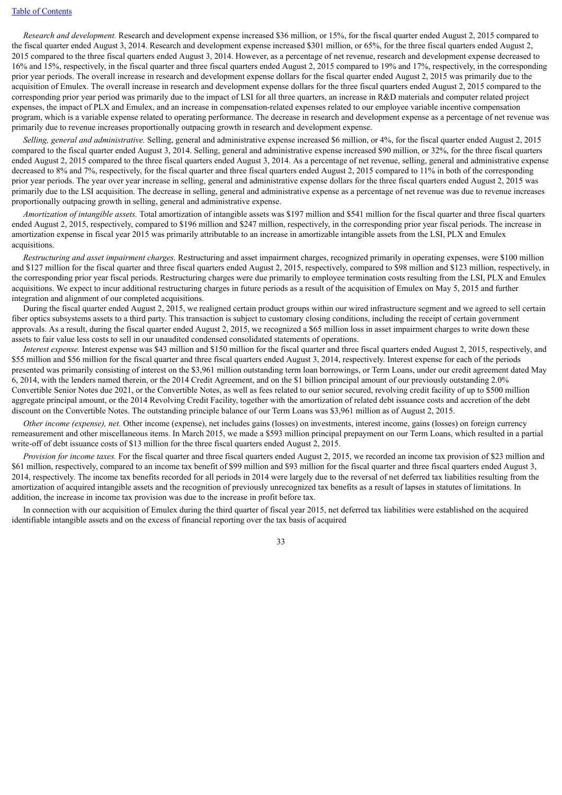*Research and development.* Research and development expense increased \$36 million, or 15%, for the fiscal quarter ended August 2, 2015 compared to the fiscal quarter ended August 3, 2014. Research and development expense increased \$301 million, or 65%, for the three fiscal quarters ended August 2, 2015 compared to the three fiscal quarters ended August 3, 2014. However, as a percentage of net revenue, research and development expense decreased to 16% and 15%, respectively, in the fiscal quarter and three fiscal quarters ended August 2, 2015 compared to 19% and 17%, respectively, in the corresponding prior year periods. The overall increase in research and development expense dollars for the fiscal quarter ended August 2, 2015 was primarily due to the acquisition of Emulex. The overall increase in research and development expense dollars for the three fiscal quarters ended August 2, 2015 compared to the corresponding prior year period was primarily due to the impact of LSI for all three quarters, an increase in R&D materials and computer related project expenses, the impact of PLX and Emulex, and an increase in compensation-related expenses related to our employee variable incentive compensation program, which is a variable expense related to operating performance. The decrease in research and development expense as a percentage of net revenue was primarily due to revenue increases proportionally outpacing growth in research and development expense.

*Selling, general and administrative.* Selling, general and administrative expense increased \$6 million, or 4%, for the fiscal quarter ended August 2, 2015 compared to the fiscal quarter ended August 3, 2014. Selling, general and administrative expense increased \$90 million, or 32%, for the three fiscal quarters ended August 2, 2015 compared to the three fiscal quarters ended August 3, 2014. As a percentage of net revenue, selling, general and administrative expense decreased to 8% and 7%, respectively, for the fiscal quarter and three fiscal quarters ended August 2, 2015 compared to 11% in both of the corresponding prior year periods. The year over year increase in selling, general and administrative expense dollars for the three fiscal quarters ended August 2, 2015 was primarily due to the LSI acquisition. The decrease in selling, general and administrative expense as a percentage of net revenue was due to revenue increases proportionally outpacing growth in selling, general and administrative expense.

*Amortization of intangible assets.* Total amortization of intangible assets was \$197 million and \$541 million for the fiscal quarter and three fiscal quarters ended August 2, 2015, respectively, compared to \$196 million and \$247 million, respectively, in the corresponding prior year fiscal periods. The increase in amortization expense in fiscal year 2015 was primarily attributable to an increase in amortizable intangible assets from the LSI, PLX and Emulex acquisitions.

*Restructuring and asset impairment charges.* Restructuring and asset impairment charges, recognized primarily in operating expenses, were \$100 million and \$127 million for the fiscal quarter and three fiscal quarters ended August 2, 2015, respectively, compared to \$98 million and \$123 million, respectively, in the corresponding prior year fiscal periods. Restructuring charges were due primarily to employee termination costs resulting from the LSI, PLX and Emulex acquisitions. We expect to incur additional restructuring charges in future periods as a result of the acquisition of Emulex on May 5, 2015 and further integration and alignment of our completed acquisitions.

During the fiscal quarter ended August 2, 2015, we realigned certain product groups within our wired infrastructure segment and we agreed to sell certain fiber optics subsystems assets to a third party. This transaction is subject to customary closing conditions, including the receipt of certain government approvals. As a result, during the fiscal quarter ended August 2, 2015, we recognized a \$65 million loss in asset impairment charges to write down these assets to fair value less costs to sell in our unaudited condensed consolidated statements of operations.

*Interest expense.* Interest expense was \$43 million and \$150 million for the fiscal quarter and three fiscal quarters ended August 2, 2015, respectively, and \$55 million and \$56 million for the fiscal quarter and three fiscal quarters ended August 3, 2014, respectively. Interest expense for each of the periods presented was primarily consisting of interest on the \$3,961 million outstanding term loan borrowings, or Term Loans, under our credit agreement dated May 6, 2014, with the lenders named therein, or the 2014 Credit Agreement, and on the \$1 billion principal amount of our previously outstanding 2.0% Convertible Senior Notes due 2021, or the Convertible Notes, as well as fees related to our senior secured, revolving credit facility of up to \$500 million aggregate principal amount, or the 2014 Revolving Credit Facility, together with the amortization of related debt issuance costs and accretion of the debt discount on the Convertible Notes. The outstanding principle balance of our Term Loans was \$3,961 million as of August 2, 2015.

*Other income (expense), net.* Other income (expense), net includes gains (losses) on investments, interest income, gains (losses) on foreign currency remeasurement and other miscellaneous items. In March 2015, we made a \$593 million principal prepayment on our Term Loans, which resulted in a partial write-off of debt issuance costs of \$13 million for the three fiscal quarters ended August 2, 2015.

*Provision for income taxes.* For the fiscal quarter and three fiscal quarters ended August 2, 2015, we recorded an income tax provision of \$23 million and \$61 million, respectively, compared to an income tax benefit of \$99 million and \$93 million for the fiscal quarter and three fiscal quarters ended August 3, 2014, respectively. The income tax benefits recorded for all periods in 2014 were largely due to the reversal of net deferred tax liabilities resulting from the amortization of acquired intangible assets and the recognition of previously unrecognized tax benefits as a result of lapses in statutes of limitations. In addition, the increase in income tax provision was due to the increase in profit before tax.

In connection with our acquisition of Emulex during the third quarter of fiscal year 2015, net deferred tax liabilities were established on the acquired identifiable intangible assets and on the excess of financial reporting over the tax basis of acquired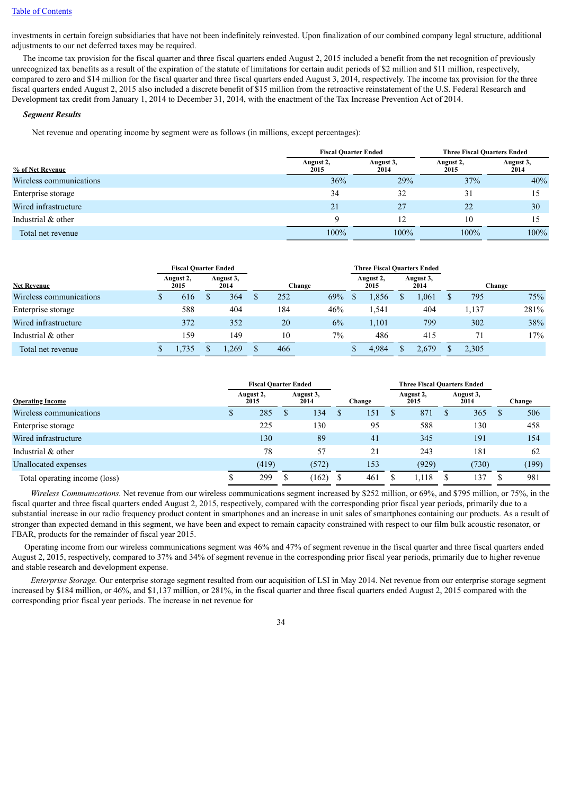investments in certain foreign subsidiaries that have not been indefinitely reinvested. Upon finalization of our combined company legal structure, additional adjustments to our net deferred taxes may be required.

The income tax provision for the fiscal quarter and three fiscal quarters ended August 2, 2015 included a benefit from the net recognition of previously unrecognized tax benefits as a result of the expiration of the statute of limitations for certain audit periods of \$2 million and \$11 million, respectively, compared to zero and \$14 million for the fiscal quarter and three fiscal quarters ended August 3, 2014, respectively. The income tax provision for the three fiscal quarters ended August 2, 2015 also included a discrete benefit of \$15 million from the retroactive reinstatement of the U.S. Federal Research and Development tax credit from January 1, 2014 to December 31, 2014, with the enactment of the Tax Increase Prevention Act of 2014.

#### *Segment Results*

Net revenue and operating income by segment were as follows (in millions, except percentages):

|                         | <b>Fiscal Quarter Ended</b> |                   | <b>Three Fiscal Quarters Ended</b> |                   |  |  |  |
|-------------------------|-----------------------------|-------------------|------------------------------------|-------------------|--|--|--|
| % of Net Revenue        | August 2,<br>2015           | August 3,<br>2014 | August 2,<br>2015                  | August 3,<br>2014 |  |  |  |
| Wireless communications | 36%                         | 29%               | 37%                                | 40%               |  |  |  |
| Enterprise storage      | 34                          | 32                | 31                                 |                   |  |  |  |
| Wired infrastructure    | 21                          | 27                | 22                                 | 30                |  |  |  |
| Industrial & other      |                             | 12                | 10                                 |                   |  |  |  |
| Total net revenue       | 100%                        | 100%              | 100%                               | 100%              |  |  |  |

| <b>Fiscal Quarter Ended</b> |                                        |       |        |      |  |                   |     | <b>Three Fiscal Quarters Ended</b> |       |        |       |  |       |      |
|-----------------------------|----------------------------------------|-------|--------|------|--|-------------------|-----|------------------------------------|-------|--------|-------|--|-------|------|
| <b>Net Revenue</b>          | August 2,<br>August 3,<br>2015<br>2014 |       | Change |      |  | August 2,<br>2015 |     | August 3,<br>2014                  |       | Change |       |  |       |      |
| Wireless communications     |                                        | 616   |        | 364  |  | 252               | 69% |                                    | .856  |        | .061  |  | 795   | 75%  |
| Enterprise storage          |                                        | 588   |        | 404  |  | 184               | 46% |                                    | 1.541 |        | 404   |  | .137  | 281% |
| Wired infrastructure        |                                        | 372   |        | 352  |  | 20                | 6%  |                                    | 1,101 |        | 799   |  | 302   | 38%  |
| Industrial $&$ other        |                                        | 159   |        | 149  |  | 10                | 7%  |                                    | 486   |        | 415   |  | 71    | 17%  |
| Total net revenue           |                                        | 1,735 |        | ,269 |  | 466               |     |                                    | 4,984 |        | 2,679 |  | 2,305 |      |

|                               | <b>Fiscal Quarter Ended</b> |       |                   |       |        |     | <b>Three Fiscal Quarters Ended</b> |       |                   |       |              |        |
|-------------------------------|-----------------------------|-------|-------------------|-------|--------|-----|------------------------------------|-------|-------------------|-------|--------------|--------|
| <b>Operating Income</b>       | August 2,<br>2015           |       | August 3,<br>2014 |       | Change |     | August 2,<br>2015                  |       | August 3,<br>2014 |       |              | Change |
| Wireless communications       | Φ                           | 285   |                   | 134   |        | 151 |                                    | 871   |                   | 365   | <sup>S</sup> | 506    |
| Enterprise storage            |                             | 225   |                   | 130   |        | 95  |                                    | 588   |                   | 130   |              | 458    |
| Wired infrastructure          |                             | 130   |                   | 89    |        | 41  |                                    | 345   |                   | 191   |              | 154    |
| Industrial & other            |                             | 78    |                   | 57    |        | 21  |                                    | 243   |                   | 181   |              | 62     |
| Unallocated expenses          |                             | (419) |                   | (572) |        | 153 |                                    | (929) |                   | (730) |              | (199)  |
| Total operating income (loss) |                             | 299   |                   | (162) |        | 461 |                                    | 118   | S.                | .37   |              | 981    |

*Wireless Communications.* Net revenue from our wireless communications segment increased by \$252 million, or 69%, and \$795 million, or 75%, in the fiscal quarter and three fiscal quarters ended August 2, 2015, respectively, compared with the corresponding prior fiscal year periods, primarily due to a substantial increase in our radio frequency product content in smartphones and an increase in unit sales of smartphones containing our products. As a result of stronger than expected demand in this segment, we have been and expect to remain capacity constrained with respect to our film bulk acoustic resonator, or FBAR, products for the remainder of fiscal year 2015.

Operating income from our wireless communications segment was 46% and 47% of segment revenue in the fiscal quarter and three fiscal quarters ended August 2, 2015, respectively, compared to 37% and 34% of segment revenue in the corresponding prior fiscal year periods, primarily due to higher revenue and stable research and development expense.

*Enterprise Storage.* Our enterprise storage segment resulted from our acquisition of LSI in May 2014. Net revenue from our enterprise storage segment increased by \$184 million, or 46%, and \$1,137 million, or 281%, in the fiscal quarter and three fiscal quarters ended August 2, 2015 compared with the corresponding prior fiscal year periods. The increase in net revenue for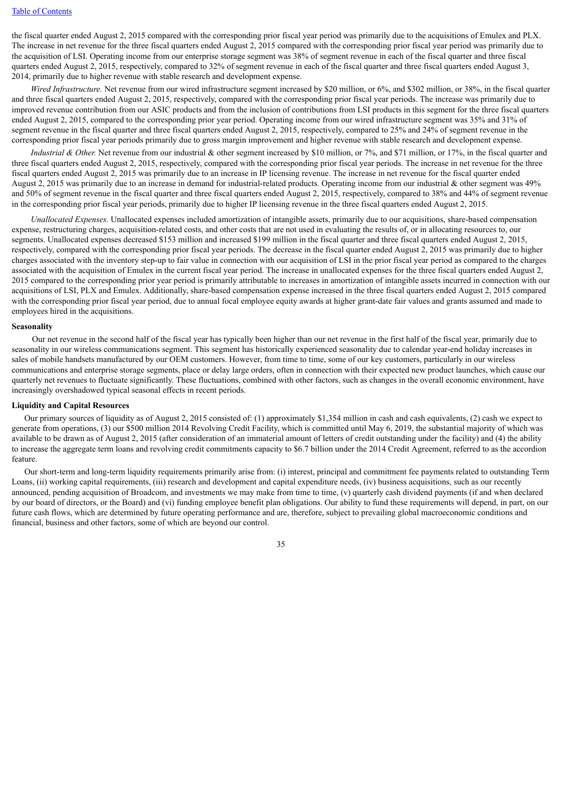the fiscal quarter ended August 2, 2015 compared with the corresponding prior fiscal year period was primarily due to the acquisitions of Emulex and PLX. The increase in net revenue for the three fiscal quarters ended August 2, 2015 compared with the corresponding prior fiscal year period was primarily due to the acquisition of LSI. Operating income from our enterprise storage segment was 38% of segment revenue in each of the fiscal quarter and three fiscal quarters ended August 2, 2015, respectively, compared to 32% of segment revenue in each of the fiscal quarter and three fiscal quarters ended August 3, 2014, primarily due to higher revenue with stable research and development expense.

*Wired Infrastructure*. Net revenue from our wired infrastructure segment increased by \$20 million, or 6%, and \$302 million, or 38%, in the fiscal quarter and three fiscal quarters ended August 2, 2015, respectively, compared with the corresponding prior fiscal year periods. The increase was primarily due to improved revenue contribution from our ASIC products and from the inclusion of contributions from LSI products in this segment for the three fiscal quarters ended August 2, 2015, compared to the corresponding prior year period. Operating income from our wired infrastructure segment was 35% and 31% of segment revenue in the fiscal quarter and three fiscal quarters ended August 2, 2015, respectively, compared to 25% and 24% of segment revenue in the corresponding prior fiscal year periods primarily due to gross margin improvement and higher revenue with stable research and development expense.

*Industrial* & *Other*. Net revenue from our industrial & other segment increased by \$10 million, or 7%, and \$71 million, or 17%, in the fiscal quarter and three fiscal quarters ended August 2, 2015, respectively, compared with the corresponding prior fiscal year periods. The increase in net revenue for the three fiscal quarters ended August 2, 2015 was primarily due to an increase in IP licensing revenue. The increase in net revenue for the fiscal quarter ended August 2, 2015 was primarily due to an increase in demand for industrial-related products. Operating income from our industrial & other segment was 49% and 50% of segment revenue in the fiscal quarter and three fiscal quarters ended August 2, 2015, respectively, compared to 38% and 44% of segment revenue in the corresponding prior fiscal year periods, primarily due to higher IP licensing revenue in the three fiscal quarters ended August 2, 2015.

*Unallocated Expenses.* Unallocated expenses included amortization of intangible assets, primarily due to our acquisitions, share-based compensation expense, restructuring charges, acquisition-related costs, and other costs that are not used in evaluating the results of, or in allocating resources to, our segments. Unallocated expenses decreased \$153 million and increased \$199 million in the fiscal quarter and three fiscal quarters ended August 2, 2015, respectively, compared with the corresponding prior fiscal year periods. The decrease in the fiscal quarter ended August 2, 2015 was primarily due to higher charges associated with the inventory step-up to fair value in connection with our acquisition of LSI in the prior fiscal year period as compared to the charges associated with the acquisition of Emulex in the current fiscal year period. The increase in unallocated expenses for the three fiscal quarters ended August 2, 2015 compared to the corresponding prior year period is primarily attributable to increases in amortization of intangible assets incurred in connection with our acquisitions of LSI, PLX and Emulex. Additionally, share-based compensation expense increased in the three fiscal quarters ended August 2, 2015 compared with the corresponding prior fiscal year period, due to annual focal employee equity awards at higher grant-date fair values and grants assumed and made to employees hired in the acquisitions.

## **Seasonality**

Our net revenue in the second half of the fiscal year has typically been higher than our net revenue in the first half of the fiscal year, primarily due to seasonality in our wireless communications segment. This segment has historically experienced seasonality due to calendar year-end holiday increases in sales of mobile handsets manufactured by our OEM customers. However, from time to time, some of our key customers, particularly in our wireless communications and enterprise storage segments, place or delay large orders, often in connection with their expected new product launches, which cause our quarterly net revenues to fluctuate significantly. These fluctuations, combined with other factors, such as changes in the overall economic environment, have increasingly overshadowed typical seasonal effects in recent periods.

#### **Liquidity and Capital Resources**

Our primary sources of liquidity as of August 2, 2015 consisted of: (1) approximately \$1,354 million in cash and cash equivalents, (2) cash we expect to generate from operations, (3) our \$500 million 2014 Revolving Credit Facility, which is committed until May 6, 2019, the substantial majority of which was available to be drawn as of August 2, 2015 (after consideration of an immaterial amount of letters of credit outstanding under the facility) and (4) the ability to increase the aggregate term loans and revolving credit commitments capacity to \$6.7 billion under the 2014 Credit Agreement, referred to as the accordion feature.

Our short-term and long-term liquidity requirements primarily arise from: (i) interest, principal and commitment fee payments related to outstanding Term Loans, (ii) working capital requirements, (iii) research and development and capital expenditure needs, (iv) business acquisitions, such as our recently announced, pending acquisition of Broadcom, and investments we may make from time to time, (v) quarterly cash dividend payments (if and when declared by our board of directors, or the Board) and (vi) funding employee benefit plan obligations. Our ability to fund these requirements will depend, in part, on our future cash flows, which are determined by future operating performance and are, therefore, subject to prevailing global macroeconomic conditions and financial, business and other factors, some of which are beyond our control.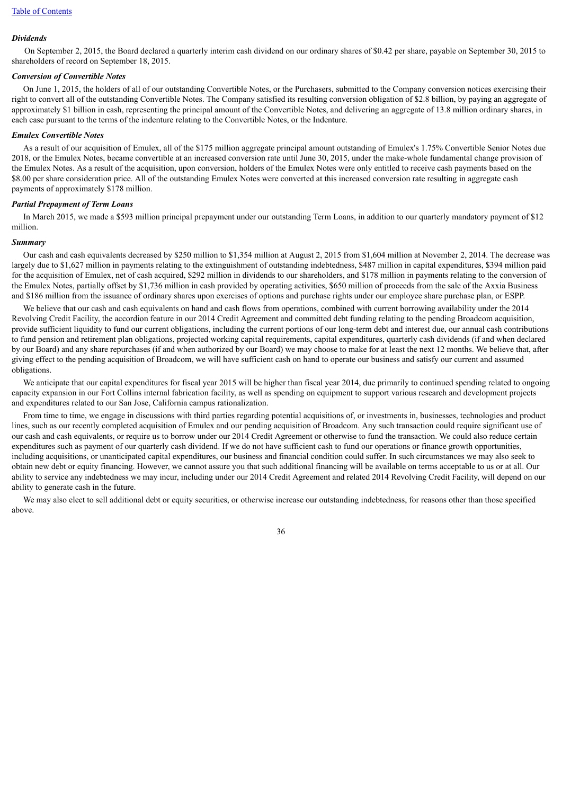## *Dividends*

On September 2, 2015, the Board declared a quarterly interim cash dividend on our ordinary shares of \$0.42 per share, payable on September 30, 2015 to shareholders of record on September 18, 2015.

## *Conversion of Convertible Notes*

On June 1, 2015, the holders of all of our outstanding Convertible Notes, or the Purchasers, submitted to the Company conversion notices exercising their right to convert all of the outstanding Convertible Notes. The Company satisfied its resulting conversion obligation of \$2.8 billion, by paying an aggregate of approximately \$1 billion in cash, representing the principal amount of the Convertible Notes, and delivering an aggregate of 13.8 million ordinary shares, in each case pursuant to the terms of the indenture relating to the Convertible Notes, or the Indenture.

## *Emulex Convertible Notes*

As a result of our acquisition of Emulex, all of the \$175 million aggregate principal amount outstanding of Emulex's 1.75% Convertible Senior Notes due 2018, or the Emulex Notes, became convertible at an increased conversion rate until June 30, 2015, under the make-whole fundamental change provision of the Emulex Notes. As a result of the acquisition, upon conversion, holders of the Emulex Notes were only entitled to receive cash payments based on the \$8.00 per share consideration price. All of the outstanding Emulex Notes were converted at this increased conversion rate resulting in aggregate cash payments of approximately \$178 million.

## *Partial Prepayment of Term Loans*

In March 2015, we made a \$593 million principal prepayment under our outstanding Term Loans, in addition to our quarterly mandatory payment of \$12 million.

#### *Summary*

Our cash and cash equivalents decreased by \$250 million to \$1,354 million at August 2, 2015 from \$1,604 million at November 2, 2014. The decrease was largely due to \$1,627 million in payments relating to the extinguishment of outstanding indebtedness, \$487 million in capital expenditures, \$394 million paid for the acquisition of Emulex, net of cash acquired, \$292 million in dividends to our shareholders, and \$178 million in payments relating to the conversion of the Emulex Notes, partially offset by \$1,736 million in cash provided by operating activities, \$650 million of proceeds from the sale of the Axxia Business and \$186 million from the issuance of ordinary shares upon exercises of options and purchase rights under our employee share purchase plan, or ESPP.

We believe that our cash and cash equivalents on hand and cash flows from operations, combined with current borrowing availability under the 2014 Revolving Credit Facility, the accordion feature in our 2014 Credit Agreement and committed debt funding relating to the pending Broadcom acquisition, provide sufficient liquidity to fund our current obligations, including the current portions of our long-term debt and interest due, our annual cash contributions to fund pension and retirement plan obligations, projected working capital requirements, capital expenditures, quarterly cash dividends (if and when declared by our Board) and any share repurchases (if and when authorized by our Board) we may choose to make for at least the next 12 months. We believe that, after giving effect to the pending acquisition of Broadcom, we will have sufficient cash on hand to operate our business and satisfy our current and assumed obligations.

We anticipate that our capital expenditures for fiscal year 2015 will be higher than fiscal year 2014, due primarily to continued spending related to ongoing capacity expansion in our Fort Collins internal fabrication facility, as well as spending on equipment to support various research and development projects and expenditures related to our San Jose, California campus rationalization.

From time to time, we engage in discussions with third parties regarding potential acquisitions of, or investments in, businesses, technologies and product lines, such as our recently completed acquisition of Emulex and our pending acquisition of Broadcom. Any such transaction could require significant use of our cash and cash equivalents, or require us to borrow under our 2014 Credit Agreement or otherwise to fund the transaction. We could also reduce certain expenditures such as payment of our quarterly cash dividend. If we do not have sufficient cash to fund our operations or finance growth opportunities, including acquisitions, or unanticipated capital expenditures, our business and financial condition could suffer. In such circumstances we may also seek to obtain new debt or equity financing. However, we cannot assure you that such additional financing will be available on terms acceptable to us or at all. Our ability to service any indebtedness we may incur, including under our 2014 Credit Agreement and related 2014 Revolving Credit Facility, will depend on our ability to generate cash in the future.

We may also elect to sell additional debt or equity securities, or otherwise increase our outstanding indebtedness, for reasons other than those specified above.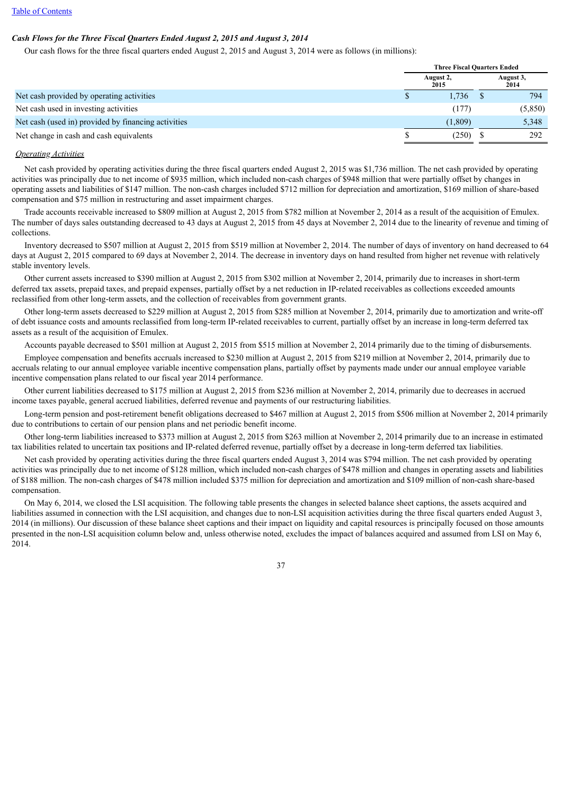## *Cash Flows for the Three Fiscal Quarters Ended August 2, 2015 and August 3, 2014*

Our cash flows for the three fiscal quarters ended August 2, 2015 and August 3, 2014 were as follows (in millions):

|                                                     | <b>Three Fiscal Quarters Ended</b> |                   |  |                   |
|-----------------------------------------------------|------------------------------------|-------------------|--|-------------------|
|                                                     |                                    | August 2,<br>2015 |  | August 3,<br>2014 |
| Net cash provided by operating activities           |                                    | 1,736             |  | 794               |
| Net cash used in investing activities               |                                    | (177)             |  | (5,850)           |
| Net cash (used in) provided by financing activities |                                    | (1,809)           |  | 5,348             |
| Net change in cash and cash equivalents             |                                    | (250)             |  | 292               |

## *Operating Activities*

Net cash provided by operating activities during the three fiscal quarters ended August 2, 2015 was \$1,736 million. The net cash provided by operating activities was principally due to net income of \$935 million, which included non-cash charges of \$948 million that were partially offset by changes in operating assets and liabilities of \$147 million. The non-cash charges included \$712 million for depreciation and amortization, \$169 million of share-based compensation and \$75 million in restructuring and asset impairment charges.

Trade accounts receivable increased to \$809 million at August 2, 2015 from \$782 million at November 2, 2014 as a result of the acquisition of Emulex. The number of days sales outstanding decreased to 43 days at August 2, 2015 from 45 days at November 2, 2014 due to the linearity of revenue and timing of collections.

Inventory decreased to \$507 million at August 2, 2015 from \$519 million at November 2, 2014. The number of days of inventory on hand decreased to 64 days at August 2, 2015 compared to 69 days at November 2, 2014. The decrease in inventory days on hand resulted from higher net revenue with relatively stable inventory levels.

Other current assets increased to \$390 million at August 2, 2015 from \$302 million at November 2, 2014, primarily due to increases in short-term deferred tax assets, prepaid taxes, and prepaid expenses, partially offset by a net reduction in IP-related receivables as collections exceeded amounts reclassified from other long-term assets, and the collection of receivables from government grants.

Other long-term assets decreased to \$229 million at August 2, 2015 from \$285 million at November 2, 2014, primarily due to amortization and write-off of debt issuance costs and amounts reclassified from long-term IP-related receivables to current, partially offset by an increase in long-term deferred tax assets as a result of the acquisition of Emulex.

Accounts payable decreased to \$501 million at August 2, 2015 from \$515 million at November 2, 2014 primarily due to the timing of disbursements.

Employee compensation and benefits accruals increased to \$230 million at August 2, 2015 from \$219 million at November 2, 2014, primarily due to accruals relating to our annual employee variable incentive compensation plans, partially offset by payments made under our annual employee variable incentive compensation plans related to our fiscal year 2014 performance.

Other current liabilities decreased to \$175 million at August 2, 2015 from \$236 million at November 2, 2014, primarily due to decreases in accrued income taxes payable, general accrued liabilities, deferred revenue and payments of our restructuring liabilities.

Long-term pension and post-retirement benefit obligations decreased to \$467 million at August 2, 2015 from \$506 million at November 2, 2014 primarily due to contributions to certain of our pension plans and net periodic benefit income.

Other long-term liabilities increased to \$373 million at August 2, 2015 from \$263 million at November 2, 2014 primarily due to an increase in estimated tax liabilities related to uncertain tax positions and IP-related deferred revenue, partially offset by a decrease in long-term deferred tax liabilities.

Net cash provided by operating activities during the three fiscal quarters ended August 3, 2014 was \$794 million. The net cash provided by operating activities was principally due to net income of \$128 million, which included non-cash charges of \$478 million and changes in operating assets and liabilities of \$188 million. The non-cash charges of \$478 million included \$375 million for depreciation and amortization and \$109 million of non-cash share-based compensation.

On May 6, 2014, we closed the LSI acquisition. The following table presents the changes in selected balance sheet captions, the assets acquired and liabilities assumed in connection with the LSI acquisition, and changes due to non-LSI acquisition activities during the three fiscal quarters ended August 3, 2014 (in millions). Our discussion of these balance sheet captions and their impact on liquidity and capital resources is principally focused on those amounts presented in the non-LSI acquisition column below and, unless otherwise noted, excludes the impact of balances acquired and assumed from LSI on May 6, 2014.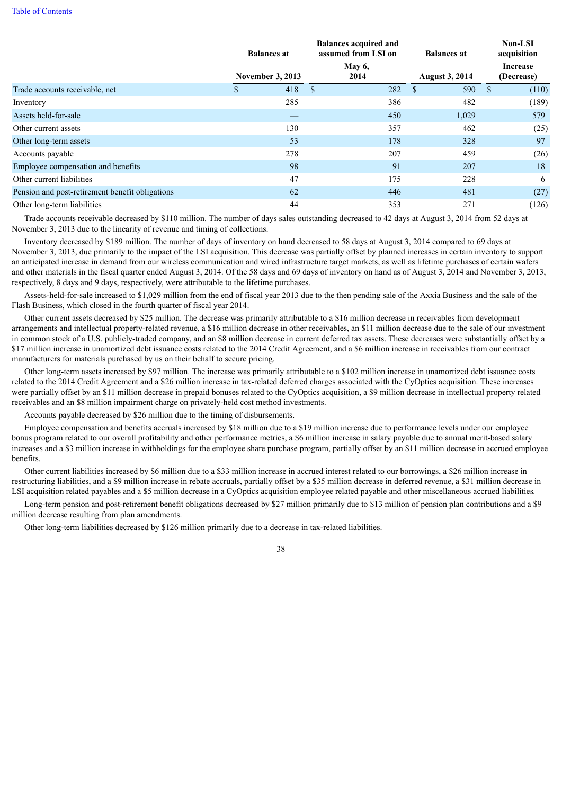|                                                 | <b>Balances acquired and</b><br>assumed from LSI on<br><b>Balances at</b> |                         | <b>Balances at</b> | <b>Non-LSI</b><br>acquisition |                       |    |                               |
|-------------------------------------------------|---------------------------------------------------------------------------|-------------------------|--------------------|-------------------------------|-----------------------|----|-------------------------------|
|                                                 |                                                                           | <b>November 3, 2013</b> |                    | <b>May 6,</b><br>2014         | <b>August 3, 2014</b> |    | <b>Increase</b><br>(Decrease) |
| Trade accounts receivable, net                  | S                                                                         | 418                     | <sup>\$</sup>      | 282                           | -\$<br>590            | -S | (110)                         |
| Inventory                                       |                                                                           | 285                     |                    | 386                           | 482                   |    | (189)                         |
| Assets held-for-sale                            |                                                                           |                         |                    | 450                           | 1,029                 |    | 579                           |
| Other current assets                            |                                                                           | 130                     |                    | 357                           | 462                   |    | (25)                          |
| Other long-term assets                          |                                                                           | 53                      |                    | 178                           | 328                   |    | 97                            |
| Accounts payable                                |                                                                           | 278                     |                    | 207                           | 459                   |    | (26)                          |
| Employee compensation and benefits              |                                                                           | 98                      |                    | 91                            | 207                   |    | 18                            |
| Other current liabilities                       |                                                                           | 47                      |                    | 175                           | 228                   |    | -6                            |
| Pension and post-retirement benefit obligations |                                                                           | 62                      |                    | 446                           | 481                   |    | (27)                          |
| Other long-term liabilities                     |                                                                           | 44                      |                    | 353                           | 271                   |    | (126)                         |

Trade accounts receivable decreased by \$110 million. The number of days sales outstanding decreased to 42 days at August 3, 2014 from 52 days at November 3, 2013 due to the linearity of revenue and timing of collections.

Inventory decreased by \$189 million. The number of days of inventory on hand decreased to 58 days at August 3, 2014 compared to 69 days at November 3, 2013, due primarily to the impact of the LSI acquisition. This decrease was partially offset by planned increases in certain inventory to support an anticipated increase in demand from our wireless communication and wired infrastructure target markets, as well as lifetime purchases of certain wafers and other materials in the fiscal quarter ended August 3, 2014. Of the 58 days and 69 days of inventory on hand as of August 3, 2014 and November 3, 2013, respectively, 8 days and 9 days, respectively, were attributable to the lifetime purchases.

Assets-held-for-sale increased to \$1,029 million from the end of fiscal year 2013 due to the then pending sale of the Axxia Business and the sale of the Flash Business, which closed in the fourth quarter of fiscal year 2014.

Other current assets decreased by \$25 million. The decrease was primarily attributable to a \$16 million decrease in receivables from development arrangements and intellectual property-related revenue, a \$16 million decrease in other receivables, an \$11 million decrease due to the sale of our investment in common stock of a U.S. publicly-traded company, and an \$8 million decrease in current deferred tax assets. These decreases were substantially offset by a \$17 million increase in unamortized debt issuance costs related to the 2014 Credit Agreement, and a \$6 million increase in receivables from our contract manufacturers for materials purchased by us on their behalf to secure pricing.

Other long-term assets increased by \$97 million. The increase was primarily attributable to a \$102 million increase in unamortized debt issuance costs related to the 2014 Credit Agreement and a \$26 million increase in tax-related deferred charges associated with the CyOptics acquisition. These increases were partially offset by an \$11 million decrease in prepaid bonuses related to the CyOptics acquisition, a \$9 million decrease in intellectual property related receivables and an \$8 million impairment charge on privately-held cost method investments.

Accounts payable decreased by \$26 million due to the timing of disbursements.

Employee compensation and benefits accruals increased by \$18 million due to a \$19 million increase due to performance levels under our employee bonus program related to our overall profitability and other performance metrics, a \$6 million increase in salary payable due to annual merit-based salary increases and a \$3 million increase in withholdings for the employee share purchase program, partially offset by an \$11 million decrease in accrued employee benefits.

Other current liabilities increased by \$6 million due to a \$33 million increase in accrued interest related to our borrowings, a \$26 million increase in restructuring liabilities, and a \$9 million increase in rebate accruals, partially offset by a \$35 million decrease in deferred revenue, a \$31 million decrease in LSI acquisition related payables and a \$5 million decrease in a CyOptics acquisition employee related payable and other miscellaneous accrued liabilities*.*

Long-term pension and post-retirement benefit obligations decreased by \$27 million primarily due to \$13 million of pension plan contributions and a \$9 million decrease resulting from plan amendments.

Other long-term liabilities decreased by \$126 million primarily due to a decrease in tax-related liabilities.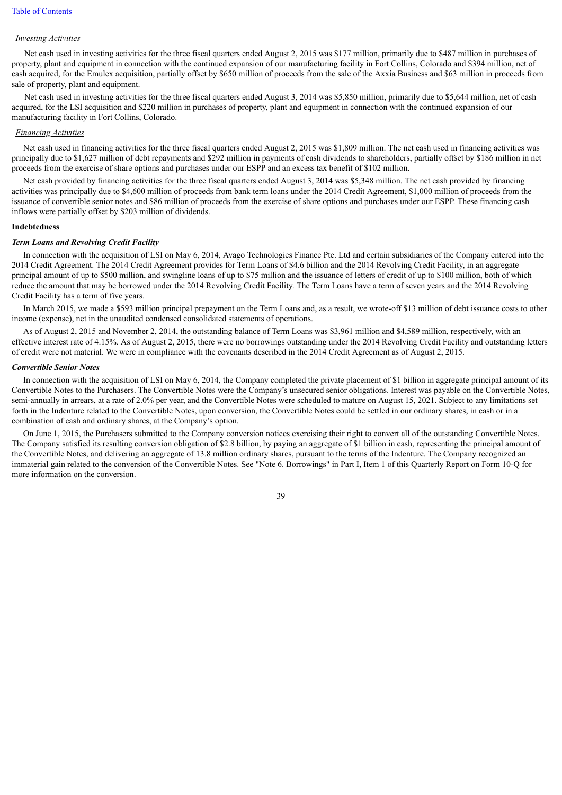#### *Investing Activities*

Net cash used in investing activities for the three fiscal quarters ended August 2, 2015 was \$177 million, primarily due to \$487 million in purchases of property, plant and equipment in connection with the continued expansion of our manufacturing facility in Fort Collins, Colorado and \$394 million, net of cash acquired, for the Emulex acquisition, partially offset by \$650 million of proceeds from the sale of the Axxia Business and \$63 million in proceeds from sale of property, plant and equipment.

Net cash used in investing activities for the three fiscal quarters ended August 3, 2014 was \$5,850 million, primarily due to \$5,644 million, net of cash acquired, for the LSI acquisition and \$220 million in purchases of property, plant and equipment in connection with the continued expansion of our manufacturing facility in Fort Collins, Colorado.

#### *Financing Activities*

Net cash used in financing activities for the three fiscal quarters ended August 2, 2015 was \$1,809 million. The net cash used in financing activities was principally due to \$1,627 million of debt repayments and \$292 million in payments of cash dividends to shareholders, partially offset by \$186 million in net proceeds from the exercise of share options and purchases under our ESPP and an excess tax benefit of \$102 million.

Net cash provided by financing activities for the three fiscal quarters ended August 3, 2014 was \$5,348 million. The net cash provided by financing activities was principally due to \$4,600 million of proceeds from bank term loans under the 2014 Credit Agreement, \$1,000 million of proceeds from the issuance of convertible senior notes and \$86 million of proceeds from the exercise of share options and purchases under our ESPP. These financing cash inflows were partially offset by \$203 million of dividends.

#### **Indebtedness**

#### *Term Loans and Revolving Credit Facility*

In connection with the acquisition of LSI on May 6, 2014, Avago Technologies Finance Pte. Ltd and certain subsidiaries of the Company entered into the 2014 Credit Agreement. The 2014 Credit Agreement provides for Term Loans of \$4.6 billion and the 2014 Revolving Credit Facility, in an aggregate principal amount of up to \$500 million, and swingline loans of up to \$75 million and the issuance of letters of credit of up to \$100 million, both of which reduce the amount that may be borrowed under the 2014 Revolving Credit Facility. The Term Loans have a term of seven years and the 2014 Revolving Credit Facility has a term of five years.

In March 2015, we made a \$593 million principal prepayment on the Term Loans and, as a result, we wrote-off \$13 million of debt issuance costs to other income (expense), net in the unaudited condensed consolidated statements of operations.

As of August 2, 2015 and November 2, 2014, the outstanding balance of Term Loans was \$3,961 million and \$4,589 million, respectively, with an effective interest rate of 4.15%. As of August 2, 2015, there were no borrowings outstanding under the 2014 Revolving Credit Facility and outstanding letters of credit were not material. We were in compliance with the covenants described in the 2014 Credit Agreement as of August 2, 2015.

#### *Convertible Senior Notes*

In connection with the acquisition of LSI on May 6, 2014, the Company completed the private placement of \$1 billion in aggregate principal amount of its Convertible Notes to the Purchasers. The Convertible Notes were the Company's unsecured senior obligations. Interest was payable on the Convertible Notes, semi-annually in arrears, at a rate of 2.0% per year, and the Convertible Notes were scheduled to mature on August 15, 2021. Subject to any limitations set forth in the Indenture related to the Convertible Notes, upon conversion, the Convertible Notes could be settled in our ordinary shares, in cash or in a combination of cash and ordinary shares, at the Company's option.

On June 1, 2015, the Purchasers submitted to the Company conversion notices exercising their right to convert all of the outstanding Convertible Notes. The Company satisfied its resulting conversion obligation of \$2.8 billion, by paying an aggregate of \$1 billion in cash, representing the principal amount of the Convertible Notes, and delivering an aggregate of 13.8 million ordinary shares, pursuant to the terms of the Indenture. The Company recognized an immaterial gain related to the conversion of the Convertible Notes. See "Note 6. Borrowings" in Part I, Item 1 of this Quarterly Report on Form 10-Q for more information on the conversion.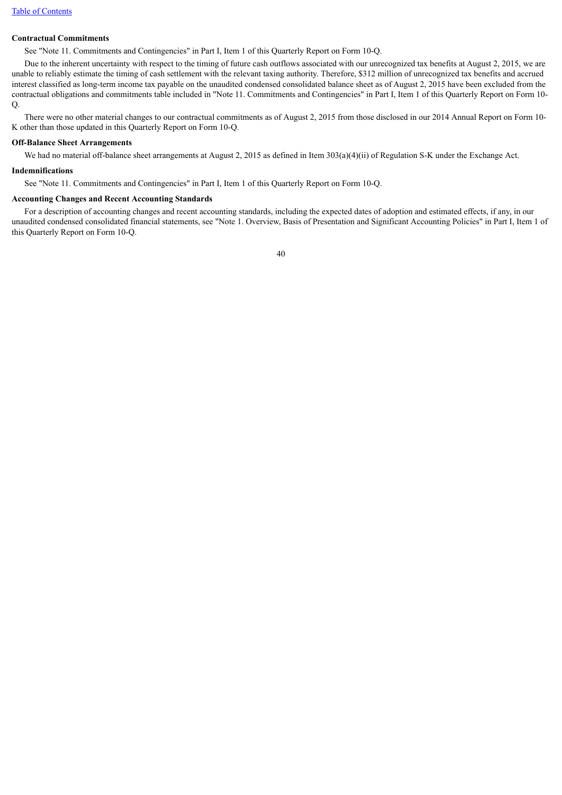## **Contractual Commitments**

See "Note 11. Commitments and Contingencies" in Part I, Item 1 of this Quarterly Report on Form 10-Q.

Due to the inherent uncertainty with respect to the timing of future cash outflows associated with our unrecognized tax benefits at August 2, 2015, we are unable to reliably estimate the timing of cash settlement with the relevant taxing authority. Therefore, \$312 million of unrecognized tax benefits and accrued interest classified as long-term income tax payable on the unaudited condensed consolidated balance sheet as of August 2, 2015 have been excluded from the contractual obligations and commitments table included in "Note 11. Commitments and Contingencies" in Part I, Item 1 of this Quarterly Report on Form 10-  $\Omega$ 

There were no other material changes to our contractual commitments as of August 2, 2015 from those disclosed in our 2014 Annual Report on Form 10- K other than those updated in this Quarterly Report on Form 10-Q.

## **Off-Balance Sheet Arrangements**

We had no material off-balance sheet arrangements at August 2, 2015 as defined in Item 303(a)(4)(ii) of Regulation S-K under the Exchange Act.

## **Indemnifications**

See "Note 11. Commitments and Contingencies" in Part I, Item 1 of this Quarterly Report on Form 10-Q.

## **Accounting Changes and Recent Accounting Standards**

For a description of accounting changes and recent accounting standards, including the expected dates of adoption and estimated effects, if any, in our unaudited condensed consolidated financial statements, see "Note 1. Overview, Basis of Presentation and Significant Accounting Policies" in Part I, Item 1 of this Quarterly Report on Form 10-Q.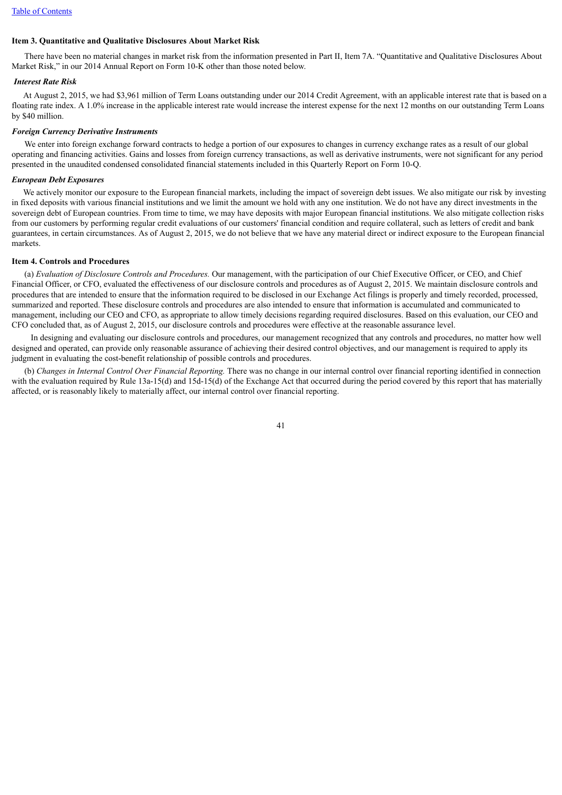#### **Item 3. Quantitative and Qualitative Disclosures About Market Risk**

There have been no material changes in market risk from the information presented in Part II, Item 7A. "Quantitative and Qualitative Disclosures About Market Risk," in our 2014 Annual Report on Form 10-K other than those noted below.

#### *Interest Rate Risk*

At August 2, 2015, we had \$3,961 million of Term Loans outstanding under our 2014 Credit Agreement, with an applicable interest rate that is based on a floating rate index. A 1.0% increase in the applicable interest rate would increase the interest expense for the next 12 months on our outstanding Term Loans by \$40 million.

#### *Foreign Currency Derivative Instruments*

We enter into foreign exchange forward contracts to hedge a portion of our exposures to changes in currency exchange rates as a result of our global operating and financing activities. Gains and losses from foreign currency transactions, as well as derivative instruments, were not significant for any period presented in the unaudited condensed consolidated financial statements included in this Quarterly Report on Form 10-Q.

## *European Debt Exposures*

We actively monitor our exposure to the European financial markets, including the impact of sovereign debt issues. We also mitigate our risk by investing in fixed deposits with various financial institutions and we limit the amount we hold with any one institution. We do not have any direct investments in the sovereign debt of European countries. From time to time, we may have deposits with major European financial institutions. We also mitigate collection risks from our customers by performing regular credit evaluations of our customers' financial condition and require collateral, such as letters of credit and bank guarantees, in certain circumstances. As of August 2, 2015, we do not believe that we have any material direct or indirect exposure to the European financial markets.

#### **Item 4. Controls and Procedures**

(a) *Evaluation of Disclosure Controls and Procedures.* Our management, with the participation of our Chief Executive Officer, or CEO, and Chief Financial Officer, or CFO, evaluated the effectiveness of our disclosure controls and procedures as of August 2, 2015. We maintain disclosure controls and procedures that are intended to ensure that the information required to be disclosed in our Exchange Act filings is properly and timely recorded, processed, summarized and reported. These disclosure controls and procedures are also intended to ensure that information is accumulated and communicated to management, including our CEO and CFO, as appropriate to allow timely decisions regarding required disclosures. Based on this evaluation, our CEO and CFO concluded that, as of August 2, 2015, our disclosure controls and procedures were effective at the reasonable assurance level.

In designing and evaluating our disclosure controls and procedures, our management recognized that any controls and procedures, no matter how well designed and operated, can provide only reasonable assurance of achieving their desired control objectives, and our management is required to apply its judgment in evaluating the cost-benefit relationship of possible controls and procedures.

(b) *Changes in Internal Control Over Financial Reporting.* There was no change in our internal control over financial reporting identified in connection with the evaluation required by Rule 13a-15(d) and 15d-15(d) of the Exchange Act that occurred during the period covered by this report that has materially affected, or is reasonably likely to materially affect, our internal control over financial reporting.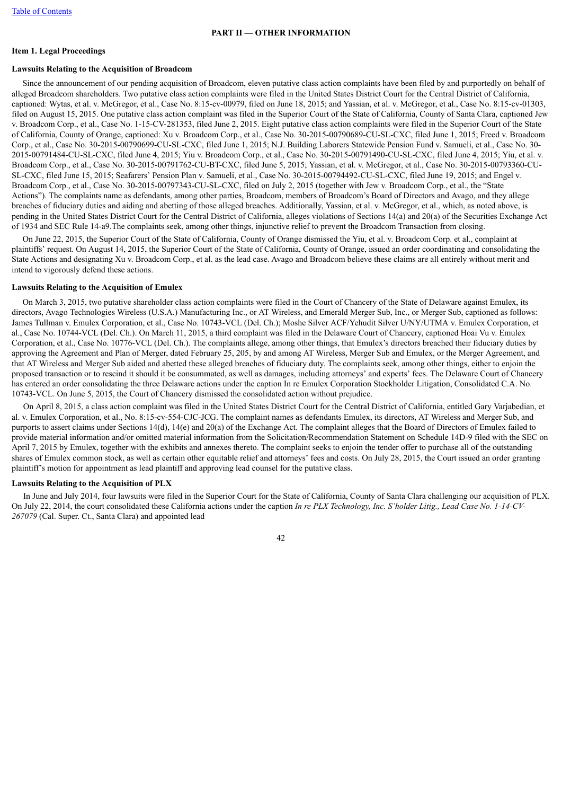## **PART II — OTHER INFORMATION**

#### **Item 1. Legal Proceedings**

## **Lawsuits Relating to the Acquisition of Broadcom**

Since the announcement of our pending acquisition of Broadcom, eleven putative class action complaints have been filed by and purportedly on behalf of alleged Broadcom shareholders. Two putative class action complaints were filed in the United States District Court for the Central District of California, captioned: Wytas, et al. v. McGregor, et al., Case No. 8:15-cv-00979, filed on June 18, 2015; and Yassian, et al. v. McGregor, et al., Case No. 8:15-cv-01303, filed on August 15, 2015. One putative class action complaint was filed in the Superior Court of the State of California, County of Santa Clara, captioned Jew v. Broadcom Corp., et al., Case No. 1-15-CV-281353, filed June 2, 2015. Eight putative class action complaints were filed in the Superior Court of the State of California, County of Orange, captioned: Xu v. Broadcom Corp., et al., Case No. 30-2015-00790689-CU-SL-CXC, filed June 1, 2015; Freed v. Broadcom Corp., et al., Case No. 30-2015-00790699-CU-SL-CXC, filed June 1, 2015; N.J. Building Laborers Statewide Pension Fund v. Samueli, et al., Case No. 30- 2015-00791484-CU-SL-CXC, filed June 4, 2015; Yiu v. Broadcom Corp., et al., Case No. 30-2015-00791490-CU-SL-CXC, filed June 4, 2015; Yiu, et al. v. Broadcom Corp., et al., Case No. 30-2015-00791762-CU-BT-CXC, filed June 5, 2015; Yassian, et al. v. McGregor, et al., Case No. 30-2015-00793360-CU-SL-CXC, filed June 15, 2015; Seafarers' Pension Plan v. Samueli, et al., Case No. 30-2015-00794492-CU-SL-CXC, filed June 19, 2015; and Engel v. Broadcom Corp., et al., Case No. 30-2015-00797343-CU-SL-CXC, filed on July 2, 2015 (together with Jew v. Broadcom Corp., et al., the "State Actions"). The complaints name as defendants, among other parties, Broadcom, members of Broadcom's Board of Directors and Avago, and they allege breaches of fiduciary duties and aiding and abetting of those alleged breaches. Additionally, Yassian, et al. v. McGregor, et al., which, as noted above, is pending in the United States District Court for the Central District of California, alleges violations of Sections 14(a) and 20(a) of the Securities Exchange Act of 1934 and SEC Rule 14-a9.The complaints seek, among other things, injunctive relief to prevent the Broadcom Transaction from closing.

On June 22, 2015, the Superior Court of the State of California, County of Orange dismissed the Yiu, et al. v. Broadcom Corp. et al., complaint at plaintiffs' request. On August 14, 2015, the Superior Court of the State of California, County of Orange, issued an order coordinating and consolidating the State Actions and designating Xu v. Broadcom Corp., et al. as the lead case. Avago and Broadcom believe these claims are all entirely without merit and intend to vigorously defend these actions.

#### **Lawsuits Relating to the Acquisition of Emulex**

On March 3, 2015, two putative shareholder class action complaints were filed in the Court of Chancery of the State of Delaware against Emulex, its directors, Avago Technologies Wireless (U.S.A.) Manufacturing Inc., or AT Wireless, and Emerald Merger Sub, Inc., or Merger Sub, captioned as follows: James Tullman v. Emulex Corporation, et al., Case No. 10743-VCL (Del. Ch.); Moshe Silver ACF/Yehudit Silver U/NY/UTMA v. Emulex Corporation, et al., Case No. 10744-VCL (Del. Ch.). On March 11, 2015, a third complaint was filed in the Delaware Court of Chancery, captioned Hoai Vu v. Emulex Corporation, et al., Case No. 10776-VCL (Del. Ch.). The complaints allege, among other things, that Emulex's directors breached their fiduciary duties by approving the Agreement and Plan of Merger, dated February 25, 205, by and among AT Wireless, Merger Sub and Emulex, or the Merger Agreement, and that AT Wireless and Merger Sub aided and abetted these alleged breaches of fiduciary duty. The complaints seek, among other things, either to enjoin the proposed transaction or to rescind it should it be consummated, as well as damages, including attorneys' and experts' fees. The Delaware Court of Chancery has entered an order consolidating the three Delaware actions under the caption In re Emulex Corporation Stockholder Litigation, Consolidated C.A. No. 10743-VCL. On June 5, 2015, the Court of Chancery dismissed the consolidated action without prejudice.

On April 8, 2015, a class action complaint was filed in the United States District Court for the Central District of California, entitled Gary Varjabedian, et al. v. Emulex Corporation, et al., No. 8:15-cv-554-CJC-JCG. The complaint names as defendants Emulex, its directors, AT Wireless and Merger Sub, and purports to assert claims under Sections 14(d), 14(e) and 20(a) of the Exchange Act. The complaint alleges that the Board of Directors of Emulex failed to provide material information and/or omitted material information from the Solicitation/Recommendation Statement on Schedule 14D-9 filed with the SEC on April 7, 2015 by Emulex, together with the exhibits and annexes thereto. The complaint seeks to enjoin the tender offer to purchase all of the outstanding shares of Emulex common stock, as well as certain other equitable relief and attorneys' fees and costs. On July 28, 2015, the Court issued an order granting plaintiff's motion for appointment as lead plaintiff and approving lead counsel for the putative class.

#### **Lawsuits Relating to the Acquisition of PLX**

In June and July 2014, four lawsuits were filed in the Superior Court for the State of California, County of Santa Clara challenging our acquisition of PLX. On July 22, 2014, the court consolidated these California actions under the caption In re PLX Technology, Inc. S'holder Litig., Lead Case No. 1-14-CV-*267079* (Cal. Super. Ct., Santa Clara) and appointed lead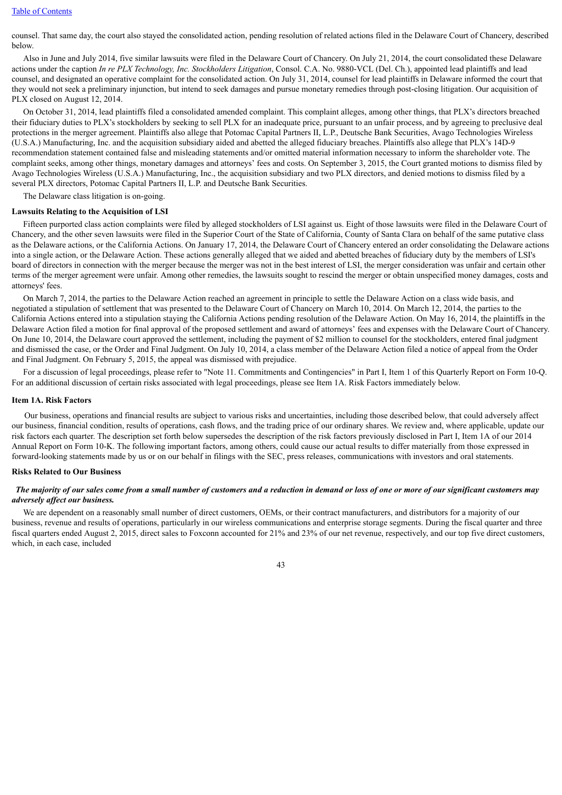counsel. That same day, the court also stayed the consolidated action, pending resolution of related actions filed in the Delaware Court of Chancery, described below.

Also in June and July 2014, five similar lawsuits were filed in the Delaware Court of Chancery. On July 21, 2014, the court consolidated these Delaware actions under the caption *In re PLX Technology, Inc. Stockholders Litigation*, Consol. C.A. No. 9880-VCL (Del. Ch.), appointed lead plaintiffs and lead counsel, and designated an operative complaint for the consolidated action. On July 31, 2014, counsel for lead plaintiffs in Delaware informed the court that they would not seek a preliminary injunction, but intend to seek damages and pursue monetary remedies through post-closing litigation. Our acquisition of PLX closed on August 12, 2014.

On October 31, 2014, lead plaintiffs filed a consolidated amended complaint. This complaint alleges, among other things, that PLX's directors breached their fiduciary duties to PLX's stockholders by seeking to sell PLX for an inadequate price, pursuant to an unfair process, and by agreeing to preclusive deal protections in the merger agreement. Plaintiffs also allege that Potomac Capital Partners II, L.P., Deutsche Bank Securities, Avago Technologies Wireless (U.S.A.) Manufacturing, Inc. and the acquisition subsidiary aided and abetted the alleged fiduciary breaches. Plaintiffs also allege that PLX's 14D-9 recommendation statement contained false and misleading statements and/or omitted material information necessary to inform the shareholder vote. The complaint seeks, among other things, monetary damages and attorneys' fees and costs. On September 3, 2015, the Court granted motions to dismiss filed by Avago Technologies Wireless (U.S.A.) Manufacturing, Inc., the acquisition subsidiary and two PLX directors, and denied motions to dismiss filed by a several PLX directors, Potomac Capital Partners II, L.P. and Deutsche Bank Securities.

The Delaware class litigation is on-going.

#### **Lawsuits Relating to the Acquisition of LSI**

Fifteen purported class action complaints were filed by alleged stockholders of LSI against us. Eight of those lawsuits were filed in the Delaware Court of Chancery, and the other seven lawsuits were filed in the Superior Court of the State of California, County of Santa Clara on behalf of the same putative class as the Delaware actions, or the California Actions. On January 17, 2014, the Delaware Court of Chancery entered an order consolidating the Delaware actions into a single action, or the Delaware Action. These actions generally alleged that we aided and abetted breaches of fiduciary duty by the members of LSI's board of directors in connection with the merger because the merger was not in the best interest of LSI, the merger consideration was unfair and certain other terms of the merger agreement were unfair. Among other remedies, the lawsuits sought to rescind the merger or obtain unspecified money damages, costs and attorneys' fees.

On March 7, 2014, the parties to the Delaware Action reached an agreement in principle to settle the Delaware Action on a class wide basis, and negotiated a stipulation of settlement that was presented to the Delaware Court of Chancery on March 10, 2014. On March 12, 2014, the parties to the California Actions entered into a stipulation staying the California Actions pending resolution of the Delaware Action. On May 16, 2014, the plaintiffs in the Delaware Action filed a motion for final approval of the proposed settlement and award of attorneys' fees and expenses with the Delaware Court of Chancery. On June 10, 2014, the Delaware court approved the settlement, including the payment of \$2 million to counsel for the stockholders, entered final judgment and dismissed the case, or the Order and Final Judgment. On July 10, 2014, a class member of the Delaware Action filed a notice of appeal from the Order and Final Judgment. On February 5, 2015, the appeal was dismissed with prejudice.

For a discussion of legal proceedings, please refer to "Note 11. Commitments and Contingencies" in Part I, Item 1 of this Quarterly Report on Form 10-Q. For an additional discussion of certain risks associated with legal proceedings, please see Item 1A. Risk Factors immediately below.

#### **Item 1A. Risk Factors**

Our business, operations and financial results are subject to various risks and uncertainties, including those described below, that could adversely affect our business, financial condition, results of operations, cash flows, and the trading price of our ordinary shares. We review and, where applicable, update our risk factors each quarter. The description set forth below supersedes the description of the risk factors previously disclosed in Part I, Item 1A of our 2014 Annual Report on Form 10-K. The following important factors, among others, could cause our actual results to differ materially from those expressed in forward-looking statements made by us or on our behalf in filings with the SEC, press releases, communications with investors and oral statements.

## **Risks Related to Our Business**

## The majority of our sales come from a small number of customers and a reduction in demand or loss of one or more of our significant customers may *adversely af ect our business.*

We are dependent on a reasonably small number of direct customers, OEMs, or their contract manufacturers, and distributors for a majority of our business, revenue and results of operations, particularly in our wireless communications and enterprise storage segments. During the fiscal quarter and three fiscal quarters ended August 2, 2015, direct sales to Foxconn accounted for 21% and 23% of our net revenue, respectively, and our top five direct customers, which, in each case, included

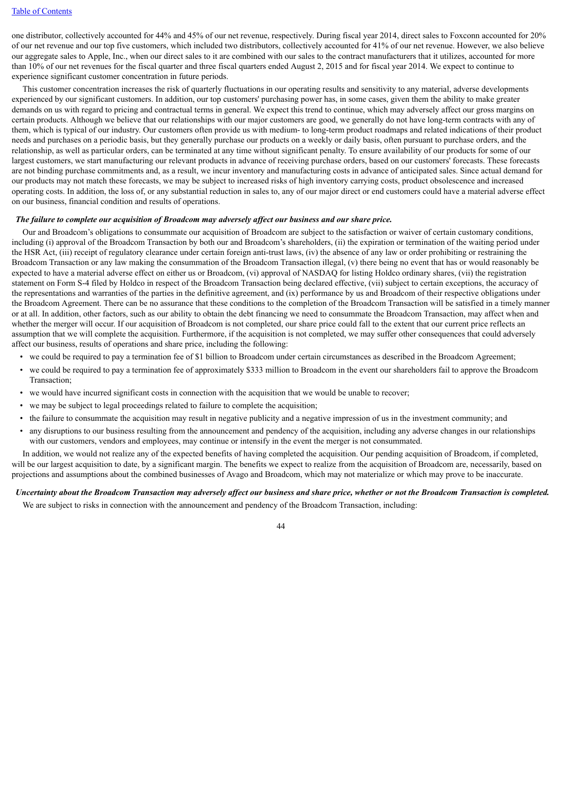one distributor, collectively accounted for 44% and 45% of our net revenue, respectively. During fiscal year 2014, direct sales to Foxconn accounted for 20% of our net revenue and our top five customers, which included two distributors, collectively accounted for 41% of our net revenue. However, we also believe our aggregate sales to Apple, Inc., when our direct sales to it are combined with our sales to the contract manufacturers that it utilizes, accounted for more than 10% of our net revenues for the fiscal quarter and three fiscal quarters ended August 2, 2015 and for fiscal year 2014. We expect to continue to experience significant customer concentration in future periods.

This customer concentration increases the risk of quarterly fluctuations in our operating results and sensitivity to any material, adverse developments experienced by our significant customers. In addition, our top customers' purchasing power has, in some cases, given them the ability to make greater demands on us with regard to pricing and contractual terms in general. We expect this trend to continue, which may adversely affect our gross margins on certain products. Although we believe that our relationships with our major customers are good, we generally do not have long-term contracts with any of them, which is typical of our industry. Our customers often provide us with medium- to long-term product roadmaps and related indications of their product needs and purchases on a periodic basis, but they generally purchase our products on a weekly or daily basis, often pursuant to purchase orders, and the relationship, as well as particular orders, can be terminated at any time without significant penalty. To ensure availability of our products for some of our largest customers, we start manufacturing our relevant products in advance of receiving purchase orders, based on our customers' forecasts. These forecasts are not binding purchase commitments and, as a result, we incur inventory and manufacturing costs in advance of anticipated sales. Since actual demand for our products may not match these forecasts, we may be subject to increased risks of high inventory carrying costs, product obsolescence and increased operating costs. In addition, the loss of, or any substantial reduction in sales to, any of our major direct or end customers could have a material adverse effect on our business, financial condition and results of operations.

#### The failure to complete our acquisition of Broadcom may adversely affect our business and our share price.

Our and Broadcom's obligations to consummate our acquisition of Broadcom are subject to the satisfaction or waiver of certain customary conditions, including (i) approval of the Broadcom Transaction by both our and Broadcom's shareholders, (ii) the expiration or termination of the waiting period under the HSR Act, (iii) receipt of regulatory clearance under certain foreign anti-trust laws, (iv) the absence of any law or order prohibiting or restraining the Broadcom Transaction or any law making the consummation of the Broadcom Transaction illegal, (v) there being no event that has or would reasonably be expected to have a material adverse effect on either us or Broadcom, (vi) approval of NASDAQ for listing Holdco ordinary shares, (vii) the registration statement on Form S-4 filed by Holdco in respect of the Broadcom Transaction being declared effective, (vii) subject to certain exceptions, the accuracy of the representations and warranties of the parties in the definitive agreement, and (ix) performance by us and Broadcom of their respective obligations under the Broadcom Agreement. There can be no assurance that these conditions to the completion of the Broadcom Transaction will be satisfied in a timely manner or at all. In addition, other factors, such as our ability to obtain the debt financing we need to consummate the Broadcom Transaction, may affect when and whether the merger will occur. If our acquisition of Broadcom is not completed, our share price could fall to the extent that our current price reflects an assumption that we will complete the acquisition. Furthermore, if the acquisition is not completed, we may suffer other consequences that could adversely affect our business, results of operations and share price, including the following:

- we could be required to pay a termination fee of \$1 billion to Broadcom under certain circumstances as described in the Broadcom Agreement;
- we could be required to pay a termination fee of approximately \$333 million to Broadcom in the event our shareholders fail to approve the Broadcom Transaction;
- we would have incurred significant costs in connection with the acquisition that we would be unable to recover;
- we may be subject to legal proceedings related to failure to complete the acquisition;
- the failure to consummate the acquisition may result in negative publicity and a negative impression of us in the investment community; and
- any disruptions to our business resulting from the announcement and pendency of the acquisition, including any adverse changes in our relationships with our customers, vendors and employees, may continue or intensify in the event the merger is not consummated.

In addition, we would not realize any of the expected benefits of having completed the acquisition. Our pending acquisition of Broadcom, if completed, will be our largest acquisition to date, by a significant margin. The benefits we expect to realize from the acquisition of Broadcom are, necessarily, based on projections and assumptions about the combined businesses of Avago and Broadcom, which may not materialize or which may prove to be inaccurate.

## Uncertainty about the Broadcom Transaction may adversely affect our business and share price, whether or not the Broadcom Transaction is completed. We are subject to risks in connection with the announcement and pendency of the Broadcom Transaction, including: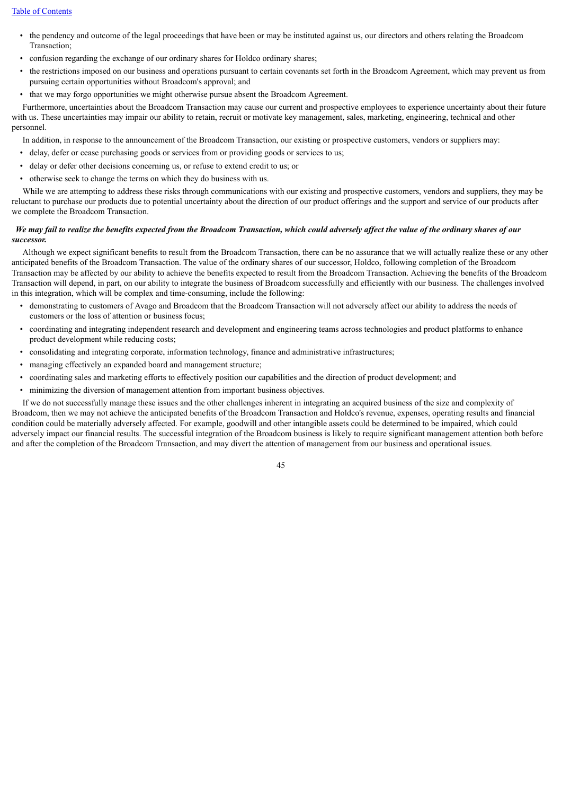- the pendency and outcome of the legal proceedings that have been or may be instituted against us, our directors and others relating the Broadcom Transaction;
- confusion regarding the exchange of our ordinary shares for Holdco ordinary shares;
- the restrictions imposed on our business and operations pursuant to certain covenants set forth in the Broadcom Agreement, which may prevent us from pursuing certain opportunities without Broadcom's approval; and
- that we may forgo opportunities we might otherwise pursue absent the Broadcom Agreement.

Furthermore, uncertainties about the Broadcom Transaction may cause our current and prospective employees to experience uncertainty about their future with us. These uncertainties may impair our ability to retain, recruit or motivate key management, sales, marketing, engineering, technical and other personnel.

In addition, in response to the announcement of the Broadcom Transaction, our existing or prospective customers, vendors or suppliers may:

- delay, defer or cease purchasing goods or services from or providing goods or services to us;
- delay or defer other decisions concerning us, or refuse to extend credit to us; or
- otherwise seek to change the terms on which they do business with us.

While we are attempting to address these risks through communications with our existing and prospective customers, vendors and suppliers, they may be reluctant to purchase our products due to potential uncertainty about the direction of our product offerings and the support and service of our products after we complete the Broadcom Transaction.

## We may fail to realize the benefits expected from the Broadcom Transaction, which could adversely affect the value of the ordinary shares of our *successor.*

Although we expect significant benefits to result from the Broadcom Transaction, there can be no assurance that we will actually realize these or any other anticipated benefits of the Broadcom Transaction. The value of the ordinary shares of our successor, Holdco, following completion of the Broadcom Transaction may be affected by our ability to achieve the benefits expected to result from the Broadcom Transaction. Achieving the benefits of the Broadcom Transaction will depend, in part, on our ability to integrate the business of Broadcom successfully and efficiently with our business. The challenges involved in this integration, which will be complex and time-consuming, include the following:

- demonstrating to customers of Avago and Broadcom that the Broadcom Transaction will not adversely affect our ability to address the needs of customers or the loss of attention or business focus;
- coordinating and integrating independent research and development and engineering teams across technologies and product platforms to enhance product development while reducing costs;
- consolidating and integrating corporate, information technology, finance and administrative infrastructures;
- managing effectively an expanded board and management structure;
- coordinating sales and marketing efforts to effectively position our capabilities and the direction of product development; and
- minimizing the diversion of management attention from important business objectives.

If we do not successfully manage these issues and the other challenges inherent in integrating an acquired business of the size and complexity of Broadcom, then we may not achieve the anticipated benefits of the Broadcom Transaction and Holdco's revenue, expenses, operating results and financial condition could be materially adversely affected. For example, goodwill and other intangible assets could be determined to be impaired, which could adversely impact our financial results. The successful integration of the Broadcom business is likely to require significant management attention both before and after the completion of the Broadcom Transaction, and may divert the attention of management from our business and operational issues.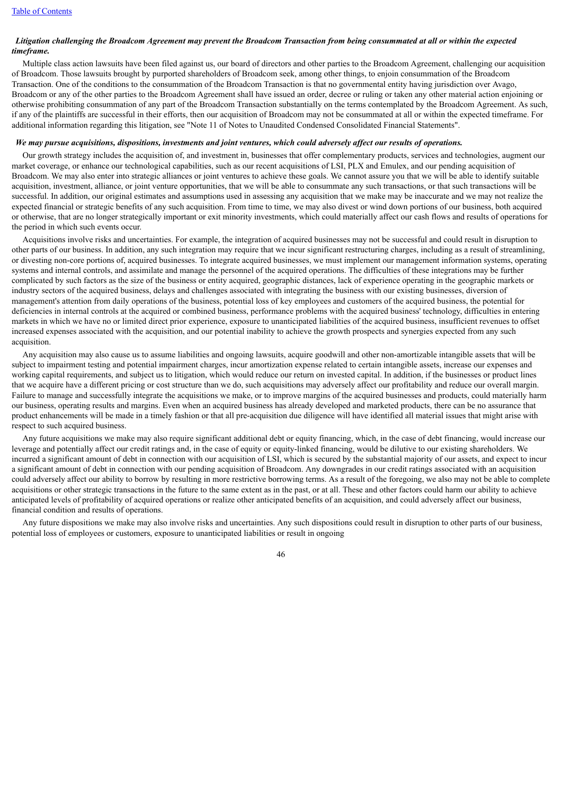## Litigation challenging the Broadcom Agreement may prevent the Broadcom Transaction from being consummated at all or within the expected *timeframe.*

Multiple class action lawsuits have been filed against us, our board of directors and other parties to the Broadcom Agreement, challenging our acquisition of Broadcom. Those lawsuits brought by purported shareholders of Broadcom seek, among other things, to enjoin consummation of the Broadcom Transaction. One of the conditions to the consummation of the Broadcom Transaction is that no governmental entity having jurisdiction over Avago, Broadcom or any of the other parties to the Broadcom Agreement shall have issued an order, decree or ruling or taken any other material action enjoining or otherwise prohibiting consummation of any part of the Broadcom Transaction substantially on the terms contemplated by the Broadcom Agreement. As such, if any of the plaintiffs are successful in their efforts, then our acquisition of Broadcom may not be consummated at all or within the expected timeframe. For additional information regarding this litigation, see "Note 11 of Notes to Unaudited Condensed Consolidated Financial Statements".

## We may pursue acquisitions, dispositions, investments and joint ventures, which could adversely affect our results of operations.

Our growth strategy includes the acquisition of, and investment in, businesses that offer complementary products, services and technologies, augment our market coverage, or enhance our technological capabilities, such as our recent acquisitions of LSI, PLX and Emulex, and our pending acquisition of Broadcom. We may also enter into strategic alliances or joint ventures to achieve these goals. We cannot assure you that we will be able to identify suitable acquisition, investment, alliance, or joint venture opportunities, that we will be able to consummate any such transactions, or that such transactions will be successful. In addition, our original estimates and assumptions used in assessing any acquisition that we make may be inaccurate and we may not realize the expected financial or strategic benefits of any such acquisition. From time to time, we may also divest or wind down portions of our business, both acquired or otherwise, that are no longer strategically important or exit minority investments, which could materially affect our cash flows and results of operations for the period in which such events occur.

Acquisitions involve risks and uncertainties. For example, the integration of acquired businesses may not be successful and could result in disruption to other parts of our business. In addition, any such integration may require that we incur significant restructuring charges, including as a result of streamlining, or divesting non-core portions of, acquired businesses. To integrate acquired businesses, we must implement our management information systems, operating systems and internal controls, and assimilate and manage the personnel of the acquired operations. The difficulties of these integrations may be further complicated by such factors as the size of the business or entity acquired, geographic distances, lack of experience operating in the geographic markets or industry sectors of the acquired business, delays and challenges associated with integrating the business with our existing businesses, diversion of management's attention from daily operations of the business, potential loss of key employees and customers of the acquired business, the potential for deficiencies in internal controls at the acquired or combined business, performance problems with the acquired business' technology, difficulties in entering markets in which we have no or limited direct prior experience, exposure to unanticipated liabilities of the acquired business, insufficient revenues to offset increased expenses associated with the acquisition, and our potential inability to achieve the growth prospects and synergies expected from any such acquisition.

Any acquisition may also cause us to assume liabilities and ongoing lawsuits, acquire goodwill and other non-amortizable intangible assets that will be subject to impairment testing and potential impairment charges, incur amortization expense related to certain intangible assets, increase our expenses and working capital requirements, and subject us to litigation, which would reduce our return on invested capital. In addition, if the businesses or product lines that we acquire have a different pricing or cost structure than we do, such acquisitions may adversely affect our profitability and reduce our overall margin. Failure to manage and successfully integrate the acquisitions we make, or to improve margins of the acquired businesses and products, could materially harm our business, operating results and margins. Even when an acquired business has already developed and marketed products, there can be no assurance that product enhancements will be made in a timely fashion or that all pre-acquisition due diligence will have identified all material issues that might arise with respect to such acquired business.

Any future acquisitions we make may also require significant additional debt or equity financing, which, in the case of debt financing, would increase our leverage and potentially affect our credit ratings and, in the case of equity or equity-linked financing, would be dilutive to our existing shareholders. We incurred a significant amount of debt in connection with our acquisition of LSI, which is secured by the substantial majority of our assets, and expect to incur a significant amount of debt in connection with our pending acquisition of Broadcom. Any downgrades in our credit ratings associated with an acquisition could adversely affect our ability to borrow by resulting in more restrictive borrowing terms. As a result of the foregoing, we also may not be able to complete acquisitions or other strategic transactions in the future to the same extent as in the past, or at all. These and other factors could harm our ability to achieve anticipated levels of profitability of acquired operations or realize other anticipated benefits of an acquisition, and could adversely affect our business, financial condition and results of operations.

Any future dispositions we make may also involve risks and uncertainties. Any such dispositions could result in disruption to other parts of our business, potential loss of employees or customers, exposure to unanticipated liabilities or result in ongoing

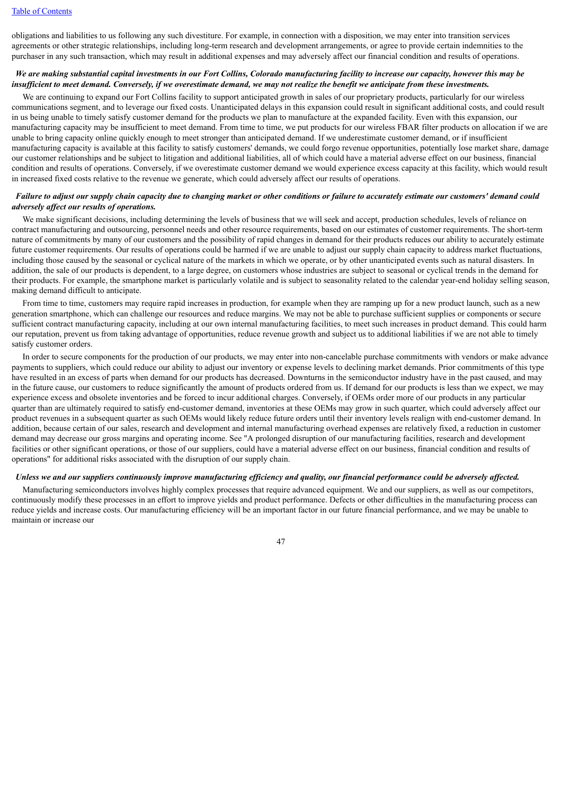obligations and liabilities to us following any such divestiture. For example, in connection with a disposition, we may enter into transition services agreements or other strategic relationships, including long-term research and development arrangements, or agree to provide certain indemnities to the purchaser in any such transaction, which may result in additional expenses and may adversely affect our financial condition and results of operations.

## We are making substantial capital investments in our Fort Collins, Colorado manufacturing facility to increase our capacity, however this may be insufficient to meet demand. Conversely, if we overestimate demand, we may not realize the benefit we anticipate from these investments.

We are continuing to expand our Fort Collins facility to support anticipated growth in sales of our proprietary products, particularly for our wireless communications segment, and to leverage our fixed costs. Unanticipated delays in this expansion could result in significant additional costs, and could result in us being unable to timely satisfy customer demand for the products we plan to manufacture at the expanded facility. Even with this expansion, our manufacturing capacity may be insufficient to meet demand. From time to time, we put products for our wireless FBAR filter products on allocation if we are unable to bring capacity online quickly enough to meet stronger than anticipated demand. If we underestimate customer demand, or if insufficient manufacturing capacity is available at this facility to satisfy customers' demands, we could forgo revenue opportunities, potentially lose market share, damage our customer relationships and be subject to litigation and additional liabilities, all of which could have a material adverse effect on our business, financial condition and results of operations. Conversely, if we overestimate customer demand we would experience excess capacity at this facility, which would result in increased fixed costs relative to the revenue we generate, which could adversely affect our results of operations.

## Failure to adjust our supply chain capacity due to changing market or other conditions or failure to accurately estimate our customers' demand could *adversely af ect our results of operations.*

We make significant decisions, including determining the levels of business that we will seek and accept, production schedules, levels of reliance on contract manufacturing and outsourcing, personnel needs and other resource requirements, based on our estimates of customer requirements. The short-term nature of commitments by many of our customers and the possibility of rapid changes in demand for their products reduces our ability to accurately estimate future customer requirements. Our results of operations could be harmed if we are unable to adjust our supply chain capacity to address market fluctuations, including those caused by the seasonal or cyclical nature of the markets in which we operate, or by other unanticipated events such as natural disasters. In addition, the sale of our products is dependent, to a large degree, on customers whose industries are subject to seasonal or cyclical trends in the demand for their products. For example, the smartphone market is particularly volatile and is subject to seasonality related to the calendar year-end holiday selling season, making demand difficult to anticipate.

From time to time, customers may require rapid increases in production, for example when they are ramping up for a new product launch, such as a new generation smartphone, which can challenge our resources and reduce margins. We may not be able to purchase sufficient supplies or components or secure sufficient contract manufacturing capacity, including at our own internal manufacturing facilities, to meet such increases in product demand. This could harm our reputation, prevent us from taking advantage of opportunities, reduce revenue growth and subject us to additional liabilities if we are not able to timely satisfy customer orders.

In order to secure components for the production of our products, we may enter into non-cancelable purchase commitments with vendors or make advance payments to suppliers, which could reduce our ability to adjust our inventory or expense levels to declining market demands. Prior commitments of this type have resulted in an excess of parts when demand for our products has decreased. Downturns in the semiconductor industry have in the past caused, and may in the future cause, our customers to reduce significantly the amount of products ordered from us. If demand for our products is less than we expect, we may experience excess and obsolete inventories and be forced to incur additional charges. Conversely, if OEMs order more of our products in any particular quarter than are ultimately required to satisfy end-customer demand, inventories at these OEMs may grow in such quarter, which could adversely affect our product revenues in a subsequent quarter as such OEMs would likely reduce future orders until their inventory levels realign with end-customer demand. In addition, because certain of our sales, research and development and internal manufacturing overhead expenses are relatively fixed, a reduction in customer demand may decrease our gross margins and operating income. See "A prolonged disruption of our manufacturing facilities, research and development facilities or other significant operations, or those of our suppliers, could have a material adverse effect on our business, financial condition and results of operations" for additional risks associated with the disruption of our supply chain.

## Unless we and our suppliers continuously improve manufacturing efficiency and quality, our financial performance could be adversely affected.

Manufacturing semiconductors involves highly complex processes that require advanced equipment. We and our suppliers, as well as our competitors, continuously modify these processes in an effort to improve yields and product performance. Defects or other difficulties in the manufacturing process can reduce yields and increase costs. Our manufacturing efficiency will be an important factor in our future financial performance, and we may be unable to maintain or increase our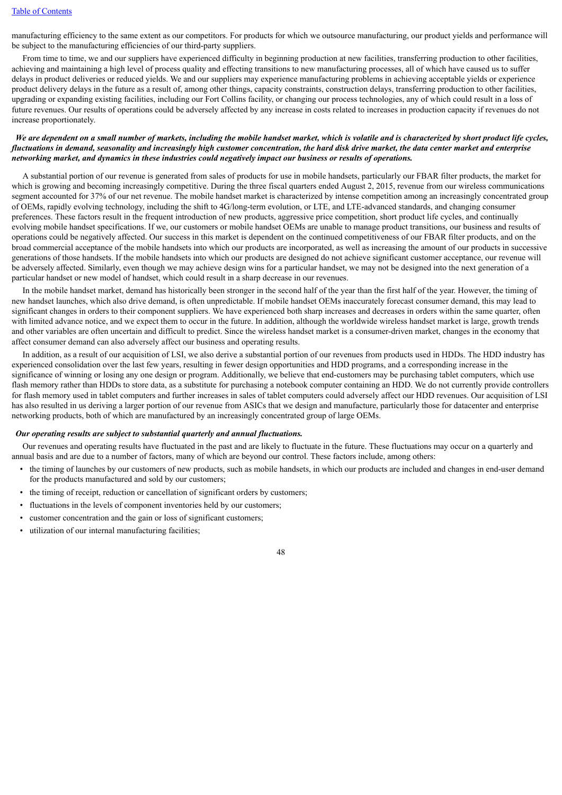manufacturing efficiency to the same extent as our competitors. For products for which we outsource manufacturing, our product yields and performance will be subject to the manufacturing efficiencies of our third-party suppliers.

From time to time, we and our suppliers have experienced difficulty in beginning production at new facilities, transferring production to other facilities, achieving and maintaining a high level of process quality and effecting transitions to new manufacturing processes, all of which have caused us to suffer delays in product deliveries or reduced yields. We and our suppliers may experience manufacturing problems in achieving acceptable yields or experience product delivery delays in the future as a result of, among other things, capacity constraints, construction delays, transferring production to other facilities, upgrading or expanding existing facilities, including our Fort Collins facility, or changing our process technologies, any of which could result in a loss of future revenues. Our results of operations could be adversely affected by any increase in costs related to increases in production capacity if revenues do not increase proportionately.

## We are dependent on a small number of markets, including the mobile handset market, which is volatile and is characterized by short product life cycles, fluctuations in demand, seasonality and increasingly high customer concentration, the hard disk drive market, the data center market and enterprise networking market, and dynamics in these industries could negatively impact our business or results of operations.

A substantial portion of our revenue is generated from sales of products for use in mobile handsets, particularly our FBAR filter products, the market for which is growing and becoming increasingly competitive. During the three fiscal quarters ended August 2, 2015, revenue from our wireless communications segment accounted for 37% of our net revenue. The mobile handset market is characterized by intense competition among an increasingly concentrated group of OEMs, rapidly evolving technology, including the shift to 4G/long-term evolution, or LTE, and LTE-advanced standards, and changing consumer preferences. These factors result in the frequent introduction of new products, aggressive price competition, short product life cycles, and continually evolving mobile handset specifications. If we, our customers or mobile handset OEMs are unable to manage product transitions, our business and results of operations could be negatively affected. Our success in this market is dependent on the continued competitiveness of our FBAR filter products, and on the broad commercial acceptance of the mobile handsets into which our products are incorporated, as well as increasing the amount of our products in successive generations of those handsets. If the mobile handsets into which our products are designed do not achieve significant customer acceptance, our revenue will be adversely affected. Similarly, even though we may achieve design wins for a particular handset, we may not be designed into the next generation of a particular handset or new model of handset, which could result in a sharp decrease in our revenues.

In the mobile handset market, demand has historically been stronger in the second half of the year than the first half of the year. However, the timing of new handset launches, which also drive demand, is often unpredictable. If mobile handset OEMs inaccurately forecast consumer demand, this may lead to significant changes in orders to their component suppliers. We have experienced both sharp increases and decreases in orders within the same quarter, often with limited advance notice, and we expect them to occur in the future. In addition, although the worldwide wireless handset market is large, growth trends and other variables are often uncertain and difficult to predict. Since the wireless handset market is a consumer-driven market, changes in the economy that affect consumer demand can also adversely affect our business and operating results.

In addition, as a result of our acquisition of LSI, we also derive a substantial portion of our revenues from products used in HDDs. The HDD industry has experienced consolidation over the last few years, resulting in fewer design opportunities and HDD programs, and a corresponding increase in the significance of winning or losing any one design or program. Additionally, we believe that end-customers may be purchasing tablet computers, which use flash memory rather than HDDs to store data, as a substitute for purchasing a notebook computer containing an HDD. We do not currently provide controllers for flash memory used in tablet computers and further increases in sales of tablet computers could adversely affect our HDD revenues. Our acquisition of LSI has also resulted in us deriving a larger portion of our revenue from ASICs that we design and manufacture, particularly those for datacenter and enterprise networking products, both of which are manufactured by an increasingly concentrated group of large OEMs.

#### *Our operating results are subject to substantial quarterly and annual fluctuations.*

Our revenues and operating results have fluctuated in the past and are likely to fluctuate in the future. These fluctuations may occur on a quarterly and annual basis and are due to a number of factors, many of which are beyond our control. These factors include, among others:

- the timing of launches by our customers of new products, such as mobile handsets, in which our products are included and changes in end-user demand for the products manufactured and sold by our customers;
- the timing of receipt, reduction or cancellation of significant orders by customers;
- fluctuations in the levels of component inventories held by our customers;
- customer concentration and the gain or loss of significant customers;
- utilization of our internal manufacturing facilities;

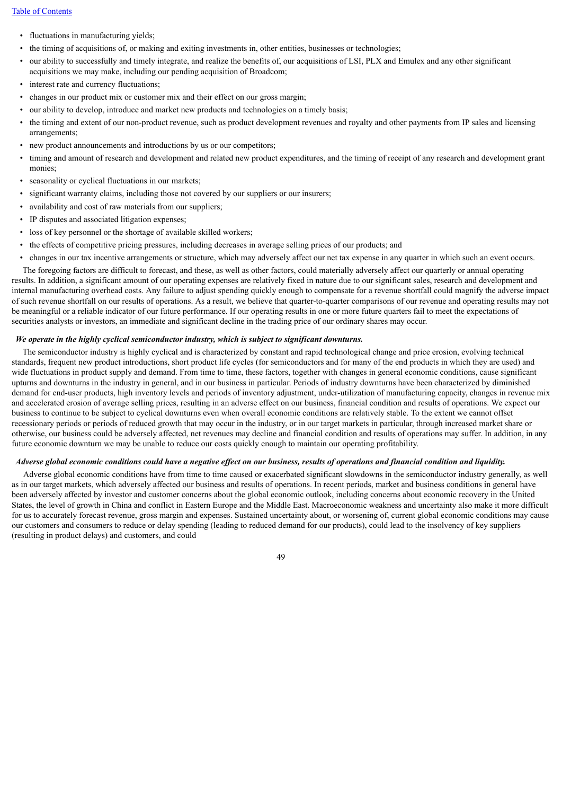- fluctuations in manufacturing yields;
- the timing of acquisitions of, or making and exiting investments in, other entities, businesses or technologies;
- our ability to successfully and timely integrate, and realize the benefits of, our acquisitions of LSI, PLX and Emulex and any other significant acquisitions we may make, including our pending acquisition of Broadcom;
- interest rate and currency fluctuations;
- changes in our product mix or customer mix and their effect on our gross margin;
- our ability to develop, introduce and market new products and technologies on a timely basis;
- the timing and extent of our non-product revenue, such as product development revenues and royalty and other payments from IP sales and licensing arrangements;
- new product announcements and introductions by us or our competitors;
- timing and amount of research and development and related new product expenditures, and the timing of receipt of any research and development grant monies;
- seasonality or cyclical fluctuations in our markets;
- significant warranty claims, including those not covered by our suppliers or our insurers;
- availability and cost of raw materials from our suppliers;
- IP disputes and associated litigation expenses;
- loss of key personnel or the shortage of available skilled workers;
- the effects of competitive pricing pressures, including decreases in average selling prices of our products; and
- changes in our tax incentive arrangements or structure, which may adversely affect our net tax expense in any quarter in which such an event occurs.

The foregoing factors are difficult to forecast, and these, as well as other factors, could materially adversely affect our quarterly or annual operating results. In addition, a significant amount of our operating expenses are relatively fixed in nature due to our significant sales, research and development and internal manufacturing overhead costs. Any failure to adjust spending quickly enough to compensate for a revenue shortfall could magnify the adverse impact of such revenue shortfall on our results of operations. As a result, we believe that quarter-to-quarter comparisons of our revenue and operating results may not be meaningful or a reliable indicator of our future performance. If our operating results in one or more future quarters fail to meet the expectations of securities analysts or investors, an immediate and significant decline in the trading price of our ordinary shares may occur.

#### *We operate in the highly cyclical semiconductor industry, which is subject to significant downturns.*

The semiconductor industry is highly cyclical and is characterized by constant and rapid technological change and price erosion, evolving technical standards, frequent new product introductions, short product life cycles (for semiconductors and for many of the end products in which they are used) and wide fluctuations in product supply and demand. From time to time, these factors, together with changes in general economic conditions, cause significant upturns and downturns in the industry in general, and in our business in particular. Periods of industry downturns have been characterized by diminished demand for end-user products, high inventory levels and periods of inventory adjustment, under-utilization of manufacturing capacity, changes in revenue mix and accelerated erosion of average selling prices, resulting in an adverse effect on our business, financial condition and results of operations. We expect our business to continue to be subject to cyclical downturns even when overall economic conditions are relatively stable. To the extent we cannot offset recessionary periods or periods of reduced growth that may occur in the industry, or in our target markets in particular, through increased market share or otherwise, our business could be adversely affected, net revenues may decline and financial condition and results of operations may suffer. In addition, in any future economic downturn we may be unable to reduce our costs quickly enough to maintain our operating profitability.

#### Adverse global economic conditions could have a negative effect on our business, results of operations and financial condition and liquidity.

Adverse global economic conditions have from time to time caused or exacerbated significant slowdowns in the semiconductor industry generally, as well as in our target markets, which adversely affected our business and results of operations. In recent periods, market and business conditions in general have been adversely affected by investor and customer concerns about the global economic outlook, including concerns about economic recovery in the United States, the level of growth in China and conflict in Eastern Europe and the Middle East. Macroeconomic weakness and uncertainty also make it more difficult for us to accurately forecast revenue, gross margin and expenses. Sustained uncertainty about, or worsening of, current global economic conditions may cause our customers and consumers to reduce or delay spending (leading to reduced demand for our products), could lead to the insolvency of key suppliers (resulting in product delays) and customers, and could

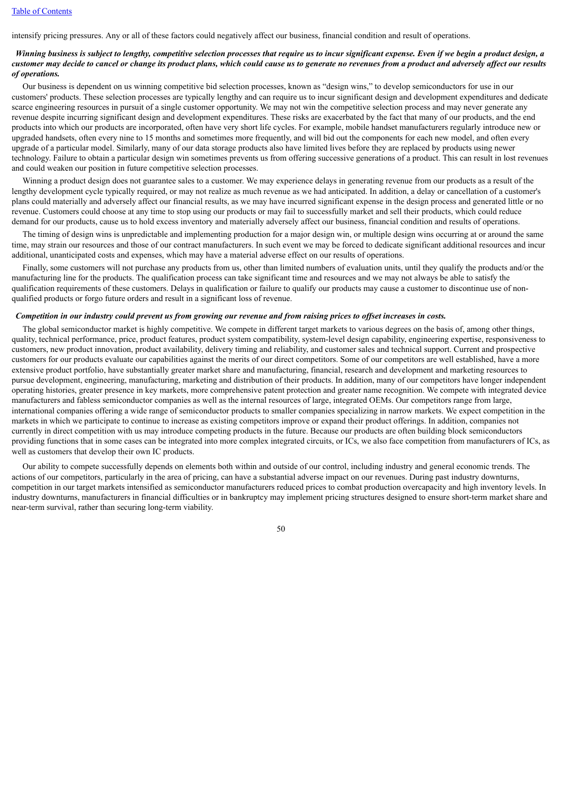intensify pricing pressures. Any or all of these factors could negatively affect our business, financial condition and result of operations.

#### Winning business is subject to lengthy, competitive selection processes that require us to incur significant expense. Even if we begin a product design, a customer may decide to cancel or change its product plans, which could cause us to generate no revenues from a product and adversely affect our results *of operations.*

Our business is dependent on us winning competitive bid selection processes, known as "design wins," to develop semiconductors for use in our customers' products. These selection processes are typically lengthy and can require us to incur significant design and development expenditures and dedicate scarce engineering resources in pursuit of a single customer opportunity. We may not win the competitive selection process and may never generate any revenue despite incurring significant design and development expenditures. These risks are exacerbated by the fact that many of our products, and the end products into which our products are incorporated, often have very short life cycles. For example, mobile handset manufacturers regularly introduce new or upgraded handsets, often every nine to 15 months and sometimes more frequently, and will bid out the components for each new model, and often every upgrade of a particular model. Similarly, many of our data storage products also have limited lives before they are replaced by products using newer technology. Failure to obtain a particular design win sometimes prevents us from offering successive generations of a product. This can result in lost revenues and could weaken our position in future competitive selection processes.

Winning a product design does not guarantee sales to a customer. We may experience delays in generating revenue from our products as a result of the lengthy development cycle typically required, or may not realize as much revenue as we had anticipated. In addition, a delay or cancellation of a customer's plans could materially and adversely affect our financial results, as we may have incurred significant expense in the design process and generated little or no revenue. Customers could choose at any time to stop using our products or may fail to successfully market and sell their products, which could reduce demand for our products, cause us to hold excess inventory and materially adversely affect our business, financial condition and results of operations.

The timing of design wins is unpredictable and implementing production for a major design win, or multiple design wins occurring at or around the same time, may strain our resources and those of our contract manufacturers. In such event we may be forced to dedicate significant additional resources and incur additional, unanticipated costs and expenses, which may have a material adverse effect on our results of operations.

Finally, some customers will not purchase any products from us, other than limited numbers of evaluation units, until they qualify the products and/or the manufacturing line for the products. The qualification process can take significant time and resources and we may not always be able to satisfy the qualification requirements of these customers. Delays in qualification or failure to qualify our products may cause a customer to discontinue use of nonqualified products or forgo future orders and result in a significant loss of revenue.

## Competition in our industry could prevent us from growing our revenue and from raising prices to offset increases in costs.

The global semiconductor market is highly competitive. We compete in different target markets to various degrees on the basis of, among other things, quality, technical performance, price, product features, product system compatibility, system-level design capability, engineering expertise, responsiveness to customers, new product innovation, product availability, delivery timing and reliability, and customer sales and technical support. Current and prospective customers for our products evaluate our capabilities against the merits of our direct competitors. Some of our competitors are well established, have a more extensive product portfolio, have substantially greater market share and manufacturing, financial, research and development and marketing resources to pursue development, engineering, manufacturing, marketing and distribution of their products. In addition, many of our competitors have longer independent operating histories, greater presence in key markets, more comprehensive patent protection and greater name recognition. We compete with integrated device manufacturers and fabless semiconductor companies as well as the internal resources of large, integrated OEMs. Our competitors range from large, international companies offering a wide range of semiconductor products to smaller companies specializing in narrow markets. We expect competition in the markets in which we participate to continue to increase as existing competitors improve or expand their product offerings. In addition, companies not currently in direct competition with us may introduce competing products in the future. Because our products are often building block semiconductors providing functions that in some cases can be integrated into more complex integrated circuits, or ICs, we also face competition from manufacturers of ICs, as well as customers that develop their own IC products.

Our ability to compete successfully depends on elements both within and outside of our control, including industry and general economic trends. The actions of our competitors, particularly in the area of pricing, can have a substantial adverse impact on our revenues. During past industry downturns, competition in our target markets intensified as semiconductor manufacturers reduced prices to combat production overcapacity and high inventory levels. In industry downturns, manufacturers in financial difficulties or in bankruptcy may implement pricing structures designed to ensure short-term market share and near-term survival, rather than securing long-term viability.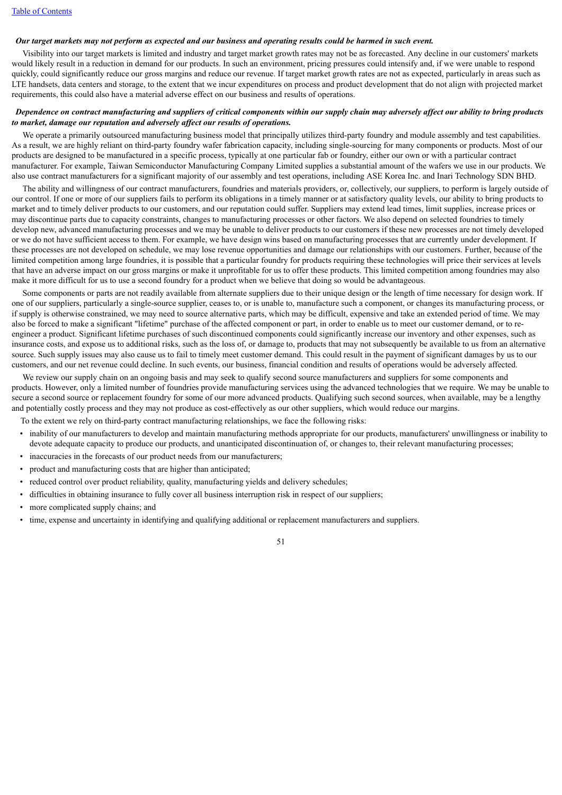#### Our target markets may not perform as expected and our business and operating results could be harmed in such event.

Visibility into our target markets is limited and industry and target market growth rates may not be as forecasted. Any decline in our customers' markets would likely result in a reduction in demand for our products. In such an environment, pricing pressures could intensify and, if we were unable to respond quickly, could significantly reduce our gross margins and reduce our revenue. If target market growth rates are not as expected, particularly in areas such as LTE handsets, data centers and storage, to the extent that we incur expenditures on process and product development that do not align with projected market requirements, this could also have a material adverse effect on our business and results of operations.

## Dependence on contract manufacturing and suppliers of critical components within our supply chain may adversely affect our ability to bring products *to market, damage our reputation and adversely af ect our results of operations.*

We operate a primarily outsourced manufacturing business model that principally utilizes third-party foundry and module assembly and test capabilities. As a result, we are highly reliant on third-party foundry wafer fabrication capacity, including single-sourcing for many components or products. Most of our products are designed to be manufactured in a specific process, typically at one particular fab or foundry, either our own or with a particular contract manufacturer. For example, Taiwan Semiconductor Manufacturing Company Limited supplies a substantial amount of the wafers we use in our products. We also use contract manufacturers for a significant majority of our assembly and test operations, including ASE Korea Inc. and Inari Technology SDN BHD.

The ability and willingness of our contract manufacturers, foundries and materials providers, or, collectively, our suppliers, to perform is largely outside of our control. If one or more of our suppliers fails to perform its obligations in a timely manner or at satisfactory quality levels, our ability to bring products to market and to timely deliver products to our customers, and our reputation could suffer. Suppliers may extend lead times, limit supplies, increase prices or may discontinue parts due to capacity constraints, changes to manufacturing processes or other factors. We also depend on selected foundries to timely develop new, advanced manufacturing processes and we may be unable to deliver products to our customers if these new processes are not timely developed or we do not have sufficient access to them. For example, we have design wins based on manufacturing processes that are currently under development. If these processes are not developed on schedule, we may lose revenue opportunities and damage our relationships with our customers. Further, because of the limited competition among large foundries, it is possible that a particular foundry for products requiring these technologies will price their services at levels that have an adverse impact on our gross margins or make it unprofitable for us to offer these products. This limited competition among foundries may also make it more difficult for us to use a second foundry for a product when we believe that doing so would be advantageous.

Some components or parts are not readily available from alternate suppliers due to their unique design or the length of time necessary for design work. If one of our suppliers, particularly a single-source supplier, ceases to, or is unable to, manufacture such a component, or changes its manufacturing process, or if supply is otherwise constrained, we may need to source alternative parts, which may be difficult, expensive and take an extended period of time. We may also be forced to make a significant "lifetime" purchase of the affected component or part, in order to enable us to meet our customer demand, or to reengineer a product. Significant lifetime purchases of such discontinued components could significantly increase our inventory and other expenses, such as insurance costs, and expose us to additional risks, such as the loss of, or damage to, products that may not subsequently be available to us from an alternative source. Such supply issues may also cause us to fail to timely meet customer demand. This could result in the payment of significant damages by us to our customers, and our net revenue could decline. In such events, our business, financial condition and results of operations would be adversely affected.

We review our supply chain on an ongoing basis and may seek to qualify second source manufacturers and suppliers for some components and products. However, only a limited number of foundries provide manufacturing services using the advanced technologies that we require. We may be unable to secure a second source or replacement foundry for some of our more advanced products. Qualifying such second sources, when available, may be a lengthy and potentially costly process and they may not produce as cost-effectively as our other suppliers, which would reduce our margins.

To the extent we rely on third-party contract manufacturing relationships, we face the following risks:

- inability of our manufacturers to develop and maintain manufacturing methods appropriate for our products, manufacturers' unwillingness or inability to devote adequate capacity to produce our products, and unanticipated discontinuation of, or changes to, their relevant manufacturing processes;
- inaccuracies in the forecasts of our product needs from our manufacturers;
- product and manufacturing costs that are higher than anticipated;
- reduced control over product reliability, quality, manufacturing yields and delivery schedules;
- difficulties in obtaining insurance to fully cover all business interruption risk in respect of our suppliers;
- more complicated supply chains; and
- time, expense and uncertainty in identifying and qualifying additional or replacement manufacturers and suppliers.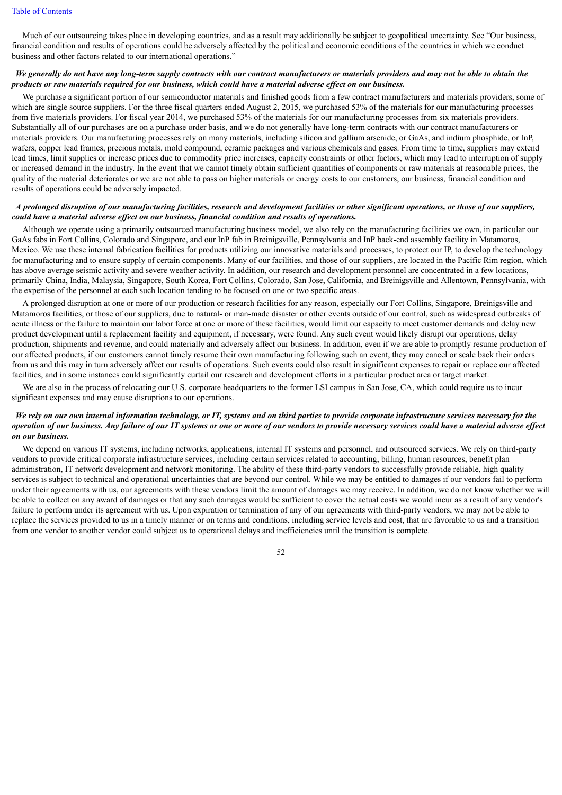Much of our outsourcing takes place in developing countries, and as a result may additionally be subject to geopolitical uncertainty. See "Our business, financial condition and results of operations could be adversely affected by the political and economic conditions of the countries in which we conduct business and other factors related to our international operations."

## We generally do not have any long-term supply contracts with our contract manufacturers or materials providers and may not be able to obtain the products or raw materials required for our business, which could have a material adverse effect on our business.

We purchase a significant portion of our semiconductor materials and finished goods from a few contract manufacturers and materials providers, some of which are single source suppliers. For the three fiscal quarters ended August 2, 2015, we purchased 53% of the materials for our manufacturing processes from five materials providers. For fiscal year 2014, we purchased 53% of the materials for our manufacturing processes from six materials providers. Substantially all of our purchases are on a purchase order basis, and we do not generally have long-term contracts with our contract manufacturers or materials providers. Our manufacturing processes rely on many materials, including silicon and gallium arsenide, or GaAs, and indium phosphide, or InP, wafers, copper lead frames, precious metals, mold compound, ceramic packages and various chemicals and gases. From time to time, suppliers may extend lead times, limit supplies or increase prices due to commodity price increases, capacity constraints or other factors, which may lead to interruption of supply or increased demand in the industry. In the event that we cannot timely obtain sufficient quantities of components or raw materials at reasonable prices, the quality of the material deteriorates or we are not able to pass on higher materials or energy costs to our customers, our business, financial condition and results of operations could be adversely impacted.

## A prolonged disruption of our manufacturing facilities, research and development facilities or other significant operations, or those of our suppliers, *could have a material adverse ef ect on our business, financial condition and results of operations.*

Although we operate using a primarily outsourced manufacturing business model, we also rely on the manufacturing facilities we own, in particular our GaAs fabs in Fort Collins, Colorado and Singapore, and our InP fab in Breinigsville, Pennsylvania and InP back-end assembly facility in Matamoros, Mexico. We use these internal fabrication facilities for products utilizing our innovative materials and processes, to protect our IP, to develop the technology for manufacturing and to ensure supply of certain components. Many of our facilities, and those of our suppliers, are located in the Pacific Rim region, which has above average seismic activity and severe weather activity. In addition, our research and development personnel are concentrated in a few locations, primarily China, India, Malaysia, Singapore, South Korea, Fort Collins, Colorado, San Jose, California, and Breinigsville and Allentown, Pennsylvania, with the expertise of the personnel at each such location tending to be focused on one or two specific areas.

A prolonged disruption at one or more of our production or research facilities for any reason, especially our Fort Collins, Singapore, Breinigsville and Matamoros facilities, or those of our suppliers, due to natural- or man-made disaster or other events outside of our control, such as widespread outbreaks of acute illness or the failure to maintain our labor force at one or more of these facilities, would limit our capacity to meet customer demands and delay new product development until a replacement facility and equipment, if necessary, were found. Any such event would likely disrupt our operations, delay production, shipments and revenue, and could materially and adversely affect our business. In addition, even if we are able to promptly resume production of our affected products, if our customers cannot timely resume their own manufacturing following such an event, they may cancel or scale back their orders from us and this may in turn adversely affect our results of operations. Such events could also result in significant expenses to repair or replace our affected facilities, and in some instances could significantly curtail our research and development efforts in a particular product area or target market.

We are also in the process of relocating our U.S. corporate headquarters to the former LSI campus in San Jose, CA, which could require us to incur significant expenses and may cause disruptions to our operations.

## We rely on our own internal information technology, or IT, systems and on third parties to provide corporate infrastructure services necessary for the operation of our business. Any failure of our IT systems or one or more of our vendors to provide necessary services could have a material adverse effect *on our business.*

We depend on various IT systems, including networks, applications, internal IT systems and personnel, and outsourced services. We rely on third-party vendors to provide critical corporate infrastructure services, including certain services related to accounting, billing, human resources, benefit plan administration, IT network development and network monitoring. The ability of these third-party vendors to successfully provide reliable, high quality services is subject to technical and operational uncertainties that are beyond our control. While we may be entitled to damages if our vendors fail to perform under their agreements with us, our agreements with these vendors limit the amount of damages we may receive. In addition, we do not know whether we will be able to collect on any award of damages or that any such damages would be sufficient to cover the actual costs we would incur as a result of any vendor's failure to perform under its agreement with us. Upon expiration or termination of any of our agreements with third-party vendors, we may not be able to replace the services provided to us in a timely manner or on terms and conditions, including service levels and cost, that are favorable to us and a transition from one vendor to another vendor could subject us to operational delays and inefficiencies until the transition is complete.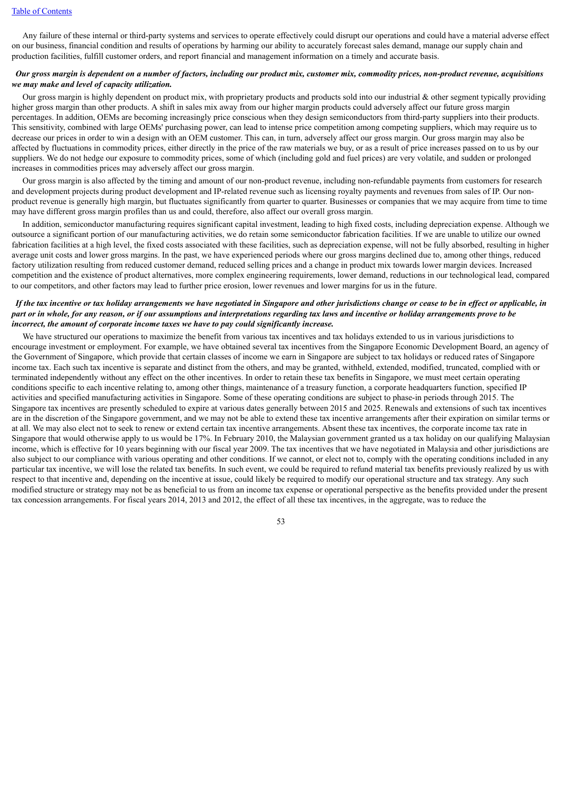Any failure of these internal or third-party systems and services to operate effectively could disrupt our operations and could have a material adverse effect on our business, financial condition and results of operations by harming our ability to accurately forecast sales demand, manage our supply chain and production facilities, fulfill customer orders, and report financial and management information on a timely and accurate basis.

## Our gross margin is dependent on a number of factors, including our product mix, customer mix, commodity prices, non-product revenue, acquisitions *we may make and level of capacity utilization.*

Our gross margin is highly dependent on product mix, with proprietary products and products sold into our industrial & other segment typically providing higher gross margin than other products. A shift in sales mix away from our higher margin products could adversely affect our future gross margin percentages. In addition, OEMs are becoming increasingly price conscious when they design semiconductors from third-party suppliers into their products. This sensitivity, combined with large OEMs' purchasing power, can lead to intense price competition among competing suppliers, which may require us to decrease our prices in order to win a design with an OEM customer. This can, in turn, adversely affect our gross margin. Our gross margin may also be affected by fluctuations in commodity prices, either directly in the price of the raw materials we buy, or as a result of price increases passed on to us by our suppliers. We do not hedge our exposure to commodity prices, some of which (including gold and fuel prices) are very volatile, and sudden or prolonged increases in commodities prices may adversely affect our gross margin.

Our gross margin is also affected by the timing and amount of our non-product revenue, including non-refundable payments from customers for research and development projects during product development and IP-related revenue such as licensing royalty payments and revenues from sales of IP. Our nonproduct revenue is generally high margin, but fluctuates significantly from quarter to quarter. Businesses or companies that we may acquire from time to time may have different gross margin profiles than us and could, therefore, also affect our overall gross margin.

In addition, semiconductor manufacturing requires significant capital investment, leading to high fixed costs, including depreciation expense. Although we outsource a significant portion of our manufacturing activities, we do retain some semiconductor fabrication facilities. If we are unable to utilize our owned fabrication facilities at a high level, the fixed costs associated with these facilities, such as depreciation expense, will not be fully absorbed, resulting in higher average unit costs and lower gross margins. In the past, we have experienced periods where our gross margins declined due to, among other things, reduced factory utilization resulting from reduced customer demand, reduced selling prices and a change in product mix towards lower margin devices. Increased competition and the existence of product alternatives, more complex engineering requirements, lower demand, reductions in our technological lead, compared to our competitors, and other factors may lead to further price erosion, lower revenues and lower margins for us in the future.

## If the tax incentive or tax holiday arrangements we have negotiated in Singapore and other jurisdictions change or cease to be in effect or applicable, in part or in whole, for any reason, or if our assumptions and interpretations regarding tax laws and incentive or holiday arrangements prove to be *incorrect, the amount of corporate income taxes we have to pay could significantly increase.*

We have structured our operations to maximize the benefit from various tax incentives and tax holidays extended to us in various jurisdictions to encourage investment or employment. For example, we have obtained several tax incentives from the Singapore Economic Development Board, an agency of the Government of Singapore, which provide that certain classes of income we earn in Singapore are subject to tax holidays or reduced rates of Singapore income tax. Each such tax incentive is separate and distinct from the others, and may be granted, withheld, extended, modified, truncated, complied with or terminated independently without any effect on the other incentives. In order to retain these tax benefits in Singapore, we must meet certain operating conditions specific to each incentive relating to, among other things, maintenance of a treasury function, a corporate headquarters function, specified IP activities and specified manufacturing activities in Singapore. Some of these operating conditions are subject to phase-in periods through 2015. The Singapore tax incentives are presently scheduled to expire at various dates generally between 2015 and 2025. Renewals and extensions of such tax incentives are in the discretion of the Singapore government, and we may not be able to extend these tax incentive arrangements after their expiration on similar terms or at all. We may also elect not to seek to renew or extend certain tax incentive arrangements. Absent these tax incentives, the corporate income tax rate in Singapore that would otherwise apply to us would be 17%. In February 2010, the Malaysian government granted us a tax holiday on our qualifying Malaysian income, which is effective for 10 years beginning with our fiscal year 2009. The tax incentives that we have negotiated in Malaysia and other jurisdictions are also subject to our compliance with various operating and other conditions. If we cannot, or elect not to, comply with the operating conditions included in any particular tax incentive, we will lose the related tax benefits. In such event, we could be required to refund material tax benefits previously realized by us with respect to that incentive and, depending on the incentive at issue, could likely be required to modify our operational structure and tax strategy. Any such modified structure or strategy may not be as beneficial to us from an income tax expense or operational perspective as the benefits provided under the present tax concession arrangements. For fiscal years 2014, 2013 and 2012, the effect of all these tax incentives, in the aggregate, was to reduce the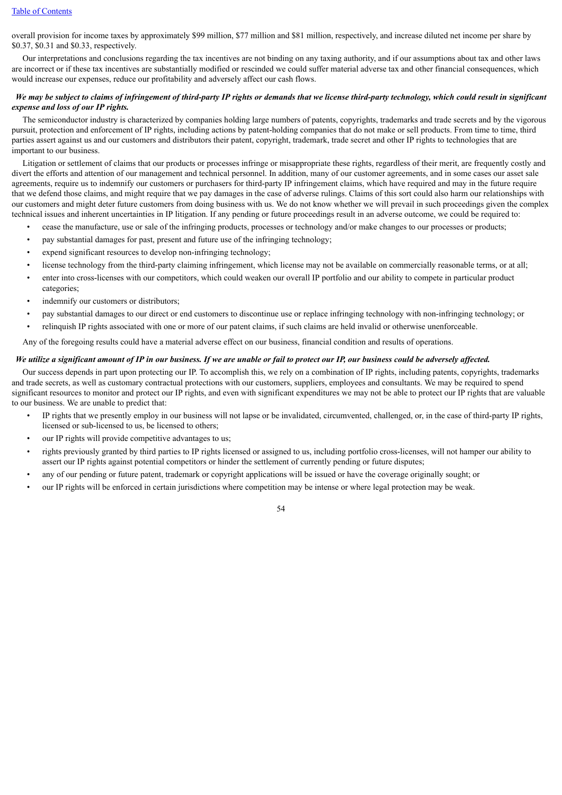overall provision for income taxes by approximately \$99 million, \$77 million and \$81 million, respectively, and increase diluted net income per share by \$0.37, \$0.31 and \$0.33, respectively.

Our interpretations and conclusions regarding the tax incentives are not binding on any taxing authority, and if our assumptions about tax and other laws are incorrect or if these tax incentives are substantially modified or rescinded we could suffer material adverse tax and other financial consequences, which would increase our expenses, reduce our profitability and adversely affect our cash flows.

## We may be subject to claims of infringement of third-party IP rights or demands that we license third-party technology, which could result in significant *expense and loss of our IP rights.*

The semiconductor industry is characterized by companies holding large numbers of patents, copyrights, trademarks and trade secrets and by the vigorous pursuit, protection and enforcement of IP rights, including actions by patent-holding companies that do not make or sell products. From time to time, third parties assert against us and our customers and distributors their patent, copyright, trademark, trade secret and other IP rights to technologies that are important to our business.

Litigation or settlement of claims that our products or processes infringe or misappropriate these rights, regardless of their merit, are frequently costly and divert the efforts and attention of our management and technical personnel. In addition, many of our customer agreements, and in some cases our asset sale agreements, require us to indemnify our customers or purchasers for third-party IP infringement claims, which have required and may in the future require that we defend those claims, and might require that we pay damages in the case of adverse rulings. Claims of this sort could also harm our relationships with our customers and might deter future customers from doing business with us. We do not know whether we will prevail in such proceedings given the complex technical issues and inherent uncertainties in IP litigation. If any pending or future proceedings result in an adverse outcome, we could be required to:

- cease the manufacture, use or sale of the infringing products, processes or technology and/or make changes to our processes or products;
- pay substantial damages for past, present and future use of the infringing technology;
- expend significant resources to develop non-infringing technology;
- license technology from the third-party claiming infringement, which license may not be available on commercially reasonable terms, or at all;
- enter into cross-licenses with our competitors, which could weaken our overall IP portfolio and our ability to compete in particular product categories;
- indemnify our customers or distributors;
- pay substantial damages to our direct or end customers to discontinue use or replace infringing technology with non-infringing technology; or
- relinquish IP rights associated with one or more of our patent claims, if such claims are held invalid or otherwise unenforceable.

Any of the foregoing results could have a material adverse effect on our business, financial condition and results of operations.

#### We utilize a significant amount of IP in our business. If we are unable or fail to protect our IP, our business could be adversely affected.

Our success depends in part upon protecting our IP. To accomplish this, we rely on a combination of IP rights, including patents, copyrights, trademarks and trade secrets, as well as customary contractual protections with our customers, suppliers, employees and consultants. We may be required to spend significant resources to monitor and protect our IP rights, and even with significant expenditures we may not be able to protect our IP rights that are valuable to our business. We are unable to predict that:

- IP rights that we presently employ in our business will not lapse or be invalidated, circumvented, challenged, or, in the case of third-party IP rights, licensed or sub-licensed to us, be licensed to others;
- our IP rights will provide competitive advantages to us;
- rights previously granted by third parties to IP rights licensed or assigned to us, including portfolio cross-licenses, will not hamper our ability to assert our IP rights against potential competitors or hinder the settlement of currently pending or future disputes;
- any of our pending or future patent, trademark or copyright applications will be issued or have the coverage originally sought; or
- our IP rights will be enforced in certain jurisdictions where competition may be intense or where legal protection may be weak.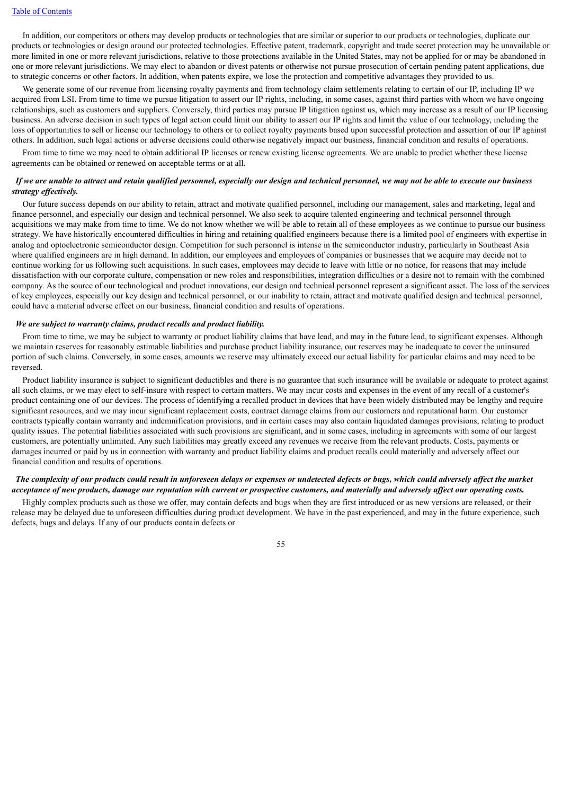In addition, our competitors or others may develop products or technologies that are similar or superior to our products or technologies, duplicate our products or technologies or design around our protected technologies. Effective patent, trademark, copyright and trade secret protection may be unavailable or more limited in one or more relevant jurisdictions, relative to those protections available in the United States, may not be applied for or may be abandoned in one or more relevant jurisdictions. We may elect to abandon or divest patents or otherwise not pursue prosecution of certain pending patent applications, due to strategic concerns or other factors. In addition, when patents expire, we lose the protection and competitive advantages they provided to us.

We generate some of our revenue from licensing royalty payments and from technology claim settlements relating to certain of our IP, including IP we acquired from LSI. From time to time we pursue litigation to assert our IP rights, including, in some cases, against third parties with whom we have ongoing relationships, such as customers and suppliers. Conversely, third parties may pursue IP litigation against us, which may increase as a result of our IP licensing business. An adverse decision in such types of legal action could limit our ability to assert our IP rights and limit the value of our technology, including the loss of opportunities to sell or license our technology to others or to collect royalty payments based upon successful protection and assertion of our IP against others. In addition, such legal actions or adverse decisions could otherwise negatively impact our business, financial condition and results of operations.

From time to time we may need to obtain additional IP licenses or renew existing license agreements. We are unable to predict whether these license agreements can be obtained or renewed on acceptable terms or at all.

## If we are unable to attract and retain qualified personnel, especially our design and technical personnel, we may not be able to execute our business *strategy ef ectively.*

Our future success depends on our ability to retain, attract and motivate qualified personnel, including our management, sales and marketing, legal and finance personnel, and especially our design and technical personnel. We also seek to acquire talented engineering and technical personnel through acquisitions we may make from time to time. We do not know whether we will be able to retain all of these employees as we continue to pursue our business strategy. We have historically encountered difficulties in hiring and retaining qualified engineers because there is a limited pool of engineers with expertise in analog and optoelectronic semiconductor design. Competition for such personnel is intense in the semiconductor industry, particularly in Southeast Asia where qualified engineers are in high demand. In addition, our employees and employees of companies or businesses that we acquire may decide not to continue working for us following such acquisitions. In such cases, employees may decide to leave with little or no notice, for reasons that may include dissatisfaction with our corporate culture, compensation or new roles and responsibilities, integration difficulties or a desire not to remain with the combined company. As the source of our technological and product innovations, our design and technical personnel represent a significant asset. The loss of the services of key employees, especially our key design and technical personnel, or our inability to retain, attract and motivate qualified design and technical personnel, could have a material adverse effect on our business, financial condition and results of operations.

#### *We are subject to warranty claims, product recalls and product liability.*

From time to time, we may be subject to warranty or product liability claims that have lead, and may in the future lead, to significant expenses. Although we maintain reserves for reasonably estimable liabilities and purchase product liability insurance, our reserves may be inadequate to cover the uninsured portion of such claims. Conversely, in some cases, amounts we reserve may ultimately exceed our actual liability for particular claims and may need to be reversed.

Product liability insurance is subject to significant deductibles and there is no guarantee that such insurance will be available or adequate to protect against all such claims, or we may elect to self-insure with respect to certain matters. We may incur costs and expenses in the event of any recall of a customer's product containing one of our devices. The process of identifying a recalled product in devices that have been widely distributed may be lengthy and require significant resources, and we may incur significant replacement costs, contract damage claims from our customers and reputational harm. Our customer contracts typically contain warranty and indemnification provisions, and in certain cases may also contain liquidated damages provisions, relating to product quality issues. The potential liabilities associated with such provisions are significant, and in some cases, including in agreements with some of our largest customers, are potentially unlimited. Any such liabilities may greatly exceed any revenues we receive from the relevant products. Costs, payments or damages incurred or paid by us in connection with warranty and product liability claims and product recalls could materially and adversely affect our financial condition and results of operations.

## The complexity of our products could result in unforeseen delays or expenses or undetected defects or bugs, which could adversely affect the market acceptance of new products, damage our reputation with current or prospective customers, and materially and adversely affect our operating costs.

Highly complex products such as those we offer, may contain defects and bugs when they are first introduced or as new versions are released, or their release may be delayed due to unforeseen difficulties during product development. We have in the past experienced, and may in the future experience, such defects, bugs and delays. If any of our products contain defects or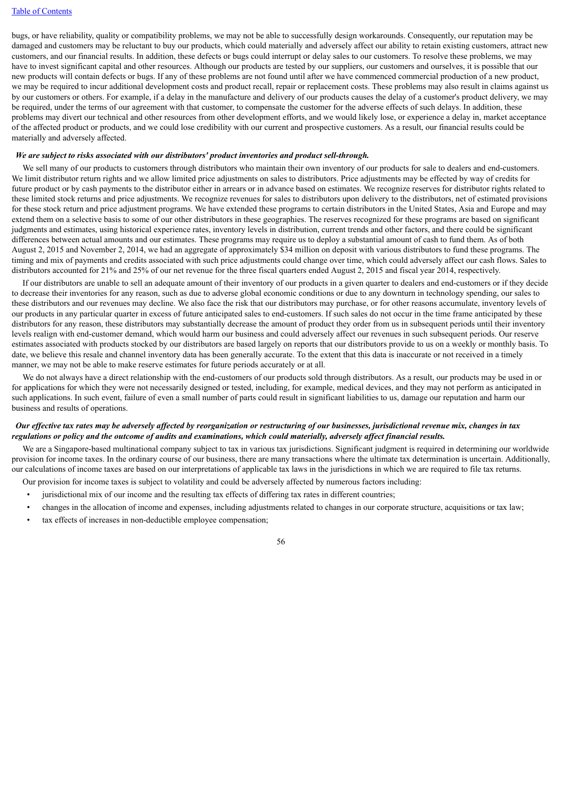bugs, or have reliability, quality or compatibility problems, we may not be able to successfully design workarounds. Consequently, our reputation may be damaged and customers may be reluctant to buy our products, which could materially and adversely affect our ability to retain existing customers, attract new customers, and our financial results. In addition, these defects or bugs could interrupt or delay sales to our customers. To resolve these problems, we may have to invest significant capital and other resources. Although our products are tested by our suppliers, our customers and ourselves, it is possible that our new products will contain defects or bugs. If any of these problems are not found until after we have commenced commercial production of a new product, we may be required to incur additional development costs and product recall, repair or replacement costs. These problems may also result in claims against us by our customers or others. For example, if a delay in the manufacture and delivery of our products causes the delay of a customer's product delivery, we may be required, under the terms of our agreement with that customer, to compensate the customer for the adverse effects of such delays. In addition, these problems may divert our technical and other resources from other development efforts, and we would likely lose, or experience a delay in, market acceptance of the affected product or products, and we could lose credibility with our current and prospective customers. As a result, our financial results could be materially and adversely affected.

#### *We are subject to risks associated with our distributors' product inventories and product sell-through.*

We sell many of our products to customers through distributors who maintain their own inventory of our products for sale to dealers and end-customers. We limit distributor return rights and we allow limited price adjustments on sales to distributors. Price adjustments may be effected by way of credits for future product or by cash payments to the distributor either in arrears or in advance based on estimates. We recognize reserves for distributor rights related to these limited stock returns and price adjustments. We recognize revenues for sales to distributors upon delivery to the distributors, net of estimated provisions for these stock return and price adjustment programs. We have extended these programs to certain distributors in the United States, Asia and Europe and may extend them on a selective basis to some of our other distributors in these geographies. The reserves recognized for these programs are based on significant judgments and estimates, using historical experience rates, inventory levels in distribution, current trends and other factors, and there could be significant differences between actual amounts and our estimates. These programs may require us to deploy a substantial amount of cash to fund them. As of both August 2, 2015 and November 2, 2014, we had an aggregate of approximately \$34 million on deposit with various distributors to fund these programs. The timing and mix of payments and credits associated with such price adjustments could change over time, which could adversely affect our cash flows. Sales to distributors accounted for 21% and 25% of our net revenue for the three fiscal quarters ended August 2, 2015 and fiscal year 2014, respectively.

If our distributors are unable to sell an adequate amount of their inventory of our products in a given quarter to dealers and end-customers or if they decide to decrease their inventories for any reason, such as due to adverse global economic conditions or due to any downturn in technology spending, our sales to these distributors and our revenues may decline. We also face the risk that our distributors may purchase, or for other reasons accumulate, inventory levels of our products in any particular quarter in excess of future anticipated sales to end-customers. If such sales do not occur in the time frame anticipated by these distributors for any reason, these distributors may substantially decrease the amount of product they order from us in subsequent periods until their inventory levels realign with end-customer demand, which would harm our business and could adversely affect our revenues in such subsequent periods. Our reserve estimates associated with products stocked by our distributors are based largely on reports that our distributors provide to us on a weekly or monthly basis. To date, we believe this resale and channel inventory data has been generally accurate. To the extent that this data is inaccurate or not received in a timely manner, we may not be able to make reserve estimates for future periods accurately or at all.

We do not always have a direct relationship with the end-customers of our products sold through distributors. As a result, our products may be used in or for applications for which they were not necessarily designed or tested, including, for example, medical devices, and they may not perform as anticipated in such applications. In such event, failure of even a small number of parts could result in significant liabilities to us, damage our reputation and harm our business and results of operations.

## Our effective tax rates may be adversely affected by reorganization or restructuring of our businesses, jurisdictional revenue mix, changes in tax regulations or policy and the outcome of audits and examinations, which could materially, adversely affect financial results.

We are a Singapore-based multinational company subject to tax in various tax jurisdictions. Significant judgment is required in determining our worldwide provision for income taxes. In the ordinary course of our business, there are many transactions where the ultimate tax determination is uncertain. Additionally, our calculations of income taxes are based on our interpretations of applicable tax laws in the jurisdictions in which we are required to file tax returns.

Our provision for income taxes is subject to volatility and could be adversely affected by numerous factors including:

- jurisdictional mix of our income and the resulting tax effects of differing tax rates in different countries;
- changes in the allocation of income and expenses, including adjustments related to changes in our corporate structure, acquisitions or tax law;
- tax effects of increases in non-deductible employee compensation;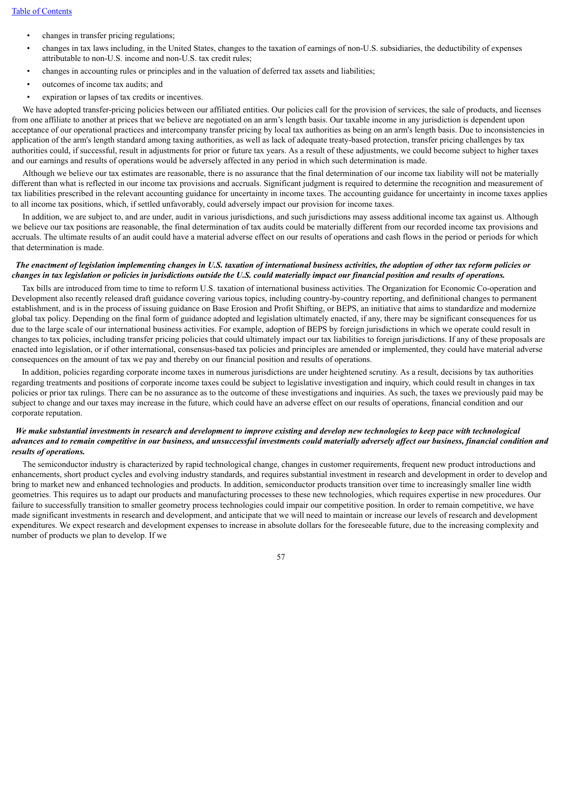- changes in transfer pricing regulations;
- changes in tax laws including, in the United States, changes to the taxation of earnings of non-U.S. subsidiaries, the deductibility of expenses attributable to non-U.S. income and non-U.S. tax credit rules;
- changes in accounting rules or principles and in the valuation of deferred tax assets and liabilities;
- outcomes of income tax audits; and
- expiration or lapses of tax credits or incentives.

We have adopted transfer-pricing policies between our affiliated entities. Our policies call for the provision of services, the sale of products, and licenses from one affiliate to another at prices that we believe are negotiated on an arm's length basis. Our taxable income in any jurisdiction is dependent upon acceptance of our operational practices and intercompany transfer pricing by local tax authorities as being on an arm's length basis. Due to inconsistencies in application of the arm's length standard among taxing authorities, as well as lack of adequate treaty-based protection, transfer pricing challenges by tax authorities could, if successful, result in adjustments for prior or future tax years. As a result of these adjustments, we could become subject to higher taxes and our earnings and results of operations would be adversely affected in any period in which such determination is made.

Although we believe our tax estimates are reasonable, there is no assurance that the final determination of our income tax liability will not be materially different than what is reflected in our income tax provisions and accruals. Significant judgment is required to determine the recognition and measurement of tax liabilities prescribed in the relevant accounting guidance for uncertainty in income taxes. The accounting guidance for uncertainty in income taxes applies to all income tax positions, which, if settled unfavorably, could adversely impact our provision for income taxes.

In addition, we are subject to, and are under, audit in various jurisdictions, and such jurisdictions may assess additional income tax against us. Although we believe our tax positions are reasonable, the final determination of tax audits could be materially different from our recorded income tax provisions and accruals. The ultimate results of an audit could have a material adverse effect on our results of operations and cash flows in the period or periods for which that determination is made.

## The enactment of legislation implementing changes in U.S. taxation of international business activities, the adoption of other tax reform policies or changes in tax legislation or policies in jurisdictions outside the U.S. could materially impact our financial position and results of operations.

Tax bills are introduced from time to time to reform U.S. taxation of international business activities. The Organization for Economic Co-operation and Development also recently released draft guidance covering various topics, including country-by-country reporting, and definitional changes to permanent establishment, and is in the process of issuing guidance on Base Erosion and Profit Shifting, or BEPS, an initiative that aims to standardize and modernize global tax policy. Depending on the final form of guidance adopted and legislation ultimately enacted, if any, there may be significant consequences for us due to the large scale of our international business activities. For example, adoption of BEPS by foreign jurisdictions in which we operate could result in changes to tax policies, including transfer pricing policies that could ultimately impact our tax liabilities to foreign jurisdictions. If any of these proposals are enacted into legislation, or if other international, consensus-based tax policies and principles are amended or implemented, they could have material adverse consequences on the amount of tax we pay and thereby on our financial position and results of operations.

In addition, policies regarding corporate income taxes in numerous jurisdictions are under heightened scrutiny. As a result, decisions by tax authorities regarding treatments and positions of corporate income taxes could be subject to legislative investigation and inquiry, which could result in changes in tax policies or prior tax rulings. There can be no assurance as to the outcome of these investigations and inquiries. As such, the taxes we previously paid may be subject to change and our taxes may increase in the future, which could have an adverse effect on our results of operations, financial condition and our corporate reputation.

## We make substantial investments in research and development to improve existing and develop new technologies to keep pace with technological advances and to remain competitive in our business, and unsuccessful investments could materially adversely affect our business, financial condition and *results of operations.*

The semiconductor industry is characterized by rapid technological change, changes in customer requirements, frequent new product introductions and enhancements, short product cycles and evolving industry standards, and requires substantial investment in research and development in order to develop and bring to market new and enhanced technologies and products. In addition, semiconductor products transition over time to increasingly smaller line width geometries. This requires us to adapt our products and manufacturing processes to these new technologies, which requires expertise in new procedures. Our failure to successfully transition to smaller geometry process technologies could impair our competitive position. In order to remain competitive, we have made significant investments in research and development, and anticipate that we will need to maintain or increase our levels of research and development expenditures. We expect research and development expenses to increase in absolute dollars for the foreseeable future, due to the increasing complexity and number of products we plan to develop. If we

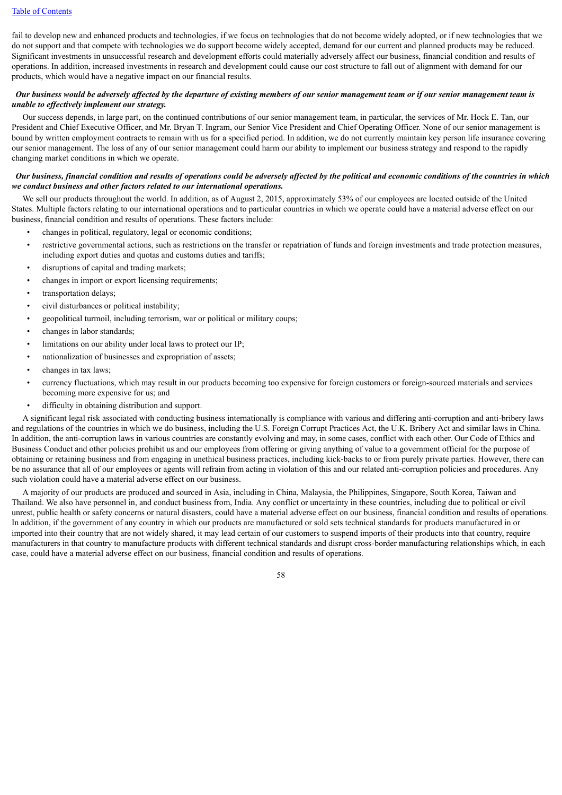## Table of [Contents](#page-0-0)

fail to develop new and enhanced products and technologies, if we focus on technologies that do not become widely adopted, or if new technologies that we do not support and that compete with technologies we do support become widely accepted, demand for our current and planned products may be reduced. Significant investments in unsuccessful research and development efforts could materially adversely affect our business, financial condition and results of operations. In addition, increased investments in research and development could cause our cost structure to fall out of alignment with demand for our products, which would have a negative impact on our financial results.

## Our business would be adversely affected by the departure of existing members of our senior management team or if our senior management team is *unable to ef ectively implement our strategy.*

Our success depends, in large part, on the continued contributions of our senior management team, in particular, the services of Mr. Hock E. Tan, our President and Chief Executive Officer, and Mr. Bryan T. Ingram, our Senior Vice President and Chief Operating Officer. None of our senior management is bound by written employment contracts to remain with us for a specified period. In addition, we do not currently maintain key person life insurance covering our senior management. The loss of any of our senior management could harm our ability to implement our business strategy and respond to the rapidly changing market conditions in which we operate.

## Our business, financial condition and results of operations could be adversely affected by the political and economic conditions of the countries in which *we conduct business and other factors related to our international operations.*

We sell our products throughout the world. In addition, as of August 2, 2015, approximately 53% of our employees are located outside of the United States. Multiple factors relating to our international operations and to particular countries in which we operate could have a material adverse effect on our business, financial condition and results of operations. These factors include:

- changes in political, regulatory, legal or economic conditions;
- restrictive governmental actions, such as restrictions on the transfer or repatriation of funds and foreign investments and trade protection measures, including export duties and quotas and customs duties and tariffs;
- disruptions of capital and trading markets;
- changes in import or export licensing requirements;
- transportation delays;
- civil disturbances or political instability;
- geopolitical turmoil, including terrorism, war or political or military coups;
- changes in labor standards;
- limitations on our ability under local laws to protect our IP;
- nationalization of businesses and expropriation of assets;
- changes in tax laws;
- currency fluctuations, which may result in our products becoming too expensive for foreign customers or foreign-sourced materials and services becoming more expensive for us; and
- difficulty in obtaining distribution and support.

A significant legal risk associated with conducting business internationally is compliance with various and differing anti-corruption and anti-bribery laws and regulations of the countries in which we do business, including the U.S. Foreign Corrupt Practices Act, the U.K. Bribery Act and similar laws in China. In addition, the anti-corruption laws in various countries are constantly evolving and may, in some cases, conflict with each other. Our Code of Ethics and Business Conduct and other policies prohibit us and our employees from offering or giving anything of value to a government official for the purpose of obtaining or retaining business and from engaging in unethical business practices, including kick-backs to or from purely private parties. However, there can be no assurance that all of our employees or agents will refrain from acting in violation of this and our related anti-corruption policies and procedures. Any such violation could have a material adverse effect on our business.

A majority of our products are produced and sourced in Asia, including in China, Malaysia, the Philippines, Singapore, South Korea, Taiwan and Thailand. We also have personnel in, and conduct business from, India. Any conflict or uncertainty in these countries, including due to political or civil unrest, public health or safety concerns or natural disasters, could have a material adverse effect on our business, financial condition and results of operations. In addition, if the government of any country in which our products are manufactured or sold sets technical standards for products manufactured in or imported into their country that are not widely shared, it may lead certain of our customers to suspend imports of their products into that country, require manufacturers in that country to manufacture products with different technical standards and disrupt cross-border manufacturing relationships which, in each case, could have a material adverse effect on our business, financial condition and results of operations.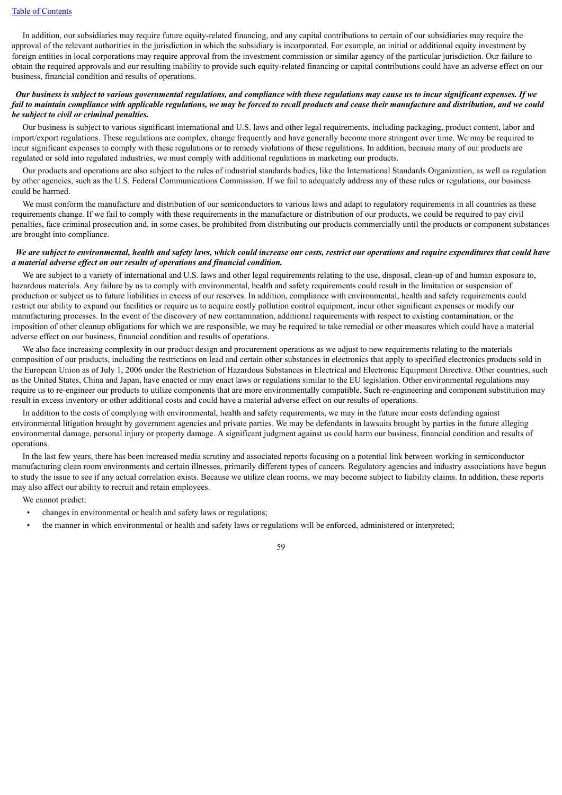In addition, our subsidiaries may require future equity-related financing, and any capital contributions to certain of our subsidiaries may require the approval of the relevant authorities in the jurisdiction in which the subsidiary is incorporated. For example, an initial or additional equity investment by foreign entities in local corporations may require approval from the investment commission or similar agency of the particular jurisdiction. Our failure to obtain the required approvals and our resulting inability to provide such equity-related financing or capital contributions could have an adverse effect on our business, financial condition and results of operations.

## Our business is subject to various governmental regulations, and compliance with these regulations may cause us to incur significant expenses. If we fail to maintain compliance with applicable regulations, we may be forced to recall products and cease their manufacture and distribution, and we could *be subject to civil or criminal penalties.*

Our business is subject to various significant international and U.S. laws and other legal requirements, including packaging, product content, labor and import/export regulations. These regulations are complex, change frequently and have generally become more stringent over time. We may be required to incur significant expenses to comply with these regulations or to remedy violations of these regulations. In addition, because many of our products are regulated or sold into regulated industries, we must comply with additional regulations in marketing our products.

Our products and operations are also subject to the rules of industrial standards bodies, like the International Standards Organization, as well as regulation by other agencies, such as the U.S. Federal Communications Commission. If we fail to adequately address any of these rules or regulations, our business could be harmed.

We must conform the manufacture and distribution of our semiconductors to various laws and adapt to regulatory requirements in all countries as these requirements change. If we fail to comply with these requirements in the manufacture or distribution of our products, we could be required to pay civil penalties, face criminal prosecution and, in some cases, be prohibited from distributing our products commercially until the products or component substances are brought into compliance.

## We are subject to environmental, health and safety laws, which could increase our costs, restrict our operations and require expenditures that could have *a material adverse ef ect on our results of operations and financial condition.*

We are subject to a variety of international and U.S. laws and other legal requirements relating to the use, disposal, clean-up of and human exposure to, hazardous materials. Any failure by us to comply with environmental, health and safety requirements could result in the limitation or suspension of production or subject us to future liabilities in excess of our reserves. In addition, compliance with environmental, health and safety requirements could restrict our ability to expand our facilities or require us to acquire costly pollution control equipment, incur other significant expenses or modify our manufacturing processes. In the event of the discovery of new contamination, additional requirements with respect to existing contamination, or the imposition of other cleanup obligations for which we are responsible, we may be required to take remedial or other measures which could have a material adverse effect on our business, financial condition and results of operations.

We also face increasing complexity in our product design and procurement operations as we adjust to new requirements relating to the materials composition of our products, including the restrictions on lead and certain other substances in electronics that apply to specified electronics products sold in the European Union as of July 1, 2006 under the Restriction of Hazardous Substances in Electrical and Electronic Equipment Directive. Other countries, such as the United States, China and Japan, have enacted or may enact laws or regulations similar to the EU legislation. Other environmental regulations may require us to re-engineer our products to utilize components that are more environmentally compatible. Such re-engineering and component substitution may result in excess inventory or other additional costs and could have a material adverse effect on our results of operations.

In addition to the costs of complying with environmental, health and safety requirements, we may in the future incur costs defending against environmental litigation brought by government agencies and private parties. We may be defendants in lawsuits brought by parties in the future alleging environmental damage, personal injury or property damage. A significant judgment against us could harm our business, financial condition and results of operations.

In the last few years, there has been increased media scrutiny and associated reports focusing on a potential link between working in semiconductor manufacturing clean room environments and certain illnesses, primarily different types of cancers. Regulatory agencies and industry associations have begun to study the issue to see if any actual correlation exists. Because we utilize clean rooms, we may become subject to liability claims. In addition, these reports may also affect our ability to recruit and retain employees.

We cannot predict:

- changes in environmental or health and safety laws or regulations;
- the manner in which environmental or health and safety laws or regulations will be enforced, administered or interpreted;

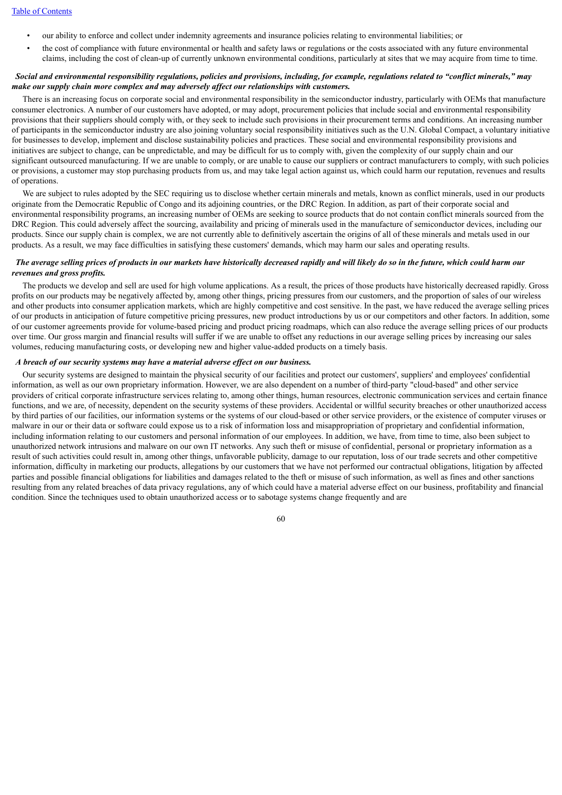- our ability to enforce and collect under indemnity agreements and insurance policies relating to environmental liabilities; or
- the cost of compliance with future environmental or health and safety laws or regulations or the costs associated with any future environmental claims, including the cost of clean-up of currently unknown environmental conditions, particularly at sites that we may acquire from time to time.

## Social and environmental responsibility regulations, policies and provisions, including, for example, regulations related to "conflict minerals," may *make our supply chain more complex and may adversely af ect our relationships with customers.*

There is an increasing focus on corporate social and environmental responsibility in the semiconductor industry, particularly with OEMs that manufacture consumer electronics. A number of our customers have adopted, or may adopt, procurement policies that include social and environmental responsibility provisions that their suppliers should comply with, or they seek to include such provisions in their procurement terms and conditions. An increasing number of participants in the semiconductor industry are also joining voluntary social responsibility initiatives such as the U.N. Global Compact, a voluntary initiative for businesses to develop, implement and disclose sustainability policies and practices. These social and environmental responsibility provisions and initiatives are subject to change, can be unpredictable, and may be difficult for us to comply with, given the complexity of our supply chain and our significant outsourced manufacturing. If we are unable to comply, or are unable to cause our suppliers or contract manufacturers to comply, with such policies or provisions, a customer may stop purchasing products from us, and may take legal action against us, which could harm our reputation, revenues and results of operations.

We are subject to rules adopted by the SEC requiring us to disclose whether certain minerals and metals, known as conflict minerals, used in our products originate from the Democratic Republic of Congo and its adjoining countries, or the DRC Region. In addition, as part of their corporate social and environmental responsibility programs, an increasing number of OEMs are seeking to source products that do not contain conflict minerals sourced from the DRC Region. This could adversely affect the sourcing, availability and pricing of minerals used in the manufacture of semiconductor devices, including our products. Since our supply chain is complex, we are not currently able to definitively ascertain the origins of all of these minerals and metals used in our products. As a result, we may face difficulties in satisfying these customers' demands, which may harm our sales and operating results.

## The average selling prices of products in our markets have historically decreased rapidly and will likely do so in the future, which could harm our *revenues and gross profits.*

The products we develop and sell are used for high volume applications. As a result, the prices of those products have historically decreased rapidly. Gross profits on our products may be negatively affected by, among other things, pricing pressures from our customers, and the proportion of sales of our wireless and other products into consumer application markets, which are highly competitive and cost sensitive. In the past, we have reduced the average selling prices of our products in anticipation of future competitive pricing pressures, new product introductions by us or our competitors and other factors. In addition, some of our customer agreements provide for volume-based pricing and product pricing roadmaps, which can also reduce the average selling prices of our products over time. Our gross margin and financial results will suffer if we are unable to offset any reductions in our average selling prices by increasing our sales volumes, reducing manufacturing costs, or developing new and higher value-added products on a timely basis.

## *A breach of our security systems may have a material adverse ef ect on our business.*

Our security systems are designed to maintain the physical security of our facilities and protect our customers', suppliers' and employees' confidential information, as well as our own proprietary information. However, we are also dependent on a number of third-party "cloud-based" and other service providers of critical corporate infrastructure services relating to, among other things, human resources, electronic communication services and certain finance functions, and we are, of necessity, dependent on the security systems of these providers. Accidental or willful security breaches or other unauthorized access by third parties of our facilities, our information systems or the systems of our cloud-based or other service providers, or the existence of computer viruses or malware in our or their data or software could expose us to a risk of information loss and misappropriation of proprietary and confidential information, including information relating to our customers and personal information of our employees. In addition, we have, from time to time, also been subject to unauthorized network intrusions and malware on our own IT networks. Any such theft or misuse of confidential, personal or proprietary information as a result of such activities could result in, among other things, unfavorable publicity, damage to our reputation, loss of our trade secrets and other competitive information, difficulty in marketing our products, allegations by our customers that we have not performed our contractual obligations, litigation by affected parties and possible financial obligations for liabilities and damages related to the theft or misuse of such information, as well as fines and other sanctions resulting from any related breaches of data privacy regulations, any of which could have a material adverse effect on our business, profitability and financial condition. Since the techniques used to obtain unauthorized access or to sabotage systems change frequently and are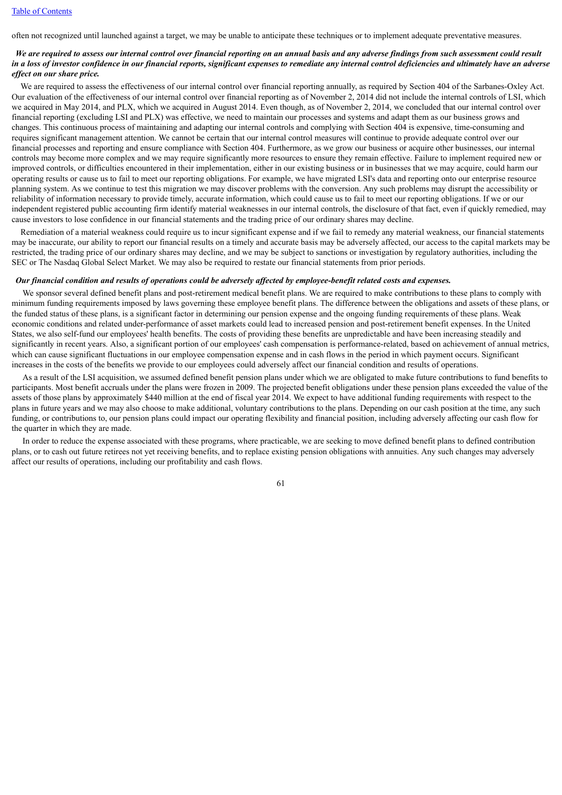#### Table of [Contents](#page-0-0)

often not recognized until launched against a target, we may be unable to anticipate these techniques or to implement adequate preventative measures.

## We are required to assess our internal control over financial reporting on an annual basis and any adverse findings from such assessment could result in a loss of investor confidence in our financial reports, significant expenses to remediate any internal control deficiencies and ultimately have an adverse *ef ect on our share price.*

We are required to assess the effectiveness of our internal control over financial reporting annually, as required by Section 404 of the Sarbanes-Oxley Act. Our evaluation of the effectiveness of our internal control over financial reporting as of November 2, 2014 did not include the internal controls of LSI, which we acquired in May 2014, and PLX, which we acquired in August 2014. Even though, as of November 2, 2014, we concluded that our internal control over financial reporting (excluding LSI and PLX) was effective, we need to maintain our processes and systems and adapt them as our business grows and changes. This continuous process of maintaining and adapting our internal controls and complying with Section 404 is expensive, time-consuming and requires significant management attention. We cannot be certain that our internal control measures will continue to provide adequate control over our financial processes and reporting and ensure compliance with Section 404. Furthermore, as we grow our business or acquire other businesses, our internal controls may become more complex and we may require significantly more resources to ensure they remain effective. Failure to implement required new or improved controls, or difficulties encountered in their implementation, either in our existing business or in businesses that we may acquire, could harm our operating results or cause us to fail to meet our reporting obligations. For example, we have migrated LSI's data and reporting onto our enterprise resource planning system. As we continue to test this migration we may discover problems with the conversion. Any such problems may disrupt the accessibility or reliability of information necessary to provide timely, accurate information, which could cause us to fail to meet our reporting obligations. If we or our independent registered public accounting firm identify material weaknesses in our internal controls, the disclosure of that fact, even if quickly remedied, may cause investors to lose confidence in our financial statements and the trading price of our ordinary shares may decline.

Remediation of a material weakness could require us to incur significant expense and if we fail to remedy any material weakness, our financial statements may be inaccurate, our ability to report our financial results on a timely and accurate basis may be adversely affected, our access to the capital markets may be restricted, the trading price of our ordinary shares may decline, and we may be subject to sanctions or investigation by regulatory authorities, including the SEC or The Nasdaq Global Select Market. We may also be required to restate our financial statements from prior periods.

#### Our financial condition and results of operations could be adversely affected by employee-benefit related costs and expenses.

We sponsor several defined benefit plans and post-retirement medical benefit plans. We are required to make contributions to these plans to comply with minimum funding requirements imposed by laws governing these employee benefit plans. The difference between the obligations and assets of these plans, or the funded status of these plans, is a significant factor in determining our pension expense and the ongoing funding requirements of these plans. Weak economic conditions and related under-performance of asset markets could lead to increased pension and post-retirement benefit expenses. In the United States, we also self-fund our employees' health benefits. The costs of providing these benefits are unpredictable and have been increasing steadily and significantly in recent years. Also, a significant portion of our employees' cash compensation is performance-related, based on achievement of annual metrics, which can cause significant fluctuations in our employee compensation expense and in cash flows in the period in which payment occurs. Significant increases in the costs of the benefits we provide to our employees could adversely affect our financial condition and results of operations.

As a result of the LSI acquisition, we assumed defined benefit pension plans under which we are obligated to make future contributions to fund benefits to participants. Most benefit accruals under the plans were frozen in 2009. The projected benefit obligations under these pension plans exceeded the value of the assets of those plans by approximately \$440 million at the end of fiscal year 2014. We expect to have additional funding requirements with respect to the plans in future years and we may also choose to make additional, voluntary contributions to the plans. Depending on our cash position at the time, any such funding, or contributions to, our pension plans could impact our operating flexibility and financial position, including adversely affecting our cash flow for the quarter in which they are made.

In order to reduce the expense associated with these programs, where practicable, we are seeking to move defined benefit plans to defined contribution plans, or to cash out future retirees not yet receiving benefits, and to replace existing pension obligations with annuities. Any such changes may adversely affect our results of operations, including our profitability and cash flows.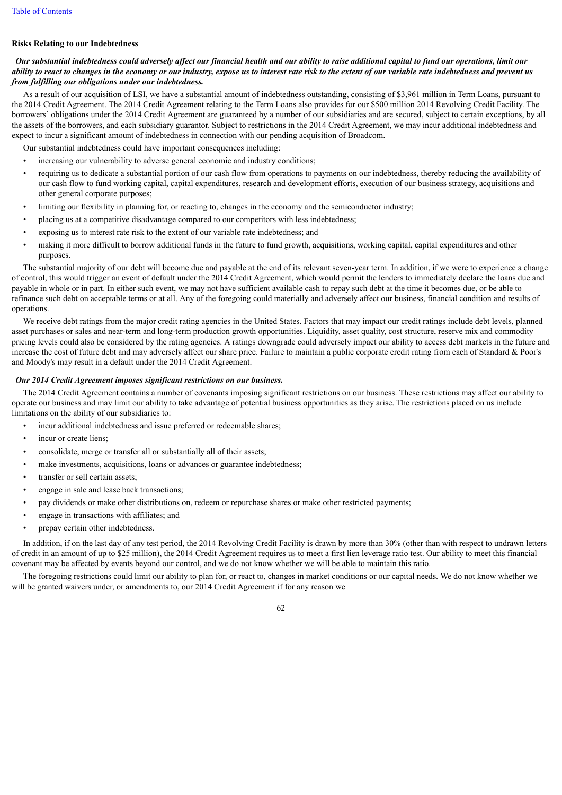## **Risks Relating to our Indebtedness**

## Our substantial indebtedness could adversely affect our financial health and our ability to raise additional capital to fund our operations, limit our ability to react to changes in the economy or our industry, expose us to interest rate risk to the extent of our variable rate indebtedness and prevent us *from fulfilling our obligations under our indebtedness.*

As a result of our acquisition of LSI, we have a substantial amount of indebtedness outstanding, consisting of \$3,961 million in Term Loans, pursuant to the 2014 Credit Agreement. The 2014 Credit Agreement relating to the Term Loans also provides for our \$500 million 2014 Revolving Credit Facility. The borrowers' obligations under the 2014 Credit Agreement are guaranteed by a number of our subsidiaries and are secured, subject to certain exceptions, by all the assets of the borrowers, and each subsidiary guarantor. Subject to restrictions in the 2014 Credit Agreement, we may incur additional indebtedness and expect to incur a significant amount of indebtedness in connection with our pending acquisition of Broadcom.

Our substantial indebtedness could have important consequences including:

- increasing our vulnerability to adverse general economic and industry conditions;
- requiring us to dedicate a substantial portion of our cash flow from operations to payments on our indebtedness, thereby reducing the availability of our cash flow to fund working capital, capital expenditures, research and development efforts, execution of our business strategy, acquisitions and other general corporate purposes;
- limiting our flexibility in planning for, or reacting to, changes in the economy and the semiconductor industry;
- placing us at a competitive disadvantage compared to our competitors with less indebtedness;
- exposing us to interest rate risk to the extent of our variable rate indebtedness; and
- making it more difficult to borrow additional funds in the future to fund growth, acquisitions, working capital, capital expenditures and other purposes.

The substantial majority of our debt will become due and payable at the end of its relevant seven-year term. In addition, if we were to experience a change of control, this would trigger an event of default under the 2014 Credit Agreement, which would permit the lenders to immediately declare the loans due and payable in whole or in part. In either such event, we may not have sufficient available cash to repay such debt at the time it becomes due, or be able to refinance such debt on acceptable terms or at all. Any of the foregoing could materially and adversely affect our business, financial condition and results of operations.

We receive debt ratings from the major credit rating agencies in the United States. Factors that may impact our credit ratings include debt levels, planned asset purchases or sales and near-term and long-term production growth opportunities. Liquidity, asset quality, cost structure, reserve mix and commodity pricing levels could also be considered by the rating agencies. A ratings downgrade could adversely impact our ability to access debt markets in the future and increase the cost of future debt and may adversely affect our share price. Failure to maintain a public corporate credit rating from each of Standard & Poor's and Moody's may result in a default under the 2014 Credit Agreement.

## *Our 2014 Credit Agreement imposes significant restrictions on our business.*

The 2014 Credit Agreement contains a number of covenants imposing significant restrictions on our business. These restrictions may affect our ability to operate our business and may limit our ability to take advantage of potential business opportunities as they arise. The restrictions placed on us include limitations on the ability of our subsidiaries to:

- incur additional indebtedness and issue preferred or redeemable shares;
- incur or create liens;
- consolidate, merge or transfer all or substantially all of their assets;
- make investments, acquisitions, loans or advances or guarantee indebtedness;
- transfer or sell certain assets;
- engage in sale and lease back transactions;
- pay dividends or make other distributions on, redeem or repurchase shares or make other restricted payments;
- engage in transactions with affiliates; and
- prepay certain other indebtedness.

In addition, if on the last day of any test period, the 2014 Revolving Credit Facility is drawn by more than 30% (other than with respect to undrawn letters of credit in an amount of up to \$25 million), the 2014 Credit Agreement requires us to meet a first lien leverage ratio test. Our ability to meet this financial covenant may be affected by events beyond our control, and we do not know whether we will be able to maintain this ratio.

The foregoing restrictions could limit our ability to plan for, or react to, changes in market conditions or our capital needs. We do not know whether we will be granted waivers under, or amendments to, our 2014 Credit Agreement if for any reason we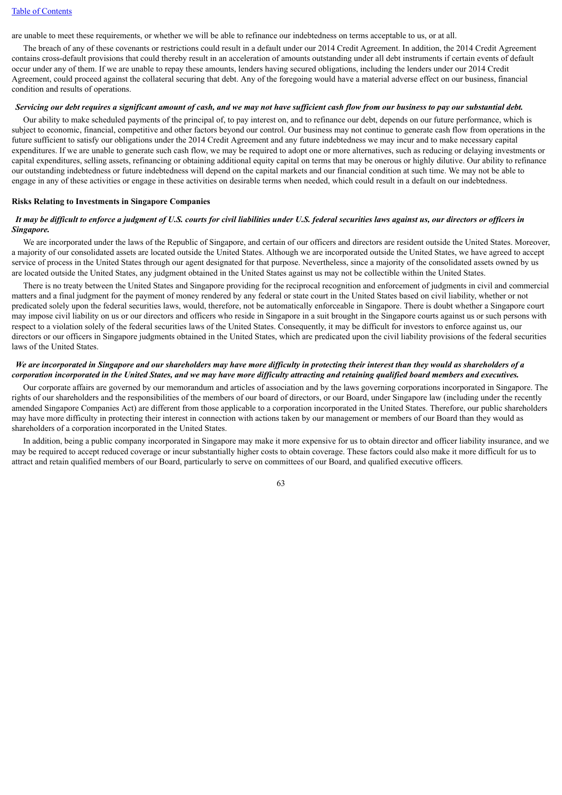are unable to meet these requirements, or whether we will be able to refinance our indebtedness on terms acceptable to us, or at all.

The breach of any of these covenants or restrictions could result in a default under our 2014 Credit Agreement. In addition, the 2014 Credit Agreement contains cross-default provisions that could thereby result in an acceleration of amounts outstanding under all debt instruments if certain events of default occur under any of them. If we are unable to repay these amounts, lenders having secured obligations, including the lenders under our 2014 Credit Agreement, could proceed against the collateral securing that debt. Any of the foregoing would have a material adverse effect on our business, financial condition and results of operations.

## Servicing our debt requires a significant amount of cash, and we may not have sufficient cash flow from our business to pay our substantial debt.

Our ability to make scheduled payments of the principal of, to pay interest on, and to refinance our debt, depends on our future performance, which is subject to economic, financial, competitive and other factors beyond our control. Our business may not continue to generate cash flow from operations in the future sufficient to satisfy our obligations under the 2014 Credit Agreement and any future indebtedness we may incur and to make necessary capital expenditures. If we are unable to generate such cash flow, we may be required to adopt one or more alternatives, such as reducing or delaying investments or capital expenditures, selling assets, refinancing or obtaining additional equity capital on terms that may be onerous or highly dilutive. Our ability to refinance our outstanding indebtedness or future indebtedness will depend on the capital markets and our financial condition at such time. We may not be able to engage in any of these activities or engage in these activities on desirable terms when needed, which could result in a default on our indebtedness.

## **Risks Relating to Investments in Singapore Companies**

## It may be difficult to enforce a judgment of U.S. courts for civil liabilities under U.S. federal securities laws against us, our directors or officers in *Singapore.*

We are incorporated under the laws of the Republic of Singapore, and certain of our officers and directors are resident outside the United States. Moreover, a majority of our consolidated assets are located outside the United States. Although we are incorporated outside the United States, we have agreed to accept service of process in the United States through our agent designated for that purpose. Nevertheless, since a majority of the consolidated assets owned by us are located outside the United States, any judgment obtained in the United States against us may not be collectible within the United States.

There is no treaty between the United States and Singapore providing for the reciprocal recognition and enforcement of judgments in civil and commercial matters and a final judgment for the payment of money rendered by any federal or state court in the United States based on civil liability, whether or not predicated solely upon the federal securities laws, would, therefore, not be automatically enforceable in Singapore. There is doubt whether a Singapore court may impose civil liability on us or our directors and officers who reside in Singapore in a suit brought in the Singapore courts against us or such persons with respect to a violation solely of the federal securities laws of the United States. Consequently, it may be difficult for investors to enforce against us, our directors or our officers in Singapore judgments obtained in the United States, which are predicated upon the civil liability provisions of the federal securities laws of the United States.

## We are incorporated in Singapore and our shareholders may have more difficulty in protecting their interest than they would as shareholders of a corporation incorporated in the United States, and we may have more difficulty attracting and retaining qualified board members and executives.

Our corporate affairs are governed by our memorandum and articles of association and by the laws governing corporations incorporated in Singapore. The rights of our shareholders and the responsibilities of the members of our board of directors, or our Board, under Singapore law (including under the recently amended Singapore Companies Act) are different from those applicable to a corporation incorporated in the United States. Therefore, our public shareholders may have more difficulty in protecting their interest in connection with actions taken by our management or members of our Board than they would as shareholders of a corporation incorporated in the United States.

In addition, being a public company incorporated in Singapore may make it more expensive for us to obtain director and officer liability insurance, and we may be required to accept reduced coverage or incur substantially higher costs to obtain coverage. These factors could also make it more difficult for us to attract and retain qualified members of our Board, particularly to serve on committees of our Board, and qualified executive officers.

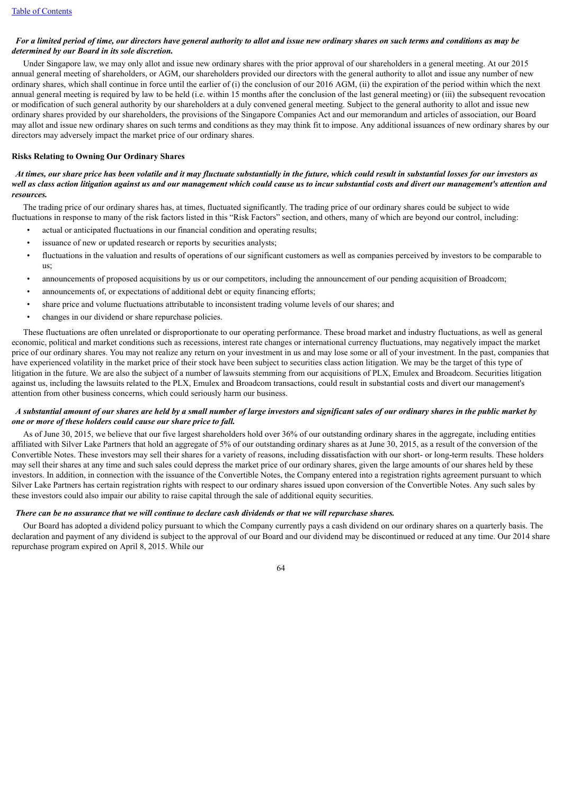## For a limited period of time, our directors have general authority to allot and issue new ordinary shares on such terms and conditions as may be *determined by our Board in its sole discretion.*

Under Singapore law, we may only allot and issue new ordinary shares with the prior approval of our shareholders in a general meeting. At our 2015 annual general meeting of shareholders, or AGM, our shareholders provided our directors with the general authority to allot and issue any number of new ordinary shares, which shall continue in force until the earlier of (i) the conclusion of our 2016 AGM, (ii) the expiration of the period within which the next annual general meeting is required by law to be held (i.e. within 15 months after the conclusion of the last general meeting) or (iii) the subsequent revocation or modification of such general authority by our shareholders at a duly convened general meeting. Subject to the general authority to allot and issue new ordinary shares provided by our shareholders, the provisions of the Singapore Companies Act and our memorandum and articles of association, our Board may allot and issue new ordinary shares on such terms and conditions as they may think fit to impose. Any additional issuances of new ordinary shares by our directors may adversely impact the market price of our ordinary shares.

## **Risks Relating to Owning Our Ordinary Shares**

## At times, our share price has been volatile and it may fluctuate substantially in the future, which could result in substantial losses for our investors as well as class action litigation against us and our management which could cause us to incur substantial costs and divert our management's attention and *resources.*

The trading price of our ordinary shares has, at times, fluctuated significantly. The trading price of our ordinary shares could be subject to wide fluctuations in response to many of the risk factors listed in this "Risk Factors" section, and others, many of which are beyond our control, including:

- actual or anticipated fluctuations in our financial condition and operating results;
- issuance of new or updated research or reports by securities analysts;
- fluctuations in the valuation and results of operations of our significant customers as well as companies perceived by investors to be comparable to us;
- announcements of proposed acquisitions by us or our competitors, including the announcement of our pending acquisition of Broadcom;
- announcements of, or expectations of additional debt or equity financing efforts;
- share price and volume fluctuations attributable to inconsistent trading volume levels of our shares; and
- changes in our dividend or share repurchase policies.

These fluctuations are often unrelated or disproportionate to our operating performance. These broad market and industry fluctuations, as well as general economic, political and market conditions such as recessions, interest rate changes or international currency fluctuations, may negatively impact the market price of our ordinary shares. You may not realize any return on your investment in us and may lose some or all of your investment. In the past, companies that have experienced volatility in the market price of their stock have been subject to securities class action litigation. We may be the target of this type of litigation in the future. We are also the subject of a number of lawsuits stemming from our acquisitions of PLX, Emulex and Broadcom. Securities litigation against us, including the lawsuits related to the PLX, Emulex and Broadcom transactions, could result in substantial costs and divert our management's attention from other business concerns, which could seriously harm our business.

## A substantial amount of our shares are held by a small number of large investors and significant sales of our ordinary shares in the public market by *one or more of these holders could cause our share price to fall.*

As of June 30, 2015, we believe that our five largest shareholders hold over 36% of our outstanding ordinary shares in the aggregate, including entities affiliated with Silver Lake Partners that hold an aggregate of 5% of our outstanding ordinary shares as at June 30, 2015, as a result of the conversion of the Convertible Notes. These investors may sell their shares for a variety of reasons, including dissatisfaction with our short- or long-term results. These holders may sell their shares at any time and such sales could depress the market price of our ordinary shares, given the large amounts of our shares held by these investors. In addition, in connection with the issuance of the Convertible Notes, the Company entered into a registration rights agreement pursuant to which Silver Lake Partners has certain registration rights with respect to our ordinary shares issued upon conversion of the Convertible Notes. Any such sales by these investors could also impair our ability to raise capital through the sale of additional equity securities.

#### There can be no assurance that we will continue to declare cash dividends or that we will repurchase shares.

Our Board has adopted a dividend policy pursuant to which the Company currently pays a cash dividend on our ordinary shares on a quarterly basis. The declaration and payment of any dividend is subject to the approval of our Board and our dividend may be discontinued or reduced at any time. Our 2014 share repurchase program expired on April 8, 2015. While our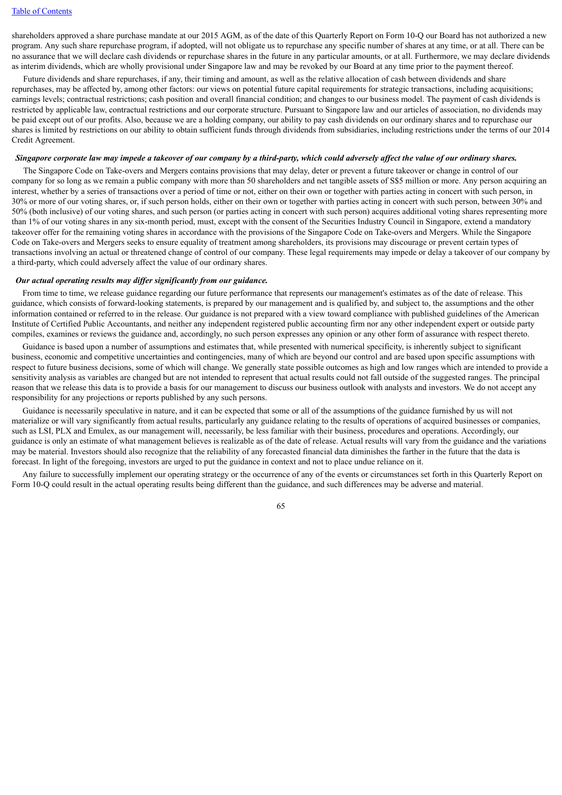shareholders approved a share purchase mandate at our 2015 AGM, as of the date of this Quarterly Report on Form 10-Q our Board has not authorized a new program. Any such share repurchase program, if adopted, will not obligate us to repurchase any specific number of shares at any time, or at all. There can be no assurance that we will declare cash dividends or repurchase shares in the future in any particular amounts, or at all. Furthermore, we may declare dividends as interim dividends, which are wholly provisional under Singapore law and may be revoked by our Board at any time prior to the payment thereof.

Future dividends and share repurchases, if any, their timing and amount, as well as the relative allocation of cash between dividends and share repurchases, may be affected by, among other factors: our views on potential future capital requirements for strategic transactions, including acquisitions; earnings levels; contractual restrictions; cash position and overall financial condition; and changes to our business model. The payment of cash dividends is restricted by applicable law, contractual restrictions and our corporate structure. Pursuant to Singapore law and our articles of association, no dividends may be paid except out of our profits. Also, because we are a holding company, our ability to pay cash dividends on our ordinary shares and to repurchase our shares is limited by restrictions on our ability to obtain sufficient funds through dividends from subsidiaries, including restrictions under the terms of our 2014 Credit Agreement.

#### Singapore corporate law may impede a takeover of our company by a third-party, which could adversely affect the value of our ordinary shares.

The Singapore Code on Take-overs and Mergers contains provisions that may delay, deter or prevent a future takeover or change in control of our company for so long as we remain a public company with more than 50 shareholders and net tangible assets of S\$5 million or more. Any person acquiring an interest, whether by a series of transactions over a period of time or not, either on their own or together with parties acting in concert with such person, in 30% or more of our voting shares, or, if such person holds, either on their own or together with parties acting in concert with such person, between 30% and 50% (both inclusive) of our voting shares, and such person (or parties acting in concert with such person) acquires additional voting shares representing more than 1% of our voting shares in any six-month period, must, except with the consent of the Securities Industry Council in Singapore, extend a mandatory takeover offer for the remaining voting shares in accordance with the provisions of the Singapore Code on Take-overs and Mergers. While the Singapore Code on Take-overs and Mergers seeks to ensure equality of treatment among shareholders, its provisions may discourage or prevent certain types of transactions involving an actual or threatened change of control of our company. These legal requirements may impede or delay a takeover of our company by a third-party, which could adversely affect the value of our ordinary shares.

#### *Our actual operating results may dif er significantly from our guidance.*

From time to time, we release guidance regarding our future performance that represents our management's estimates as of the date of release. This guidance, which consists of forward-looking statements, is prepared by our management and is qualified by, and subject to, the assumptions and the other information contained or referred to in the release. Our guidance is not prepared with a view toward compliance with published guidelines of the American Institute of Certified Public Accountants, and neither any independent registered public accounting firm nor any other independent expert or outside party compiles, examines or reviews the guidance and, accordingly, no such person expresses any opinion or any other form of assurance with respect thereto.

Guidance is based upon a number of assumptions and estimates that, while presented with numerical specificity, is inherently subject to significant business, economic and competitive uncertainties and contingencies, many of which are beyond our control and are based upon specific assumptions with respect to future business decisions, some of which will change. We generally state possible outcomes as high and low ranges which are intended to provide a sensitivity analysis as variables are changed but are not intended to represent that actual results could not fall outside of the suggested ranges. The principal reason that we release this data is to provide a basis for our management to discuss our business outlook with analysts and investors. We do not accept any responsibility for any projections or reports published by any such persons.

Guidance is necessarily speculative in nature, and it can be expected that some or all of the assumptions of the guidance furnished by us will not materialize or will vary significantly from actual results, particularly any guidance relating to the results of operations of acquired businesses or companies, such as LSI, PLX and Emulex, as our management will, necessarily, be less familiar with their business, procedures and operations. Accordingly, our guidance is only an estimate of what management believes is realizable as of the date of release. Actual results will vary from the guidance and the variations may be material. Investors should also recognize that the reliability of any forecasted financial data diminishes the farther in the future that the data is forecast. In light of the foregoing, investors are urged to put the guidance in context and not to place undue reliance on it.

Any failure to successfully implement our operating strategy or the occurrence of any of the events or circumstances set forth in this Quarterly Report on Form 10-Q could result in the actual operating results being different than the guidance, and such differences may be adverse and material.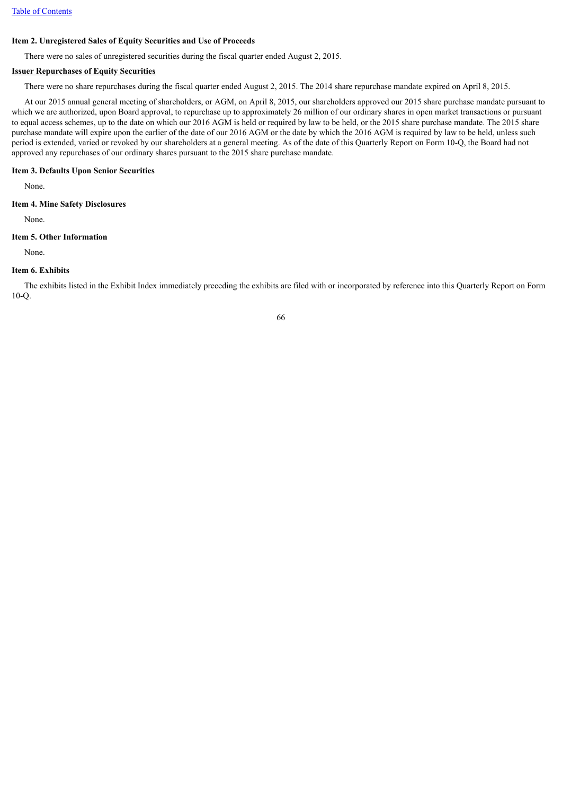## **Item 2. Unregistered Sales of Equity Securities and Use of Proceeds**

There were no sales of unregistered securities during the fiscal quarter ended August 2, 2015.

## **Issuer Repurchases of Equity Securities**

There were no share repurchases during the fiscal quarter ended August 2, 2015. The 2014 share repurchase mandate expired on April 8, 2015.

At our 2015 annual general meeting of shareholders, or AGM, on April 8, 2015, our shareholders approved our 2015 share purchase mandate pursuant to which we are authorized, upon Board approval, to repurchase up to approximately 26 million of our ordinary shares in open market transactions or pursuant to equal access schemes, up to the date on which our 2016 AGM is held or required by law to be held, or the 2015 share purchase mandate. The 2015 share purchase mandate will expire upon the earlier of the date of our 2016 AGM or the date by which the 2016 AGM is required by law to be held, unless such period is extended, varied or revoked by our shareholders at a general meeting. As of the date of this Quarterly Report on Form 10-Q, the Board had not approved any repurchases of our ordinary shares pursuant to the 2015 share purchase mandate.

## **Item 3. Defaults Upon Senior Securities**

None.

## **Item 4. Mine Safety Disclosures**

None.

#### **Item 5. Other Information**

None.

## **Item 6. Exhibits**

The exhibits listed in the Exhibit Index immediately preceding the exhibits are filed with or incorporated by reference into this Quarterly Report on Form 10-Q.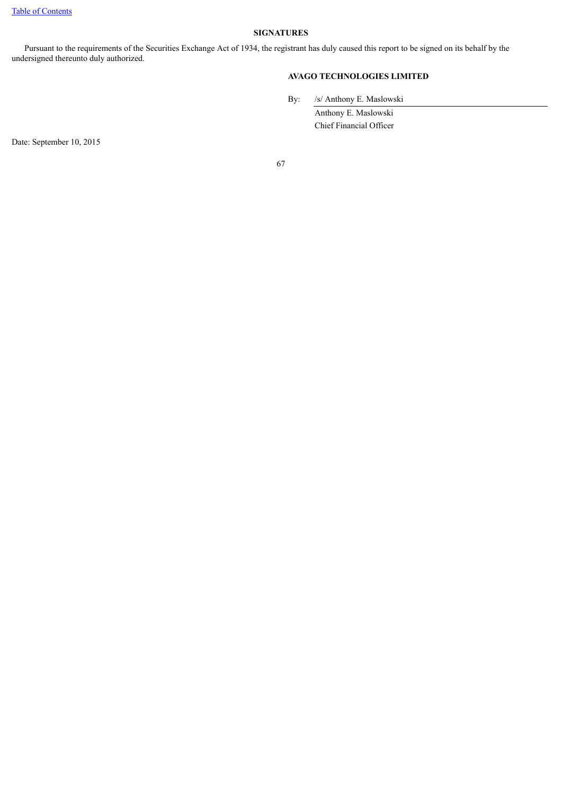## **SIGNATURES**

Pursuant to the requirements of the Securities Exchange Act of 1934, the registrant has duly caused this report to be signed on its behalf by the undersigned thereunto duly authorized.

## **AVAGO TECHNOLOGIES LIMITED**

By: /s/ Anthony E. Maslowski

Anthony E. Maslowski Chief Financial Officer

Date: September 10, 2015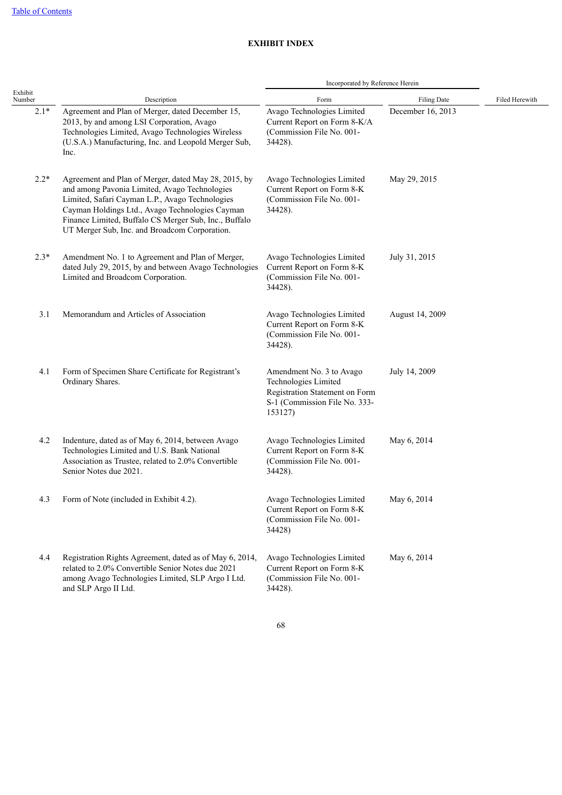# **EXHIBIT INDEX**

|                   |                                                                                                                                                                                                                                                                                                                       | Incorporated by Reference Herein                                                                                               |                   |                |
|-------------------|-----------------------------------------------------------------------------------------------------------------------------------------------------------------------------------------------------------------------------------------------------------------------------------------------------------------------|--------------------------------------------------------------------------------------------------------------------------------|-------------------|----------------|
| Exhibit<br>Number | Description                                                                                                                                                                                                                                                                                                           | Form                                                                                                                           | Filing Date       | Filed Herewith |
| $2.1*$            | Agreement and Plan of Merger, dated December 15,<br>2013, by and among LSI Corporation, Avago<br>Technologies Limited, Avago Technologies Wireless<br>(U.S.A.) Manufacturing, Inc. and Leopold Merger Sub,<br>Inc.                                                                                                    | Avago Technologies Limited<br>Current Report on Form 8-K/A<br>(Commission File No. 001-<br>34428).                             | December 16, 2013 |                |
| $2.2*$            | Agreement and Plan of Merger, dated May 28, 2015, by<br>and among Pavonia Limited, Avago Technologies<br>Limited, Safari Cayman L.P., Avago Technologies<br>Cayman Holdings Ltd., Avago Technologies Cayman<br>Finance Limited, Buffalo CS Merger Sub, Inc., Buffalo<br>UT Merger Sub, Inc. and Broadcom Corporation. | Avago Technologies Limited<br>Current Report on Form 8-K<br>(Commission File No. 001-<br>34428).                               | May 29, 2015      |                |
| $2.3*$            | Amendment No. 1 to Agreement and Plan of Merger,<br>dated July 29, 2015, by and between Avago Technologies<br>Limited and Broadcom Corporation.                                                                                                                                                                       | Avago Technologies Limited<br>Current Report on Form 8-K<br>(Commission File No. 001-<br>34428).                               | July 31, 2015     |                |
| 3.1               | Memorandum and Articles of Association                                                                                                                                                                                                                                                                                | Avago Technologies Limited<br>Current Report on Form 8-K<br>(Commission File No. 001-<br>34428).                               | August 14, 2009   |                |
| 4.1               | Form of Specimen Share Certificate for Registrant's<br>Ordinary Shares.                                                                                                                                                                                                                                               | Amendment No. 3 to Avago<br>Technologies Limited<br>Registration Statement on Form<br>S-1 (Commission File No. 333-<br>153127) | July 14, 2009     |                |
| 4.2               | Indenture, dated as of May 6, 2014, between Avago<br>Technologies Limited and U.S. Bank National<br>Association as Trustee, related to 2.0% Convertible<br>Senior Notes due 2021.                                                                                                                                     | Avago Technologies Limited<br>Current Report on Form 8-K<br>(Commission File No. 001-<br>34428).                               | May 6, 2014       |                |
| 4.3               | Form of Note (included in Exhibit 4.2).                                                                                                                                                                                                                                                                               | Avago Technologies Limited<br>Current Report on Form 8-K<br>(Commission File No. 001-<br>34428)                                | May 6, 2014       |                |
| 4.4               | Registration Rights Agreement, dated as of May 6, 2014,<br>related to 2.0% Convertible Senior Notes due 2021<br>among Avago Technologies Limited, SLP Argo I Ltd.<br>and SLP Argo II Ltd.                                                                                                                             | Avago Technologies Limited<br>Current Report on Form 8-K<br>(Commission File No. 001-<br>34428).                               | May 6, 2014       |                |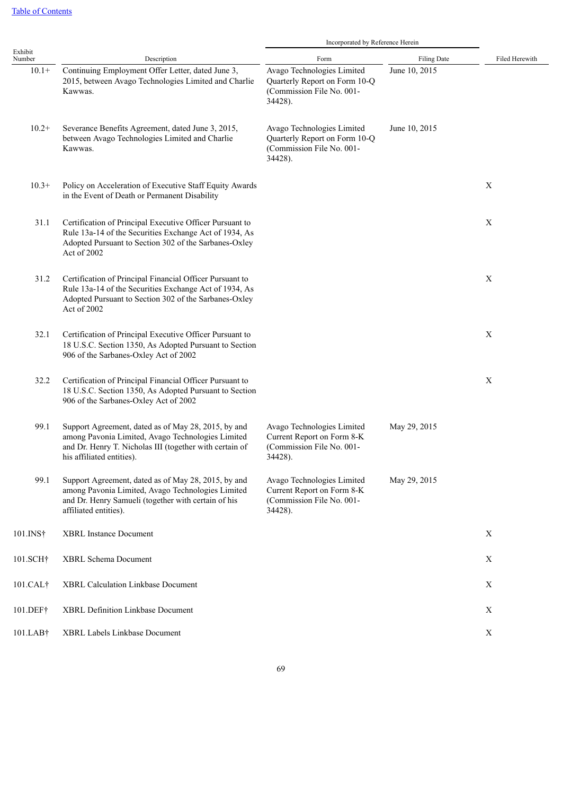|                   |                                                                                                                                                                                                  | Incorporated by Reference Herein                                                                    |                    |                |
|-------------------|--------------------------------------------------------------------------------------------------------------------------------------------------------------------------------------------------|-----------------------------------------------------------------------------------------------------|--------------------|----------------|
| Exhibit<br>Number | Description                                                                                                                                                                                      | Form                                                                                                | <b>Filing Date</b> | Filed Herewith |
| $10.1+$           | Continuing Employment Offer Letter, dated June 3,<br>2015, between Avago Technologies Limited and Charlie<br>Kawwas.                                                                             | Avago Technologies Limited<br>Quarterly Report on Form 10-Q<br>(Commission File No. 001-<br>34428). | June 10, 2015      |                |
| $10.2+$           | Severance Benefits Agreement, dated June 3, 2015,<br>between Avago Technologies Limited and Charlie<br>Kawwas.                                                                                   | Avago Technologies Limited<br>Quarterly Report on Form 10-Q<br>(Commission File No. 001-<br>34428). | June 10, 2015      |                |
| $10.3+$           | Policy on Acceleration of Executive Staff Equity Awards<br>in the Event of Death or Permanent Disability                                                                                         |                                                                                                     |                    | $\mathbf X$    |
| 31.1              | Certification of Principal Executive Officer Pursuant to<br>Rule 13a-14 of the Securities Exchange Act of 1934, As<br>Adopted Pursuant to Section 302 of the Sarbanes-Oxley<br>Act of 2002       |                                                                                                     |                    | X              |
| 31.2              | Certification of Principal Financial Officer Pursuant to<br>Rule 13a-14 of the Securities Exchange Act of 1934, As<br>Adopted Pursuant to Section 302 of the Sarbanes-Oxley<br>Act of 2002       |                                                                                                     |                    | $\mathbf X$    |
| 32.1              | Certification of Principal Executive Officer Pursuant to<br>18 U.S.C. Section 1350, As Adopted Pursuant to Section<br>906 of the Sarbanes-Oxley Act of 2002                                      |                                                                                                     |                    | $\mathbf X$    |
| 32.2              | Certification of Principal Financial Officer Pursuant to<br>18 U.S.C. Section 1350, As Adopted Pursuant to Section<br>906 of the Sarbanes-Oxley Act of 2002                                      |                                                                                                     |                    | $\mathbf X$    |
| 99.1              | Support Agreement, dated as of May 28, 2015, by and<br>among Pavonia Limited, Avago Technologies Limited<br>and Dr. Henry T. Nicholas III (together with certain of<br>his affiliated entities). | Avago Technologies Limited<br>Current Report on Form 8-K<br>(Commission File No. 001-<br>34428).    | May 29, 2015       |                |
| 99.1              | Support Agreement, dated as of May 28, 2015, by and<br>among Pavonia Limited, Avago Technologies Limited<br>and Dr. Henry Samueli (together with certain of his<br>affiliated entities).         | Avago Technologies Limited<br>Current Report on Form 8-K<br>(Commission File No. 001-<br>34428).    | May 29, 2015       |                |
| 101.INS†          | <b>XBRL Instance Document</b>                                                                                                                                                                    |                                                                                                     |                    | $\mathbf X$    |
| 101.SCH+          | XBRL Schema Document                                                                                                                                                                             |                                                                                                     |                    | $\mathbf X$    |
| 101.CAL†          | <b>XBRL Calculation Linkbase Document</b>                                                                                                                                                        |                                                                                                     |                    | $\mathbf X$    |
| 101.DEF†          | <b>XBRL Definition Linkbase Document</b>                                                                                                                                                         |                                                                                                     |                    | $\mathbf X$    |
| 101.LAB†          | XBRL Labels Linkbase Document                                                                                                                                                                    |                                                                                                     |                    | $\mathbf X$    |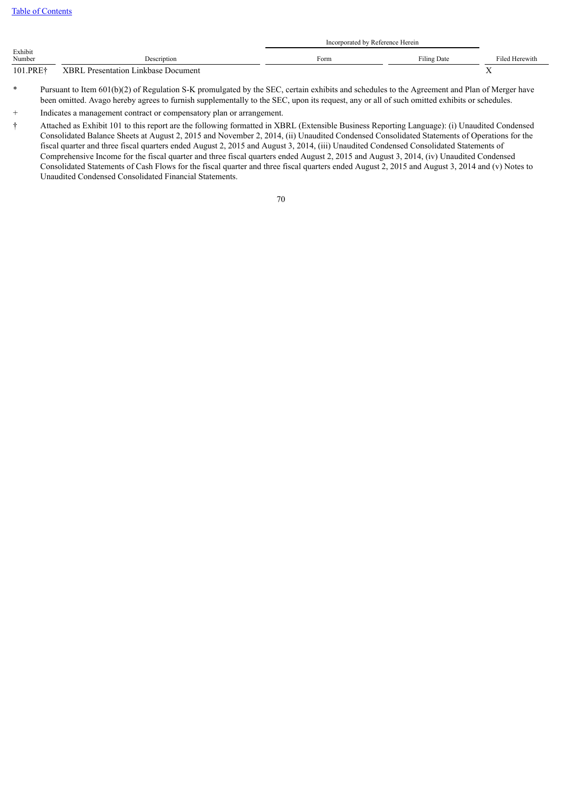|                   |                                            | Incorporated by Reference Herein |             |                |
|-------------------|--------------------------------------------|----------------------------------|-------------|----------------|
| Exhibit<br>Number | Description                                | Form                             | Filing Date | Filed Herewith |
| 101.PRE†          | <b>XBRL Presentation Linkbase Document</b> |                                  |             | . .            |

Pursuant to Item 601(b)(2) of Regulation S-K promulgated by the SEC, certain exhibits and schedules to the Agreement and Plan of Merger have been omitted. Avago hereby agrees to furnish supplementally to the SEC, upon its request, any or all of such omitted exhibits or schedules.

+ Indicates a management contract or compensatory plan or arrangement.

† Attached as Exhibit 101 to this report are the following formatted in XBRL (Extensible Business Reporting Language): (i) Unaudited Condensed Consolidated Balance Sheets at August 2, 2015 and November 2, 2014, (ii) Unaudited Condensed Consolidated Statements of Operations for the fiscal quarter and three fiscal quarters ended August 2, 2015 and August 3, 2014, (iii) Unaudited Condensed Consolidated Statements of Comprehensive Income for the fiscal quarter and three fiscal quarters ended August 2, 2015 and August 3, 2014, (iv) Unaudited Condensed Consolidated Statements of Cash Flows for the fiscal quarter and three fiscal quarters ended August 2, 2015 and August 3, 2014 and (v) Notes to Unaudited Condensed Consolidated Financial Statements.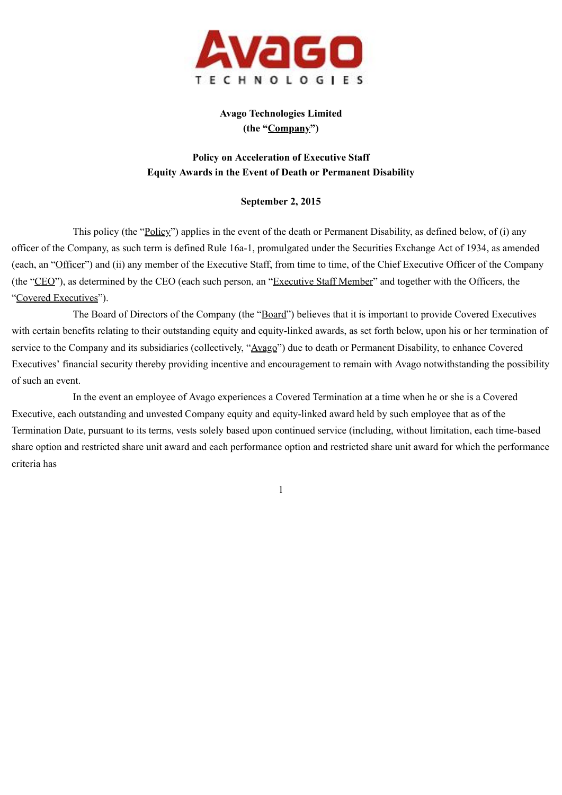

**Avago Technologies Limited (the "Company")**

# **Policy on Acceleration of Executive Staff Equity Awards in the Event of Death or Permanent Disability**

## **September 2, 2015**

This policy (the "Policy") applies in the event of the death or Permanent Disability, as defined below, of (i) any officer of the Company, as such term is defined Rule 16a-1, promulgated under the Securities Exchange Act of 1934, as amended (each, an "Officer") and (ii) any member of the Executive Staff, from time to time, of the Chief Executive Officer of the Company (the "CEO"), as determined by the CEO (each such person, an "Executive Staff Member" and together with the Officers, the "Covered Executives").

The Board of Directors of the Company (the "Board") believes that it is important to provide Covered Executives with certain benefits relating to their outstanding equity and equity-linked awards, as set forth below, upon his or her termination of service to the Company and its subsidiaries (collectively, "Avago") due to death or Permanent Disability, to enhance Covered Executives' financial security thereby providing incentive and encouragement to remain with Avago notwithstanding the possibility of such an event.

In the event an employee of Avago experiences a Covered Termination at a time when he or she is a Covered Executive, each outstanding and unvested Company equity and equity-linked award held by such employee that as of the Termination Date, pursuant to its terms, vests solely based upon continued service (including, without limitation, each time-based share option and restricted share unit award and each performance option and restricted share unit award for which the performance criteria has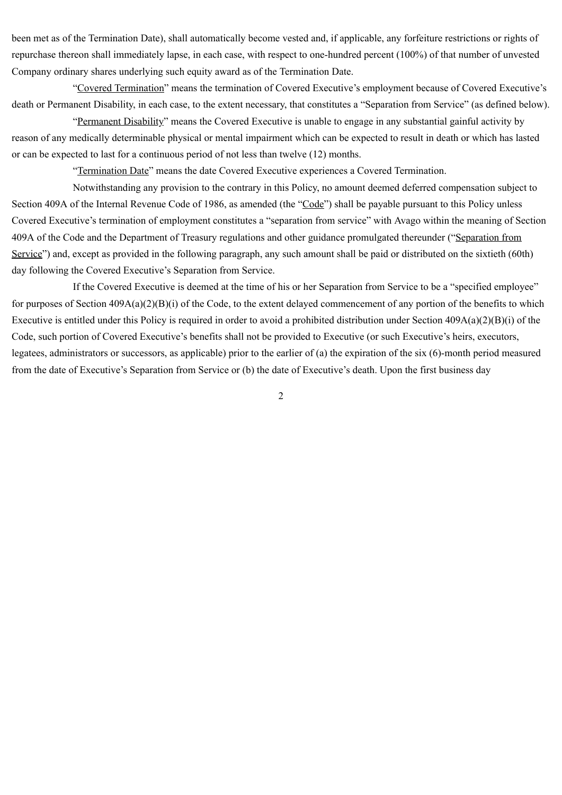been met as of the Termination Date), shall automatically become vested and, if applicable, any forfeiture restrictions or rights of repurchase thereon shall immediately lapse, in each case, with respect to one-hundred percent (100%) of that number of unvested Company ordinary shares underlying such equity award as of the Termination Date.

"Covered Termination" means the termination of Covered Executive's employment because of Covered Executive's death or Permanent Disability, in each case, to the extent necessary, that constitutes a "Separation from Service" (as defined below).

"Permanent Disability" means the Covered Executive is unable to engage in any substantial gainful activity by reason of any medically determinable physical or mental impairment which can be expected to result in death or which has lasted or can be expected to last for a continuous period of not less than twelve (12) months.

"Termination Date" means the date Covered Executive experiences a Covered Termination.

Notwithstanding any provision to the contrary in this Policy, no amount deemed deferred compensation subject to Section 409A of the Internal Revenue Code of 1986, as amended (the "Code") shall be payable pursuant to this Policy unless Covered Executive's termination of employment constitutes a "separation from service" with Avago within the meaning of Section 409A of the Code and the Department of Treasury regulations and other guidance promulgated thereunder ("Separation from Service") and, except as provided in the following paragraph, any such amount shall be paid or distributed on the sixtieth (60th) day following the Covered Executive's Separation from Service.

If the Covered Executive is deemed at the time of his or her Separation from Service to be a "specified employee" for purposes of Section 409A(a)(2)(B)(i) of the Code, to the extent delayed commencement of any portion of the benefits to which Executive is entitled under this Policy is required in order to avoid a prohibited distribution under Section 409A(a)(2)(B)(i) of the Code, such portion of Covered Executive's benefits shall not be provided to Executive (or such Executive's heirs, executors, legatees, administrators or successors, as applicable) prior to the earlier of (a) the expiration of the six (6)-month period measured from the date of Executive's Separation from Service or (b) the date of Executive's death. Upon the first business day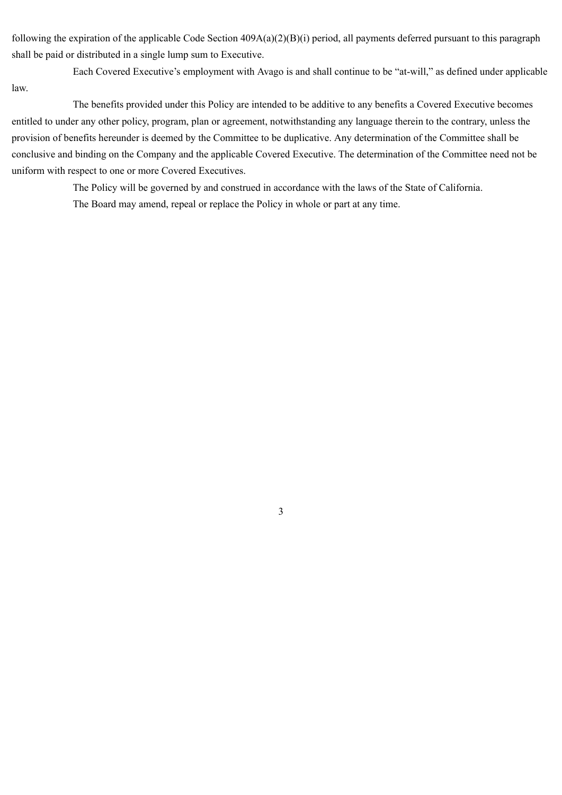following the expiration of the applicable Code Section 409A(a)(2)(B)(i) period, all payments deferred pursuant to this paragraph shall be paid or distributed in a single lump sum to Executive.

Each Covered Executive's employment with Avago is and shall continue to be "at-will," as defined under applicable law.

The benefits provided under this Policy are intended to be additive to any benefits a Covered Executive becomes entitled to under any other policy, program, plan or agreement, notwithstanding any language therein to the contrary, unless the provision of benefits hereunder is deemed by the Committee to be duplicative. Any determination of the Committee shall be conclusive and binding on the Company and the applicable Covered Executive. The determination of the Committee need not be uniform with respect to one or more Covered Executives.

> The Policy will be governed by and construed in accordance with the laws of the State of California. The Board may amend, repeal or replace the Policy in whole or part at any time.

> > 3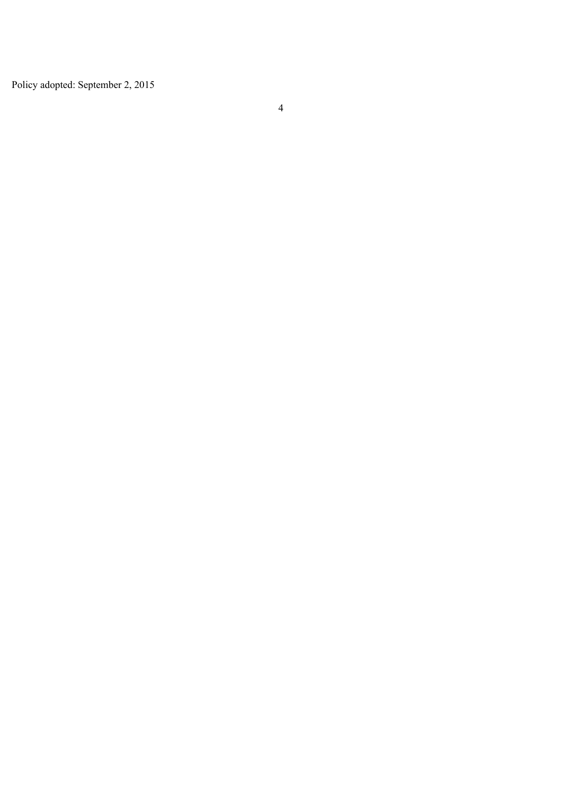Policy adopted: September 2, 2015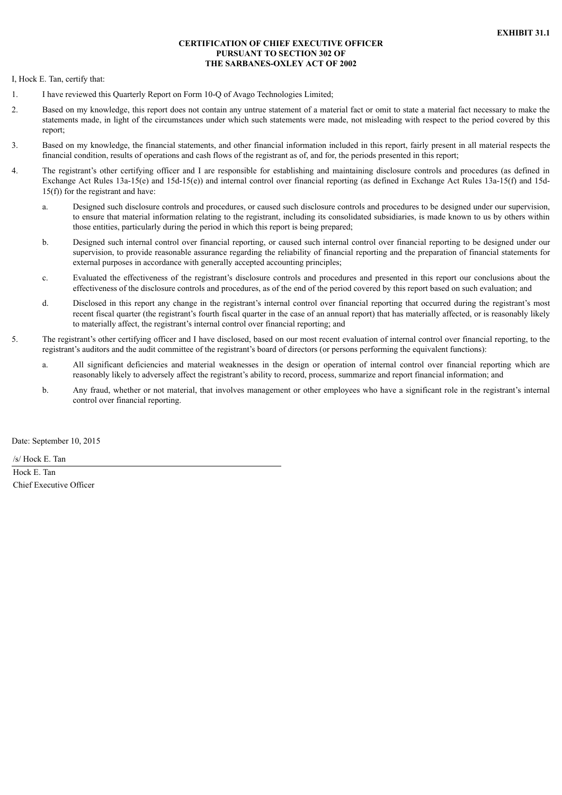## **CERTIFICATION OF CHIEF EXECUTIVE OFFICER PURSUANT TO SECTION 302 OF THE SARBANES-OXLEY ACT OF 2002**

I, Hock E. Tan, certify that:

- 1. I have reviewed this Quarterly Report on Form 10-Q of Avago Technologies Limited;
- 2. Based on my knowledge, this report does not contain any untrue statement of a material fact or omit to state a material fact necessary to make the statements made, in light of the circumstances under which such statements were made, not misleading with respect to the period covered by this report;
- 3. Based on my knowledge, the financial statements, and other financial information included in this report, fairly present in all material respects the financial condition, results of operations and cash flows of the registrant as of, and for, the periods presented in this report;
- 4. The registrant's other certifying officer and I are responsible for establishing and maintaining disclosure controls and procedures (as defined in Exchange Act Rules 13a-15(e) and 15d-15(e)) and internal control over financial reporting (as defined in Exchange Act Rules 13a-15(f) and 15d-15(f)) for the registrant and have:
	- a. Designed such disclosure controls and procedures, or caused such disclosure controls and procedures to be designed under our supervision, to ensure that material information relating to the registrant, including its consolidated subsidiaries, is made known to us by others within those entities, particularly during the period in which this report is being prepared;
	- b. Designed such internal control over financial reporting, or caused such internal control over financial reporting to be designed under our supervision, to provide reasonable assurance regarding the reliability of financial reporting and the preparation of financial statements for external purposes in accordance with generally accepted accounting principles;
	- c. Evaluated the effectiveness of the registrant's disclosure controls and procedures and presented in this report our conclusions about the effectiveness of the disclosure controls and procedures, as of the end of the period covered by this report based on such evaluation; and
	- d. Disclosed in this report any change in the registrant's internal control over financial reporting that occurred during the registrant's most recent fiscal quarter (the registrant's fourth fiscal quarter in the case of an annual report) that has materially affected, or is reasonably likely to materially affect, the registrant's internal control over financial reporting; and
- 5. The registrant's other certifying officer and I have disclosed, based on our most recent evaluation of internal control over financial reporting, to the registrant's auditors and the audit committee of the registrant's board of directors (or persons performing the equivalent functions):
	- a. All significant deficiencies and material weaknesses in the design or operation of internal control over financial reporting which are reasonably likely to adversely affect the registrant's ability to record, process, summarize and report financial information; and
	- b. Any fraud, whether or not material, that involves management or other employees who have a significant role in the registrant's internal control over financial reporting.

Date: September 10, 2015

/s/ Hock E. Tan

Hock E. Tan Chief Executive Officer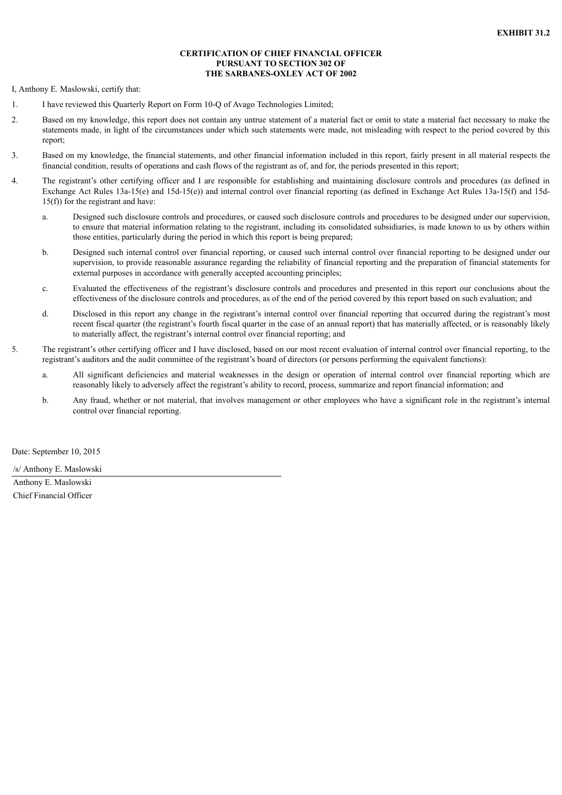## **CERTIFICATION OF CHIEF FINANCIAL OFFICER PURSUANT TO SECTION 302 OF THE SARBANES-OXLEY ACT OF 2002**

I, Anthony E. Maslowski, certify that:

- 1. I have reviewed this Quarterly Report on Form 10-Q of Avago Technologies Limited;
- 2. Based on my knowledge, this report does not contain any untrue statement of a material fact or omit to state a material fact necessary to make the statements made, in light of the circumstances under which such statements were made, not misleading with respect to the period covered by this report;
- 3. Based on my knowledge, the financial statements, and other financial information included in this report, fairly present in all material respects the financial condition, results of operations and cash flows of the registrant as of, and for, the periods presented in this report;
- 4. The registrant's other certifying officer and I are responsible for establishing and maintaining disclosure controls and procedures (as defined in Exchange Act Rules 13a-15(e) and 15d-15(e)) and internal control over financial reporting (as defined in Exchange Act Rules 13a-15(f) and 15d-15(f)) for the registrant and have:
	- a. Designed such disclosure controls and procedures, or caused such disclosure controls and procedures to be designed under our supervision, to ensure that material information relating to the registrant, including its consolidated subsidiaries, is made known to us by others within those entities, particularly during the period in which this report is being prepared;
	- b. Designed such internal control over financial reporting, or caused such internal control over financial reporting to be designed under our supervision, to provide reasonable assurance regarding the reliability of financial reporting and the preparation of financial statements for external purposes in accordance with generally accepted accounting principles;
	- c. Evaluated the effectiveness of the registrant's disclosure controls and procedures and presented in this report our conclusions about the effectiveness of the disclosure controls and procedures, as of the end of the period covered by this report based on such evaluation; and
	- d. Disclosed in this report any change in the registrant's internal control over financial reporting that occurred during the registrant's most recent fiscal quarter (the registrant's fourth fiscal quarter in the case of an annual report) that has materially affected, or is reasonably likely to materially affect, the registrant's internal control over financial reporting; and
- 5. The registrant's other certifying officer and I have disclosed, based on our most recent evaluation of internal control over financial reporting, to the registrant's auditors and the audit committee of the registrant's board of directors (or persons performing the equivalent functions):
	- a. All significant deficiencies and material weaknesses in the design or operation of internal control over financial reporting which are reasonably likely to adversely affect the registrant's ability to record, process, summarize and report financial information; and
	- b. Any fraud, whether or not material, that involves management or other employees who have a significant role in the registrant's internal control over financial reporting.

Date: September 10, 2015

/s/ Anthony E. Maslowski

Anthony E. Maslowski Chief Financial Officer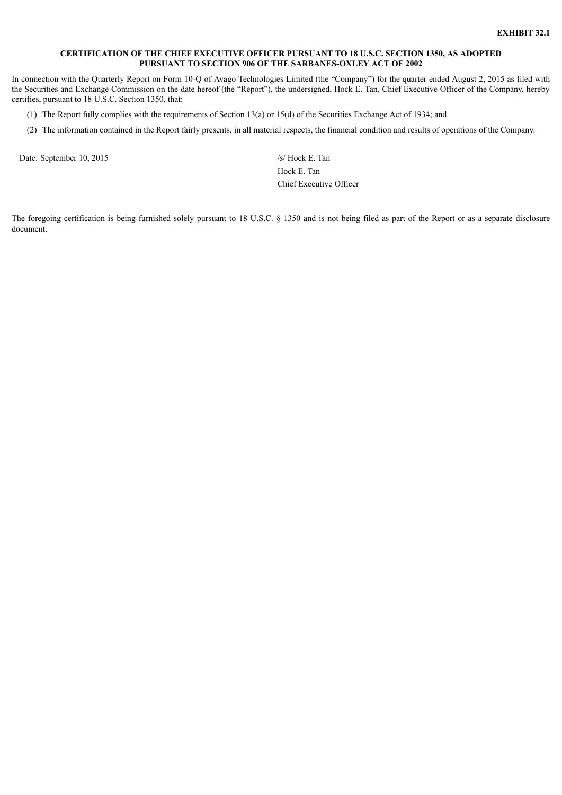## **CERTIFICATION OF THE CHIEF EXECUTIVE OFFICER PURSUANT TO 18 U.S.C. SECTION 1350, AS ADOPTED PURSUANT TO SECTION 906 OF THE SARBANES-OXLEY ACT OF 2002**

In connection with the Quarterly Report on Form 10-Q of Avago Technologies Limited (the "Company") for the quarter ended August 2, 2015 as filed with the Securities and Exchange Commission on the date hereof (the "Report"), the undersigned, Hock E. Tan, Chief Executive Officer of the Company, hereby certifies, pursuant to 18 U.S.C. Section 1350, that:

- (1) The Report fully complies with the requirements of Section 13(a) or 15(d) of the Securities Exchange Act of 1934; and
- (2) The information contained in the Report fairly presents, in all material respects, the financial condition and results of operations of the Company.

Date: September 10, 2015 /s/ Hock E. Tan

Hock E. Tan Chief Executive Officer

The foregoing certification is being furnished solely pursuant to 18 U.S.C. § 1350 and is not being filed as part of the Report or as a separate disclosure document.